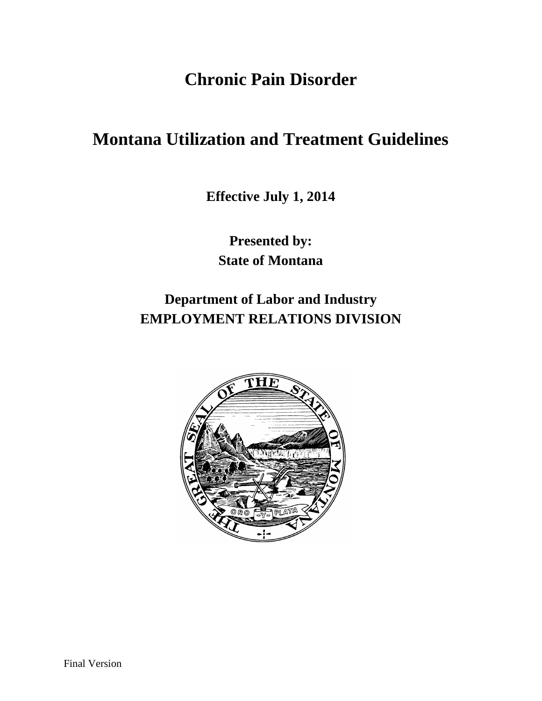# **Chronic Pain Disorder**

# **Montana Utilization and Treatment Guidelines**

**Effective July 1, 2014**

**Presented by: State of Montana**

**Department of Labor and Industry EMPLOYMENT RELATIONS DIVISION**

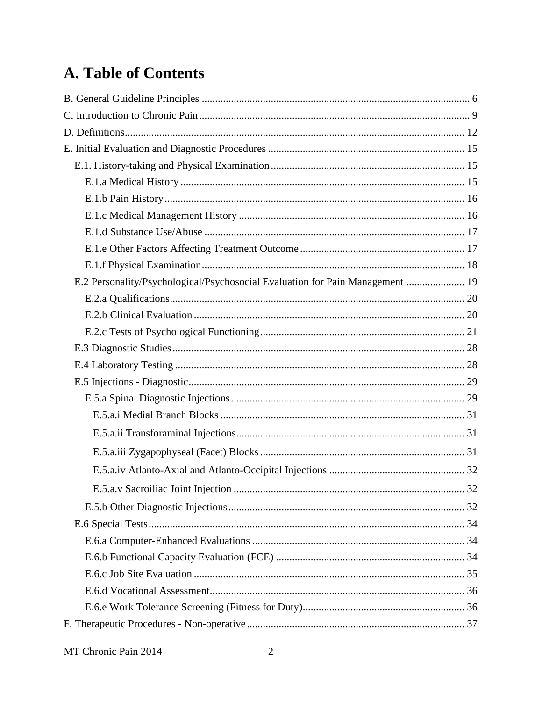# A. Table of Contents

| E.2 Personality/Psychological/Psychosocial Evaluation for Pain Management  19 |  |
|-------------------------------------------------------------------------------|--|
|                                                                               |  |
|                                                                               |  |
|                                                                               |  |
|                                                                               |  |
|                                                                               |  |
|                                                                               |  |
|                                                                               |  |
|                                                                               |  |
|                                                                               |  |
|                                                                               |  |
|                                                                               |  |
|                                                                               |  |
|                                                                               |  |
|                                                                               |  |
|                                                                               |  |
|                                                                               |  |
|                                                                               |  |
|                                                                               |  |
|                                                                               |  |
|                                                                               |  |
|                                                                               |  |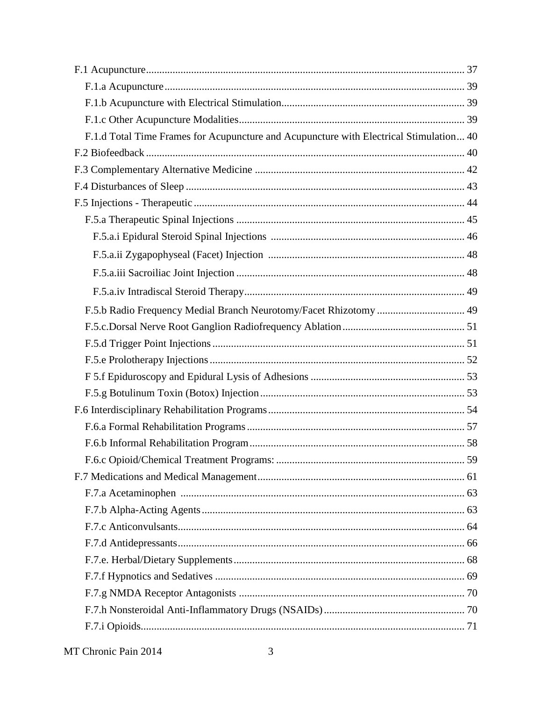| F.1.d Total Time Frames for Acupuncture and Acupuncture with Electrical Stimulation 40 |  |
|----------------------------------------------------------------------------------------|--|
|                                                                                        |  |
|                                                                                        |  |
|                                                                                        |  |
|                                                                                        |  |
|                                                                                        |  |
|                                                                                        |  |
|                                                                                        |  |
|                                                                                        |  |
|                                                                                        |  |
| F.5.b Radio Frequency Medial Branch Neurotomy/Facet Rhizotomy  49                      |  |
|                                                                                        |  |
|                                                                                        |  |
|                                                                                        |  |
|                                                                                        |  |
|                                                                                        |  |
|                                                                                        |  |
|                                                                                        |  |
|                                                                                        |  |
|                                                                                        |  |
|                                                                                        |  |
|                                                                                        |  |
|                                                                                        |  |
|                                                                                        |  |
|                                                                                        |  |
|                                                                                        |  |
|                                                                                        |  |
|                                                                                        |  |
|                                                                                        |  |
|                                                                                        |  |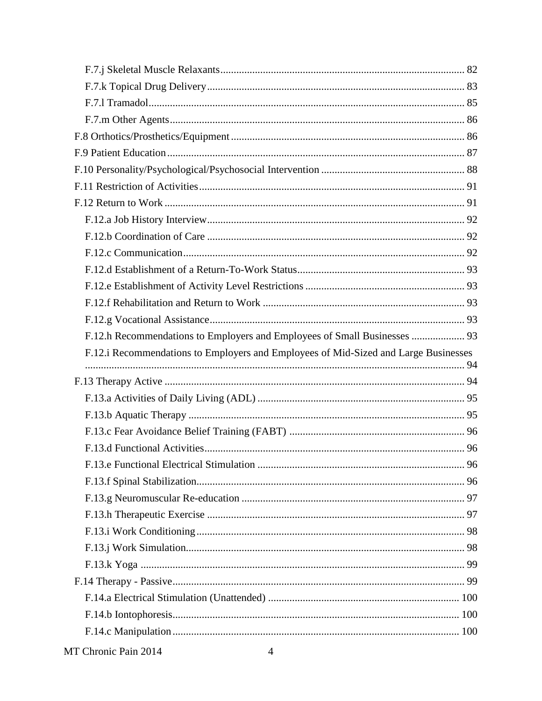| F.12.h Recommendations to Employers and Employees of Small Businesses  93           |  |
|-------------------------------------------------------------------------------------|--|
|                                                                                     |  |
| F.12.i Recommendations to Employers and Employees of Mid-Sized and Large Businesses |  |
|                                                                                     |  |
|                                                                                     |  |
|                                                                                     |  |
|                                                                                     |  |
|                                                                                     |  |
|                                                                                     |  |
|                                                                                     |  |
|                                                                                     |  |
|                                                                                     |  |
|                                                                                     |  |
|                                                                                     |  |
|                                                                                     |  |
|                                                                                     |  |
|                                                                                     |  |
|                                                                                     |  |
|                                                                                     |  |
|                                                                                     |  |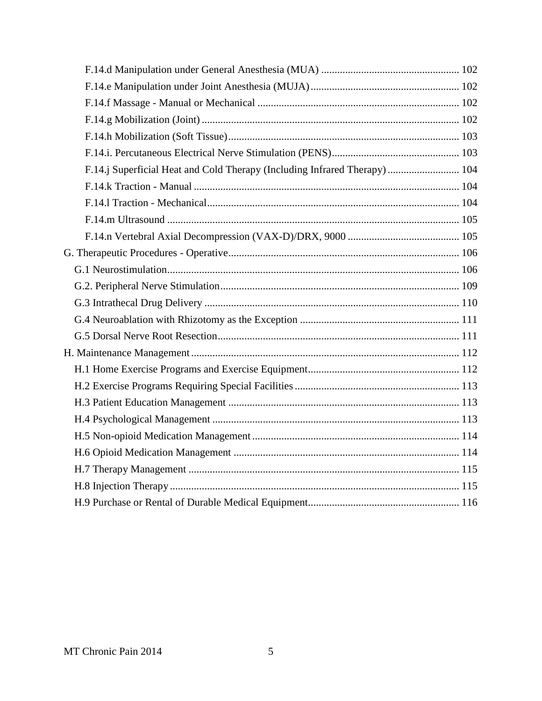| F.14.j Superficial Heat and Cold Therapy (Including Infrared Therapy)  104 |  |
|----------------------------------------------------------------------------|--|
|                                                                            |  |
|                                                                            |  |
|                                                                            |  |
|                                                                            |  |
|                                                                            |  |
|                                                                            |  |
|                                                                            |  |
|                                                                            |  |
|                                                                            |  |
|                                                                            |  |
|                                                                            |  |
|                                                                            |  |
|                                                                            |  |
|                                                                            |  |
|                                                                            |  |
|                                                                            |  |
|                                                                            |  |
|                                                                            |  |
|                                                                            |  |
|                                                                            |  |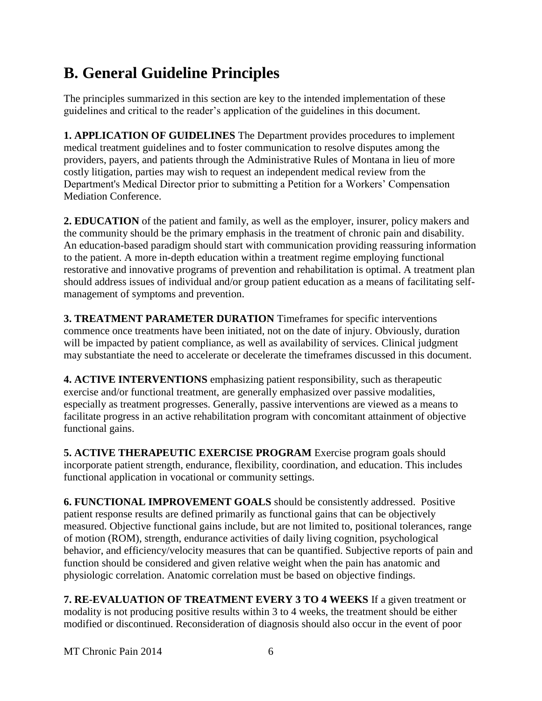# <span id="page-5-0"></span>**B. General Guideline Principles**

The principles summarized in this section are key to the intended implementation of these guidelines and critical to the reader's application of the guidelines in this document.

**1. APPLICATION OF GUIDELINES** The Department provides procedures to implement medical treatment guidelines and to foster communication to resolve disputes among the providers, payers, and patients through the Administrative Rules of Montana in lieu of more costly litigation, parties may wish to request an independent medical review from the Department's Medical Director prior to submitting a Petition for a Workers' Compensation Mediation Conference.

**2. EDUCATION** of the patient and family, as well as the employer, insurer, policy makers and the community should be the primary emphasis in the treatment of chronic pain and disability. An education-based paradigm should start with communication providing reassuring information to the patient. A more in-depth education within a treatment regime employing functional restorative and innovative programs of prevention and rehabilitation is optimal. A treatment plan should address issues of individual and/or group patient education as a means of facilitating selfmanagement of symptoms and prevention.

**3. TREATMENT PARAMETER DURATION** Timeframes for specific interventions commence once treatments have been initiated, not on the date of injury. Obviously, duration will be impacted by patient compliance, as well as availability of services. Clinical judgment may substantiate the need to accelerate or decelerate the timeframes discussed in this document.

**4. ACTIVE INTERVENTIONS** emphasizing patient responsibility, such as therapeutic exercise and/or functional treatment, are generally emphasized over passive modalities, especially as treatment progresses. Generally, passive interventions are viewed as a means to facilitate progress in an active rehabilitation program with concomitant attainment of objective functional gains.

**5. ACTIVE THERAPEUTIC EXERCISE PROGRAM** Exercise program goals should incorporate patient strength, endurance, flexibility, coordination, and education. This includes functional application in vocational or community settings.

**6. FUNCTIONAL IMPROVEMENT GOALS** should be consistently addressed. Positive patient response results are defined primarily as functional gains that can be objectively measured. Objective functional gains include, but are not limited to, positional tolerances, range of motion (ROM), strength, endurance activities of daily living cognition, psychological behavior, and efficiency/velocity measures that can be quantified. Subjective reports of pain and function should be considered and given relative weight when the pain has anatomic and physiologic correlation. Anatomic correlation must be based on objective findings.

**7. RE-EVALUATION OF TREATMENT EVERY 3 TO 4 WEEKS** If a given treatment or modality is not producing positive results within 3 to 4 weeks, the treatment should be either modified or discontinued. Reconsideration of diagnosis should also occur in the event of poor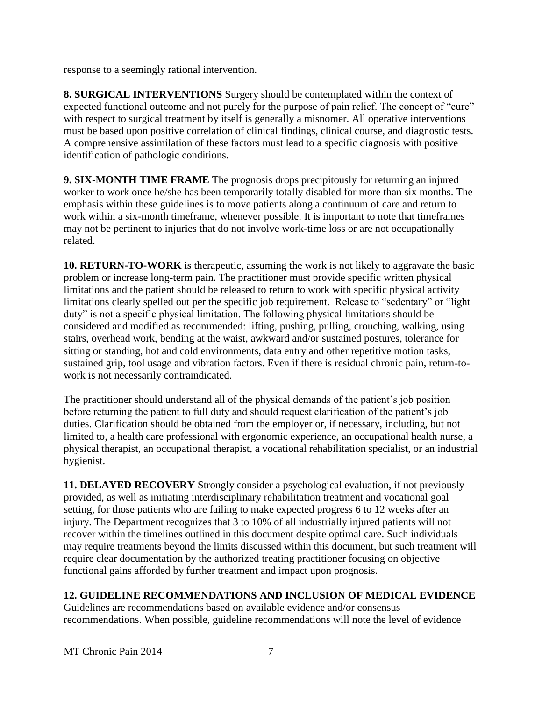response to a seemingly rational intervention.

**8. SURGICAL INTERVENTIONS** Surgery should be contemplated within the context of expected functional outcome and not purely for the purpose of pain relief. The concept of "cure" with respect to surgical treatment by itself is generally a misnomer. All operative interventions must be based upon positive correlation of clinical findings, clinical course, and diagnostic tests. A comprehensive assimilation of these factors must lead to a specific diagnosis with positive identification of pathologic conditions.

**9. SIX-MONTH TIME FRAME** The prognosis drops precipitously for returning an injured worker to work once he/she has been temporarily totally disabled for more than six months. The emphasis within these guidelines is to move patients along a continuum of care and return to work within a six-month timeframe, whenever possible. It is important to note that timeframes may not be pertinent to injuries that do not involve work-time loss or are not occupationally related.

**10. RETURN-TO-WORK** is therapeutic, assuming the work is not likely to aggravate the basic problem or increase long-term pain. The practitioner must provide specific written physical limitations and the patient should be released to return to work with specific physical activity limitations clearly spelled out per the specific job requirement. Release to "sedentary" or "light duty" is not a specific physical limitation. The following physical limitations should be considered and modified as recommended: lifting, pushing, pulling, crouching, walking, using stairs, overhead work, bending at the waist, awkward and/or sustained postures, tolerance for sitting or standing, hot and cold environments, data entry and other repetitive motion tasks, sustained grip, tool usage and vibration factors. Even if there is residual chronic pain, return-towork is not necessarily contraindicated.

The practitioner should understand all of the physical demands of the patient's job position before returning the patient to full duty and should request clarification of the patient's job duties. Clarification should be obtained from the employer or, if necessary, including, but not limited to, a health care professional with ergonomic experience, an occupational health nurse, a physical therapist, an occupational therapist, a vocational rehabilitation specialist, or an industrial hygienist.

**11. DELAYED RECOVERY** Strongly consider a psychological evaluation, if not previously provided, as well as initiating interdisciplinary rehabilitation treatment and vocational goal setting, for those patients who are failing to make expected progress 6 to 12 weeks after an injury. The Department recognizes that 3 to 10% of all industrially injured patients will not recover within the timelines outlined in this document despite optimal care. Such individuals may require treatments beyond the limits discussed within this document, but such treatment will require clear documentation by the authorized treating practitioner focusing on objective functional gains afforded by further treatment and impact upon prognosis.

### **12. GUIDELINE RECOMMENDATIONS AND INCLUSION OF MEDICAL EVIDENCE**

Guidelines are recommendations based on available evidence and/or consensus recommendations. When possible, guideline recommendations will note the level of evidence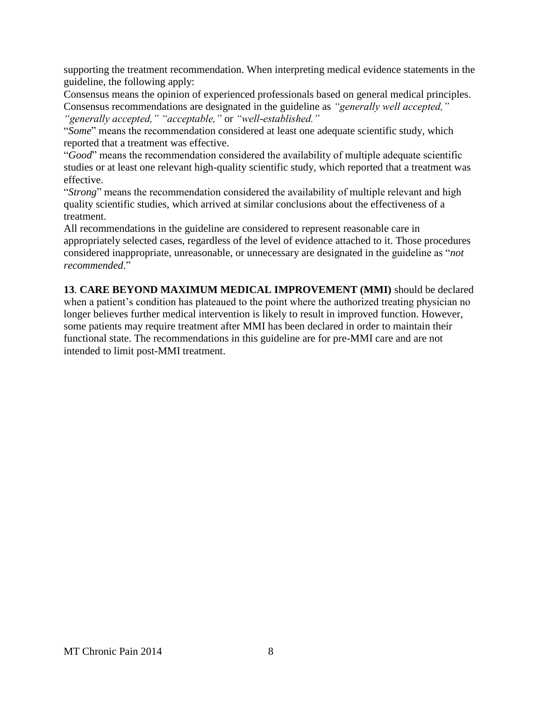supporting the treatment recommendation. When interpreting medical evidence statements in the guideline, the following apply:

Consensus means the opinion of experienced professionals based on general medical principles. Consensus recommendations are designated in the guideline as *"generally well accepted,"* 

*"generally accepted," "acceptable,"* or *"well-established."* 

"*Some*" means the recommendation considered at least one adequate scientific study, which reported that a treatment was effective.

"*Good*" means the recommendation considered the availability of multiple adequate scientific studies or at least one relevant high-quality scientific study, which reported that a treatment was effective.

"*Strong*" means the recommendation considered the availability of multiple relevant and high quality scientific studies, which arrived at similar conclusions about the effectiveness of a treatment.

All recommendations in the guideline are considered to represent reasonable care in appropriately selected cases, regardless of the level of evidence attached to it. Those procedures considered inappropriate, unreasonable, or unnecessary are designated in the guideline as "*not recommended*."

**13**. **CARE BEYOND MAXIMUM MEDICAL IMPROVEMENT (MMI)** should be declared when a patient's condition has plateaued to the point where the authorized treating physician no longer believes further medical intervention is likely to result in improved function. However, some patients may require treatment after MMI has been declared in order to maintain their functional state. The recommendations in this guideline are for pre-MMI care and are not intended to limit post-MMI treatment.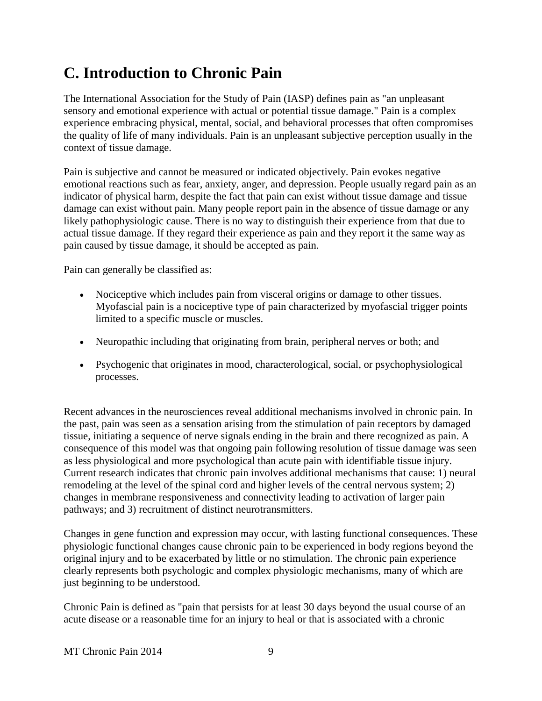# <span id="page-8-0"></span>**C. Introduction to Chronic Pain**

The International Association for the Study of Pain (IASP) defines pain as "an unpleasant sensory and emotional experience with actual or potential tissue damage." Pain is a complex experience embracing physical, mental, social, and behavioral processes that often compromises the quality of life of many individuals. Pain is an unpleasant subjective perception usually in the context of tissue damage.

Pain is subjective and cannot be measured or indicated objectively. Pain evokes negative emotional reactions such as fear, anxiety, anger, and depression. People usually regard pain as an indicator of physical harm, despite the fact that pain can exist without tissue damage and tissue damage can exist without pain. Many people report pain in the absence of tissue damage or any likely pathophysiologic cause. There is no way to distinguish their experience from that due to actual tissue damage. If they regard their experience as pain and they report it the same way as pain caused by tissue damage, it should be accepted as pain.

Pain can generally be classified as:

- Nociceptive which includes pain from visceral origins or damage to other tissues. Myofascial pain is a nociceptive type of pain characterized by myofascial trigger points limited to a specific muscle or muscles.
- Neuropathic including that originating from brain, peripheral nerves or both; and
- Psychogenic that originates in mood, characterological, social, or psychophysiological processes.

Recent advances in the neurosciences reveal additional mechanisms involved in chronic pain. In the past, pain was seen as a sensation arising from the stimulation of pain receptors by damaged tissue, initiating a sequence of nerve signals ending in the brain and there recognized as pain. A consequence of this model was that ongoing pain following resolution of tissue damage was seen as less physiological and more psychological than acute pain with identifiable tissue injury. Current research indicates that chronic pain involves additional mechanisms that cause: 1) neural remodeling at the level of the spinal cord and higher levels of the central nervous system; 2) changes in membrane responsiveness and connectivity leading to activation of larger pain pathways; and 3) recruitment of distinct neurotransmitters.

Changes in gene function and expression may occur, with lasting functional consequences. These physiologic functional changes cause chronic pain to be experienced in body regions beyond the original injury and to be exacerbated by little or no stimulation. The chronic pain experience clearly represents both psychologic and complex physiologic mechanisms, many of which are just beginning to be understood.

Chronic Pain is defined as "pain that persists for at least 30 days beyond the usual course of an acute disease or a reasonable time for an injury to heal or that is associated with a chronic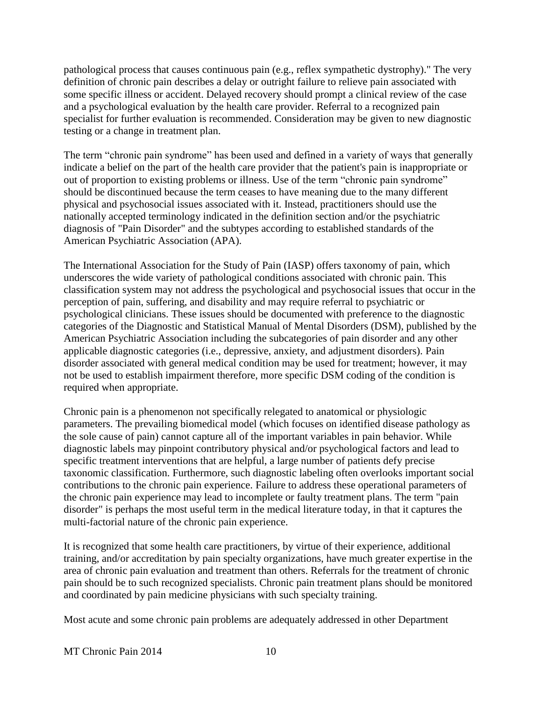pathological process that causes continuous pain (e.g., reflex sympathetic dystrophy)." The very definition of chronic pain describes a delay or outright failure to relieve pain associated with some specific illness or accident. Delayed recovery should prompt a clinical review of the case and a psychological evaluation by the health care provider. Referral to a recognized pain specialist for further evaluation is recommended. Consideration may be given to new diagnostic testing or a change in treatment plan.

The term "chronic pain syndrome" has been used and defined in a variety of ways that generally indicate a belief on the part of the health care provider that the patient's pain is inappropriate or out of proportion to existing problems or illness. Use of the term "chronic pain syndrome" should be discontinued because the term ceases to have meaning due to the many different physical and psychosocial issues associated with it. Instead, practitioners should use the nationally accepted terminology indicated in the definition section and/or the psychiatric diagnosis of "Pain Disorder" and the subtypes according to established standards of the American Psychiatric Association (APA).

The International Association for the Study of Pain (IASP) offers taxonomy of pain, which underscores the wide variety of pathological conditions associated with chronic pain. This classification system may not address the psychological and psychosocial issues that occur in the perception of pain, suffering, and disability and may require referral to psychiatric or psychological clinicians. These issues should be documented with preference to the diagnostic categories of the Diagnostic and Statistical Manual of Mental Disorders (DSM), published by the American Psychiatric Association including the subcategories of pain disorder and any other applicable diagnostic categories (i.e., depressive, anxiety, and adjustment disorders). Pain disorder associated with general medical condition may be used for treatment; however, it may not be used to establish impairment therefore, more specific DSM coding of the condition is required when appropriate.

Chronic pain is a phenomenon not specifically relegated to anatomical or physiologic parameters. The prevailing biomedical model (which focuses on identified disease pathology as the sole cause of pain) cannot capture all of the important variables in pain behavior. While diagnostic labels may pinpoint contributory physical and/or psychological factors and lead to specific treatment interventions that are helpful, a large number of patients defy precise taxonomic classification. Furthermore, such diagnostic labeling often overlooks important social contributions to the chronic pain experience. Failure to address these operational parameters of the chronic pain experience may lead to incomplete or faulty treatment plans. The term "pain disorder" is perhaps the most useful term in the medical literature today, in that it captures the multi-factorial nature of the chronic pain experience.

It is recognized that some health care practitioners, by virtue of their experience, additional training, and/or accreditation by pain specialty organizations, have much greater expertise in the area of chronic pain evaluation and treatment than others. Referrals for the treatment of chronic pain should be to such recognized specialists. Chronic pain treatment plans should be monitored and coordinated by pain medicine physicians with such specialty training.

Most acute and some chronic pain problems are adequately addressed in other Department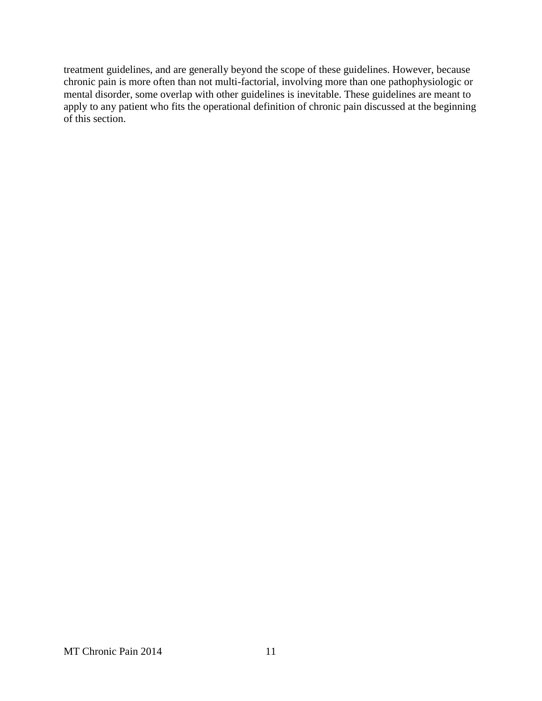treatment guidelines, and are generally beyond the scope of these guidelines. However, because chronic pain is more often than not multi-factorial, involving more than one pathophysiologic or mental disorder, some overlap with other guidelines is inevitable. These guidelines are meant to apply to any patient who fits the operational definition of chronic pain discussed at the beginning of this section.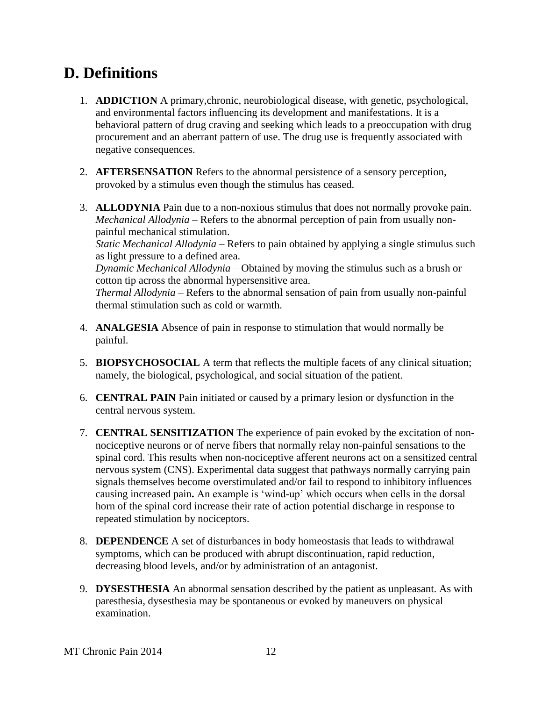# <span id="page-11-0"></span>**D. Definitions**

- 1. **ADDICTION** A primary,chronic, neurobiological disease, with genetic, psychological, and environmental factors influencing its development and manifestations. It is a behavioral pattern of drug craving and seeking which leads to a preoccupation with drug procurement and an aberrant pattern of use. The drug use is frequently associated with negative consequences.
- 2. **AFTERSENSATION** Refers to the abnormal persistence of a sensory perception, provoked by a stimulus even though the stimulus has ceased.
- 3. **ALLODYNIA** Pain due to a non-noxious stimulus that does not normally provoke pain. *Mechanical Allodynia* – Refers to the abnormal perception of pain from usually nonpainful mechanical stimulation. *Static Mechanical Allodynia* – Refers to pain obtained by applying a single stimulus such as light pressure to a defined area. *Dynamic Mechanical Allodynia* – Obtained by moving the stimulus such as a brush or cotton tip across the abnormal hypersensitive area.

*Thermal Allodynia* – Refers to the abnormal sensation of pain from usually non-painful thermal stimulation such as cold or warmth.

- 4. **ANALGESIA** Absence of pain in response to stimulation that would normally be painful.
- 5. **BIOPSYCHOSOCIAL** A term that reflects the multiple facets of any clinical situation; namely, the biological, psychological, and social situation of the patient.
- 6. **CENTRAL PAIN** Pain initiated or caused by a primary lesion or dysfunction in the central nervous system.
- 7. **CENTRAL SENSITIZATION** The experience of pain evoked by the excitation of nonnociceptive neurons or of nerve fibers that normally relay non-painful sensations to the spinal cord. This results when non-nociceptive afferent neurons act on a sensitized central nervous system (CNS). Experimental data suggest that pathways normally carrying pain signals themselves become overstimulated and/or fail to respond to inhibitory influences causing increased pain**.** An example is 'wind-up' which occurs when cells in the dorsal horn of the spinal cord increase their rate of action potential discharge in response to repeated stimulation by nociceptors.
- 8. **DEPENDENCE** A set of disturbances in body homeostasis that leads to withdrawal symptoms, which can be produced with abrupt discontinuation, rapid reduction, decreasing blood levels, and/or by administration of an antagonist.
- 9. **DYSESTHESIA** An abnormal sensation described by the patient as unpleasant. As with paresthesia, dysesthesia may be spontaneous or evoked by maneuvers on physical examination.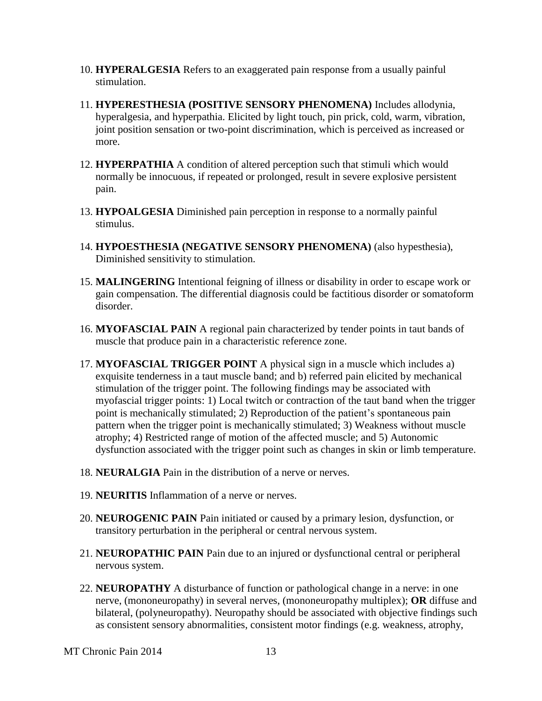- 10. **HYPERALGESIA** Refers to an exaggerated pain response from a usually painful stimulation.
- 11. **HYPERESTHESIA (POSITIVE SENSORY PHENOMENA)** Includes allodynia, hyperalgesia, and hyperpathia. Elicited by light touch, pin prick, cold, warm, vibration, joint position sensation or two-point discrimination, which is perceived as increased or more.
- 12. **HYPERPATHIA** A condition of altered perception such that stimuli which would normally be innocuous, if repeated or prolonged, result in severe explosive persistent pain.
- 13. **HYPOALGESIA** Diminished pain perception in response to a normally painful stimulus.
- 14. **HYPOESTHESIA (NEGATIVE SENSORY PHENOMENA)** (also hypesthesia), Diminished sensitivity to stimulation.
- 15. **MALINGERING** Intentional feigning of illness or disability in order to escape work or gain compensation. The differential diagnosis could be factitious disorder or somatoform disorder.
- 16. **MYOFASCIAL PAIN** A regional pain characterized by tender points in taut bands of muscle that produce pain in a characteristic reference zone.
- 17. **MYOFASCIAL TRIGGER POINT** A physical sign in a muscle which includes a) exquisite tenderness in a taut muscle band; and b) referred pain elicited by mechanical stimulation of the trigger point. The following findings may be associated with myofascial trigger points: 1) Local twitch or contraction of the taut band when the trigger point is mechanically stimulated; 2) Reproduction of the patient's spontaneous pain pattern when the trigger point is mechanically stimulated; 3) Weakness without muscle atrophy; 4) Restricted range of motion of the affected muscle; and 5) Autonomic dysfunction associated with the trigger point such as changes in skin or limb temperature.
- 18. **NEURALGIA** Pain in the distribution of a nerve or nerves.
- 19. **NEURITIS** Inflammation of a nerve or nerves.
- 20. **NEUROGENIC PAIN** Pain initiated or caused by a primary lesion, dysfunction, or transitory perturbation in the peripheral or central nervous system.
- 21. **NEUROPATHIC PAIN** Pain due to an injured or dysfunctional central or peripheral nervous system.
- 22. **NEUROPATHY** A disturbance of function or pathological change in a nerve: in one nerve, (mononeuropathy) in several nerves, (mononeuropathy multiplex); **OR** diffuse and bilateral, (polyneuropathy). Neuropathy should be associated with objective findings such as consistent sensory abnormalities, consistent motor findings (e.g. weakness, atrophy,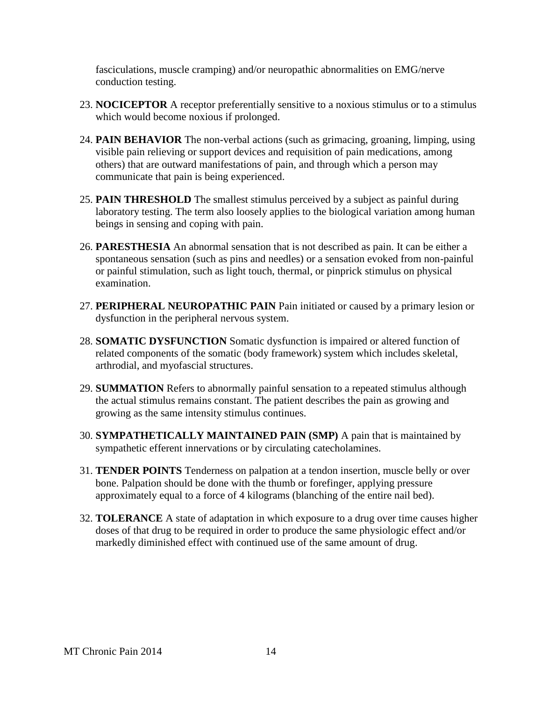fasciculations, muscle cramping) and/or neuropathic abnormalities on EMG/nerve conduction testing.

- 23. **NOCICEPTOR** A receptor preferentially sensitive to a noxious stimulus or to a stimulus which would become noxious if prolonged.
- 24. **PAIN BEHAVIOR** The non-verbal actions (such as grimacing, groaning, limping, using visible pain relieving or support devices and requisition of pain medications, among others) that are outward manifestations of pain, and through which a person may communicate that pain is being experienced.
- 25. **PAIN THRESHOLD** The smallest stimulus perceived by a subject as painful during laboratory testing. The term also loosely applies to the biological variation among human beings in sensing and coping with pain.
- 26. **PARESTHESIA** An abnormal sensation that is not described as pain. It can be either a spontaneous sensation (such as pins and needles) or a sensation evoked from non-painful or painful stimulation, such as light touch, thermal, or pinprick stimulus on physical examination.
- 27. **PERIPHERAL NEUROPATHIC PAIN** Pain initiated or caused by a primary lesion or dysfunction in the peripheral nervous system.
- 28. **SOMATIC DYSFUNCTION** Somatic dysfunction is impaired or altered function of related components of the somatic (body framework) system which includes skeletal, arthrodial, and myofascial structures.
- 29. **SUMMATION** Refers to abnormally painful sensation to a repeated stimulus although the actual stimulus remains constant. The patient describes the pain as growing and growing as the same intensity stimulus continues.
- 30. **SYMPATHETICALLY MAINTAINED PAIN (SMP)** A pain that is maintained by sympathetic efferent innervations or by circulating catecholamines.
- 31. **TENDER POINTS** Tenderness on palpation at a tendon insertion, muscle belly or over bone. Palpation should be done with the thumb or forefinger, applying pressure approximately equal to a force of 4 kilograms (blanching of the entire nail bed).
- 32. **TOLERANCE** A state of adaptation in which exposure to a drug over time causes higher doses of that drug to be required in order to produce the same physiologic effect and/or markedly diminished effect with continued use of the same amount of drug.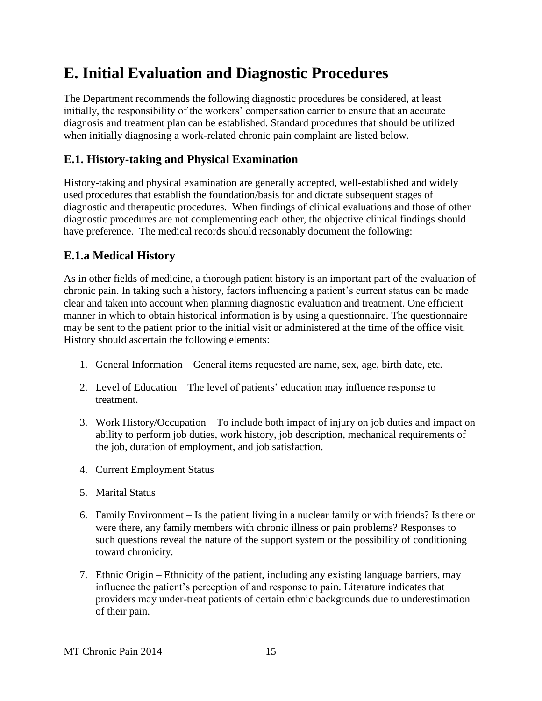# <span id="page-14-0"></span>**E. Initial Evaluation and Diagnostic Procedures**

The Department recommends the following diagnostic procedures be considered, at least initially, the responsibility of the workers' compensation carrier to ensure that an accurate diagnosis and treatment plan can be established. Standard procedures that should be utilized when initially diagnosing a work-related chronic pain complaint are listed below.

# <span id="page-14-1"></span>**E.1. History-taking and Physical Examination**

History-taking and physical examination are generally accepted, well-established and widely used procedures that establish the foundation/basis for and dictate subsequent stages of diagnostic and therapeutic procedures. When findings of clinical evaluations and those of other diagnostic procedures are not complementing each other, the objective clinical findings should have preference. The medical records should reasonably document the following:

# <span id="page-14-2"></span>**E.1.a Medical History**

As in other fields of medicine, a thorough patient history is an important part of the evaluation of chronic pain. In taking such a history, factors influencing a patient's current status can be made clear and taken into account when planning diagnostic evaluation and treatment. One efficient manner in which to obtain historical information is by using a questionnaire. The questionnaire may be sent to the patient prior to the initial visit or administered at the time of the office visit. History should ascertain the following elements:

- 1. General Information General items requested are name, sex, age, birth date, etc.
- 2. Level of Education The level of patients' education may influence response to treatment.
- 3. Work History/Occupation To include both impact of injury on job duties and impact on ability to perform job duties, work history, job description, mechanical requirements of the job, duration of employment, and job satisfaction.
- 4. Current Employment Status
- 5. Marital Status
- 6. Family Environment Is the patient living in a nuclear family or with friends? Is there or were there, any family members with chronic illness or pain problems? Responses to such questions reveal the nature of the support system or the possibility of conditioning toward chronicity.
- 7. Ethnic Origin Ethnicity of the patient, including any existing language barriers, may influence the patient's perception of and response to pain. Literature indicates that providers may under-treat patients of certain ethnic backgrounds due to underestimation of their pain.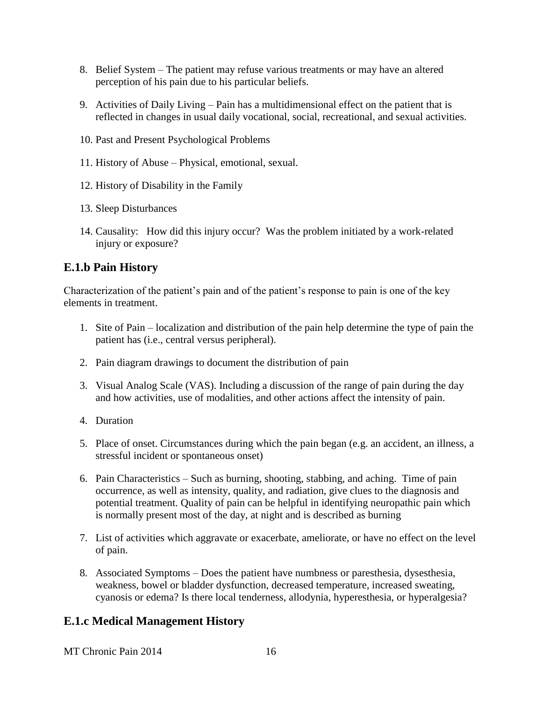- 8. Belief System The patient may refuse various treatments or may have an altered perception of his pain due to his particular beliefs.
- 9. Activities of Daily Living Pain has a multidimensional effect on the patient that is reflected in changes in usual daily vocational, social, recreational, and sexual activities.
- 10. Past and Present Psychological Problems
- 11. History of Abuse Physical, emotional, sexual.
- 12. History of Disability in the Family
- 13. Sleep Disturbances
- 14. Causality: How did this injury occur? Was the problem initiated by a work-related injury or exposure?

## <span id="page-15-0"></span>**E.1.b Pain History**

Characterization of the patient's pain and of the patient's response to pain is one of the key elements in treatment.

- 1. Site of Pain localization and distribution of the pain help determine the type of pain the patient has (i.e., central versus peripheral).
- 2. Pain diagram drawings to document the distribution of pain
- 3. Visual Analog Scale (VAS). Including a discussion of the range of pain during the day and how activities, use of modalities, and other actions affect the intensity of pain.
- 4. Duration
- 5. Place of onset. Circumstances during which the pain began (e.g. an accident, an illness, a stressful incident or spontaneous onset)
- 6. Pain Characteristics Such as burning, shooting, stabbing, and aching. Time of pain occurrence, as well as intensity, quality, and radiation, give clues to the diagnosis and potential treatment. Quality of pain can be helpful in identifying neuropathic pain which is normally present most of the day, at night and is described as burning
- 7. List of activities which aggravate or exacerbate, ameliorate, or have no effect on the level of pain.
- 8. Associated Symptoms Does the patient have numbness or paresthesia, dysesthesia, weakness, bowel or bladder dysfunction, decreased temperature, increased sweating, cyanosis or edema? Is there local tenderness, allodynia, hyperesthesia, or hyperalgesia?

## <span id="page-15-1"></span>**E.1.c Medical Management History**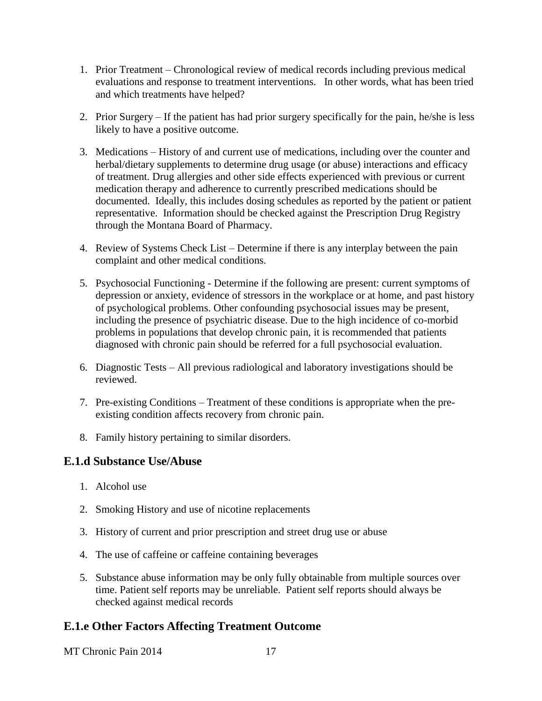- 1. Prior Treatment Chronological review of medical records including previous medical evaluations and response to treatment interventions. In other words, what has been tried and which treatments have helped?
- 2. Prior Surgery If the patient has had prior surgery specifically for the pain, he/she is less likely to have a positive outcome.
- 3. Medications History of and current use of medications, including over the counter and herbal/dietary supplements to determine drug usage (or abuse) interactions and efficacy of treatment. Drug allergies and other side effects experienced with previous or current medication therapy and adherence to currently prescribed medications should be documented. Ideally, this includes dosing schedules as reported by the patient or patient representative. Information should be checked against the Prescription Drug Registry through the Montana Board of Pharmacy.
- 4. Review of Systems Check List Determine if there is any interplay between the pain complaint and other medical conditions.
- 5. Psychosocial Functioning Determine if the following are present: current symptoms of depression or anxiety, evidence of stressors in the workplace or at home, and past history of psychological problems. Other confounding psychosocial issues may be present, including the presence of psychiatric disease. Due to the high incidence of co-morbid problems in populations that develop chronic pain, it is recommended that patients diagnosed with chronic pain should be referred for a full psychosocial evaluation.
- 6. Diagnostic Tests All previous radiological and laboratory investigations should be reviewed.
- 7. Pre-existing Conditions Treatment of these conditions is appropriate when the preexisting condition affects recovery from chronic pain.
- 8. Family history pertaining to similar disorders.

## <span id="page-16-0"></span>**E.1.d Substance Use/Abuse**

- 1. Alcohol use
- 2. Smoking History and use of nicotine replacements
- 3. History of current and prior prescription and street drug use or abuse
- 4. The use of caffeine or caffeine containing beverages
- 5. Substance abuse information may be only fully obtainable from multiple sources over time. Patient self reports may be unreliable. Patient self reports should always be checked against medical records

## <span id="page-16-1"></span>**E.1.e Other Factors Affecting Treatment Outcome**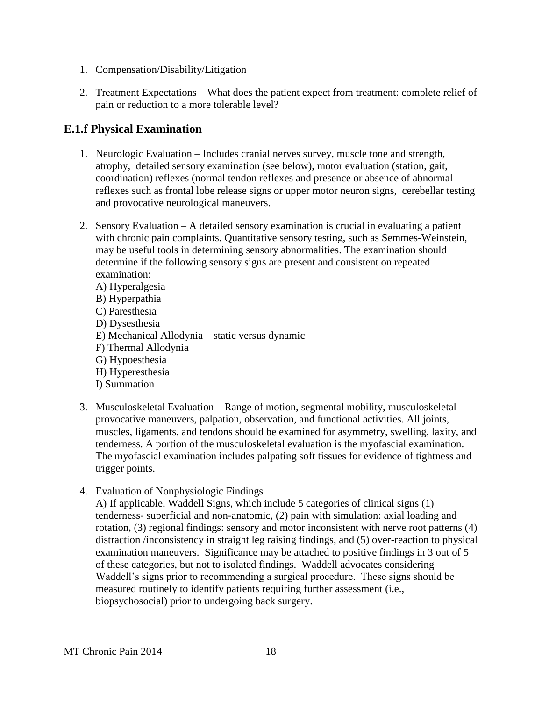- 1. Compensation/Disability/Litigation
- 2. Treatment Expectations What does the patient expect from treatment: complete relief of pain or reduction to a more tolerable level?

### <span id="page-17-0"></span>**E.1.f Physical Examination**

- 1. Neurologic Evaluation Includes cranial nerves survey, muscle tone and strength, atrophy, detailed sensory examination (see below), motor evaluation (station, gait, coordination) reflexes (normal tendon reflexes and presence or absence of abnormal reflexes such as frontal lobe release signs or upper motor neuron signs, cerebellar testing and provocative neurological maneuvers.
- 2. Sensory Evaluation A detailed sensory examination is crucial in evaluating a patient with chronic pain complaints. Quantitative sensory testing, such as Semmes-Weinstein, may be useful tools in determining sensory abnormalities. The examination should determine if the following sensory signs are present and consistent on repeated examination:
	- A) Hyperalgesia B) Hyperpathia C) Paresthesia D) Dysesthesia E) Mechanical Allodynia – static versus dynamic F) Thermal Allodynia G) Hypoesthesia H) Hyperesthesia I) Summation
- 3. Musculoskeletal Evaluation Range of motion, segmental mobility, musculoskeletal provocative maneuvers, palpation, observation, and functional activities. All joints, muscles, ligaments, and tendons should be examined for asymmetry, swelling, laxity, and tenderness. A portion of the musculoskeletal evaluation is the myofascial examination. The myofascial examination includes palpating soft tissues for evidence of tightness and trigger points.
- 4. Evaluation of Nonphysiologic Findings

A) If applicable, Waddell Signs, which include 5 categories of clinical signs (1) tenderness- superficial and non-anatomic, (2) pain with simulation: axial loading and rotation, (3) regional findings: sensory and motor inconsistent with nerve root patterns (4) distraction /inconsistency in straight leg raising findings, and (5) over-reaction to physical examination maneuvers. Significance may be attached to positive findings in 3 out of 5 of these categories, but not to isolated findings. Waddell advocates considering Waddell's signs prior to recommending a surgical procedure. These signs should be measured routinely to identify patients requiring further assessment (i.e., biopsychosocial) prior to undergoing back surgery.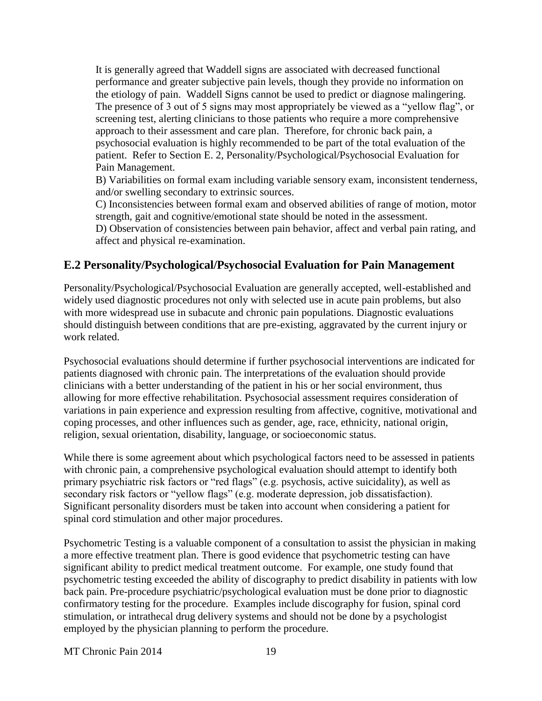It is generally agreed that Waddell signs are associated with decreased functional performance and greater subjective pain levels, though they provide no information on the etiology of pain. Waddell Signs cannot be used to predict or diagnose malingering. The presence of 3 out of 5 signs may most appropriately be viewed as a "yellow flag", or screening test, alerting clinicians to those patients who require a more comprehensive approach to their assessment and care plan. Therefore, for chronic back pain, a psychosocial evaluation is highly recommended to be part of the total evaluation of the patient. Refer to Section E. 2, Personality/Psychological/Psychosocial Evaluation for Pain Management.

B) Variabilities on formal exam including variable sensory exam, inconsistent tenderness, and/or swelling secondary to extrinsic sources.

C) Inconsistencies between formal exam and observed abilities of range of motion, motor strength, gait and cognitive/emotional state should be noted in the assessment.

D) Observation of consistencies between pain behavior, affect and verbal pain rating, and affect and physical re-examination.

### <span id="page-18-0"></span>**E.2 Personality/Psychological/Psychosocial Evaluation for Pain Management**

Personality/Psychological/Psychosocial Evaluation are generally accepted, well-established and widely used diagnostic procedures not only with selected use in acute pain problems, but also with more widespread use in subacute and chronic pain populations. Diagnostic evaluations should distinguish between conditions that are pre-existing, aggravated by the current injury or work related.

Psychosocial evaluations should determine if further psychosocial interventions are indicated for patients diagnosed with chronic pain. The interpretations of the evaluation should provide clinicians with a better understanding of the patient in his or her social environment, thus allowing for more effective rehabilitation. Psychosocial assessment requires consideration of variations in pain experience and expression resulting from affective, cognitive, motivational and coping processes, and other influences such as gender, age, race, ethnicity, national origin, religion, sexual orientation, disability, language, or socioeconomic status.

While there is some agreement about which psychological factors need to be assessed in patients with chronic pain, a comprehensive psychological evaluation should attempt to identify both primary psychiatric risk factors or "red flags" (e.g. psychosis, active suicidality), as well as secondary risk factors or "yellow flags" (e.g. moderate depression, job dissatisfaction). Significant personality disorders must be taken into account when considering a patient for spinal cord stimulation and other major procedures.

Psychometric Testing is a valuable component of a consultation to assist the physician in making a more effective treatment plan. There is good evidence that psychometric testing can have significant ability to predict medical treatment outcome. For example, one study found that psychometric testing exceeded the ability of discography to predict disability in patients with low back pain. Pre-procedure psychiatric/psychological evaluation must be done prior to diagnostic confirmatory testing for the procedure. Examples include discography for fusion, spinal cord stimulation, or intrathecal drug delivery systems and should not be done by a psychologist employed by the physician planning to perform the procedure.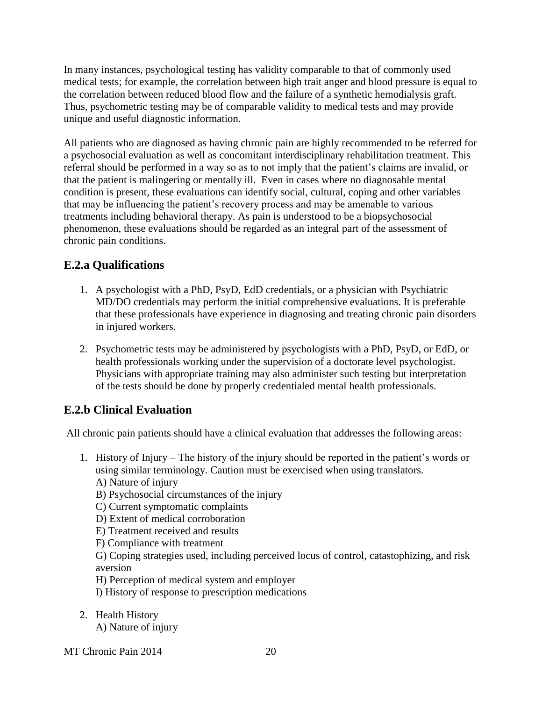In many instances, psychological testing has validity comparable to that of commonly used medical tests; for example, the correlation between high trait anger and blood pressure is equal to the correlation between reduced blood flow and the failure of a synthetic hemodialysis graft. Thus, psychometric testing may be of comparable validity to medical tests and may provide unique and useful diagnostic information.

All patients who are diagnosed as having chronic pain are highly recommended to be referred for a psychosocial evaluation as well as concomitant interdisciplinary rehabilitation treatment. This referral should be performed in a way so as to not imply that the patient's claims are invalid, or that the patient is malingering or mentally ill. Even in cases where no diagnosable mental condition is present, these evaluations can identify social, cultural, coping and other variables that may be influencing the patient's recovery process and may be amenable to various treatments including behavioral therapy. As pain is understood to be a biopsychosocial phenomenon, these evaluations should be regarded as an integral part of the assessment of chronic pain conditions.

# <span id="page-19-0"></span>**E.2.a Qualifications**

- 1. A psychologist with a PhD, PsyD, EdD credentials, or a physician with Psychiatric MD/DO credentials may perform the initial comprehensive evaluations. It is preferable that these professionals have experience in diagnosing and treating chronic pain disorders in injured workers.
- 2. Psychometric tests may be administered by psychologists with a PhD, PsyD, or EdD, or health professionals working under the supervision of a doctorate level psychologist. Physicians with appropriate training may also administer such testing but interpretation of the tests should be done by properly credentialed mental health professionals.

# <span id="page-19-1"></span>**E.2.b Clinical Evaluation**

All chronic pain patients should have a clinical evaluation that addresses the following areas:

1. History of Injury – The history of the injury should be reported in the patient's words or using similar terminology. Caution must be exercised when using translators.

A) Nature of injury

B) Psychosocial circumstances of the injury

C) Current symptomatic complaints

D) Extent of medical corroboration

E) Treatment received and results

F) Compliance with treatment

G) Coping strategies used, including perceived locus of control, catastophizing, and risk aversion

H) Perception of medical system and employer

I) History of response to prescription medications

2. Health History

A) Nature of injury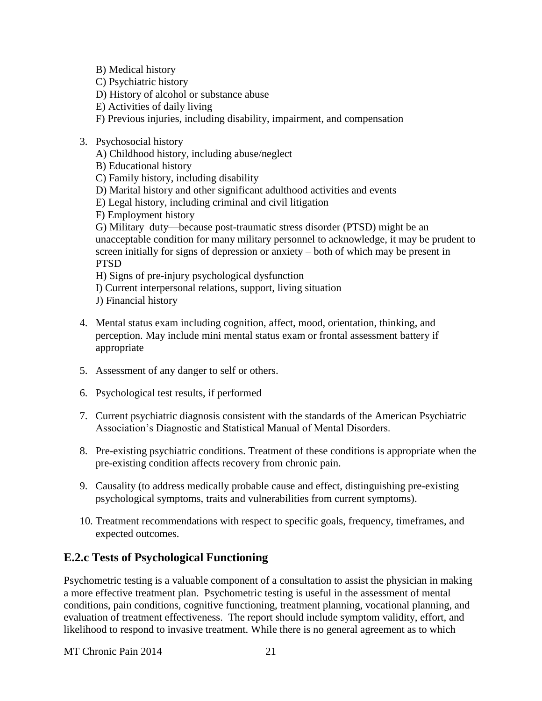B) Medical history

C) Psychiatric history

D) History of alcohol or substance abuse

- E) Activities of daily living
- F) Previous injuries, including disability, impairment, and compensation

#### 3. Psychosocial history

A) Childhood history, including abuse/neglect

B) Educational history

C) Family history, including disability

- D) Marital history and other significant adulthood activities and events
- E) Legal history, including criminal and civil litigation

F) Employment history

G) Military duty—because post-traumatic stress disorder (PTSD) might be an unacceptable condition for many military personnel to acknowledge, it may be prudent to screen initially for signs of depression or anxiety – both of which may be present in PTSD

H) Signs of pre-injury psychological dysfunction

I) Current interpersonal relations, support, living situation

- J) Financial history
- 4. Mental status exam including cognition, affect, mood, orientation, thinking, and perception. May include mini mental status exam or frontal assessment battery if appropriate
- 5. Assessment of any danger to self or others.
- 6. Psychological test results, if performed
- 7. Current psychiatric diagnosis consistent with the standards of the American Psychiatric Association's Diagnostic and Statistical Manual of Mental Disorders.
- 8. Pre-existing psychiatric conditions. Treatment of these conditions is appropriate when the pre-existing condition affects recovery from chronic pain.
- 9. Causality (to address medically probable cause and effect, distinguishing pre-existing psychological symptoms, traits and vulnerabilities from current symptoms).
- 10. Treatment recommendations with respect to specific goals, frequency, timeframes, and expected outcomes.

## <span id="page-20-0"></span>**E.2.c Tests of Psychological Functioning**

Psychometric testing is a valuable component of a consultation to assist the physician in making a more effective treatment plan. Psychometric testing is useful in the assessment of mental conditions, pain conditions, cognitive functioning, treatment planning, vocational planning, and evaluation of treatment effectiveness. The report should include symptom validity, effort, and likelihood to respond to invasive treatment. While there is no general agreement as to which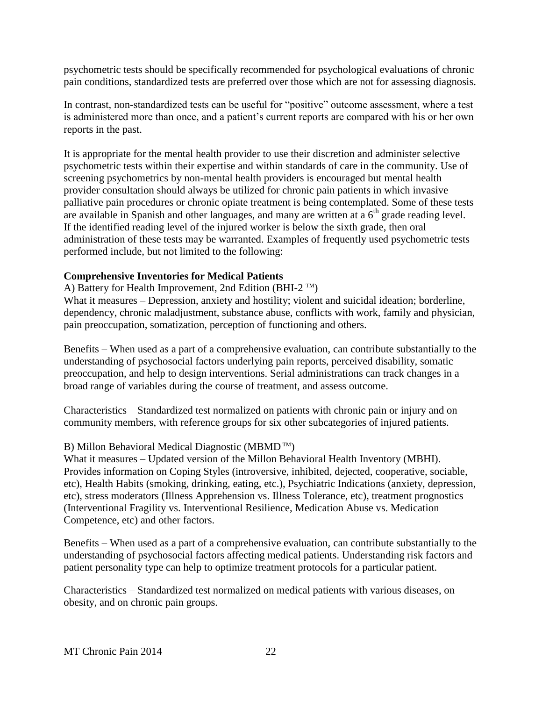psychometric tests should be specifically recommended for psychological evaluations of chronic pain conditions, standardized tests are preferred over those which are not for assessing diagnosis.

In contrast, non-standardized tests can be useful for "positive" outcome assessment, where a test is administered more than once, and a patient's current reports are compared with his or her own reports in the past.

It is appropriate for the mental health provider to use their discretion and administer selective psychometric tests within their expertise and within standards of care in the community. Use of screening psychometrics by non-mental health providers is encouraged but mental health provider consultation should always be utilized for chronic pain patients in which invasive palliative pain procedures or chronic opiate treatment is being contemplated. Some of these tests are available in Spanish and other languages, and many are written at a  $6<sup>th</sup>$  grade reading level. If the identified reading level of the injured worker is below the sixth grade, then oral administration of these tests may be warranted. Examples of frequently used psychometric tests performed include, but not limited to the following:

#### **Comprehensive Inventories for Medical Patients**

A) Battery for Health Improvement, 2nd Edition (BHI-2  $^{TM}$ )

What it measures – Depression, anxiety and hostility; violent and suicidal ideation; borderline, dependency, chronic maladjustment, substance abuse, conflicts with work, family and physician, pain preoccupation, somatization, perception of functioning and others.

Benefits – When used as a part of a comprehensive evaluation, can contribute substantially to the understanding of psychosocial factors underlying pain reports, perceived disability, somatic preoccupation, and help to design interventions. Serial administrations can track changes in a broad range of variables during the course of treatment, and assess outcome.

Characteristics – Standardized test normalized on patients with chronic pain or injury and on community members, with reference groups for six other subcategories of injured patients.

#### B) Millon Behavioral Medical Diagnostic (MBMD TM)

What it measures – Updated version of the Millon Behavioral Health Inventory (MBHI). Provides information on Coping Styles (introversive, inhibited, dejected, cooperative, sociable, etc), Health Habits (smoking, drinking, eating, etc.), Psychiatric Indications (anxiety, depression, etc), stress moderators (Illness Apprehension vs. Illness Tolerance, etc), treatment prognostics (Interventional Fragility vs. Interventional Resilience, Medication Abuse vs. Medication Competence, etc) and other factors.

Benefits – When used as a part of a comprehensive evaluation, can contribute substantially to the understanding of psychosocial factors affecting medical patients. Understanding risk factors and patient personality type can help to optimize treatment protocols for a particular patient.

Characteristics – Standardized test normalized on medical patients with various diseases, on obesity, and on chronic pain groups.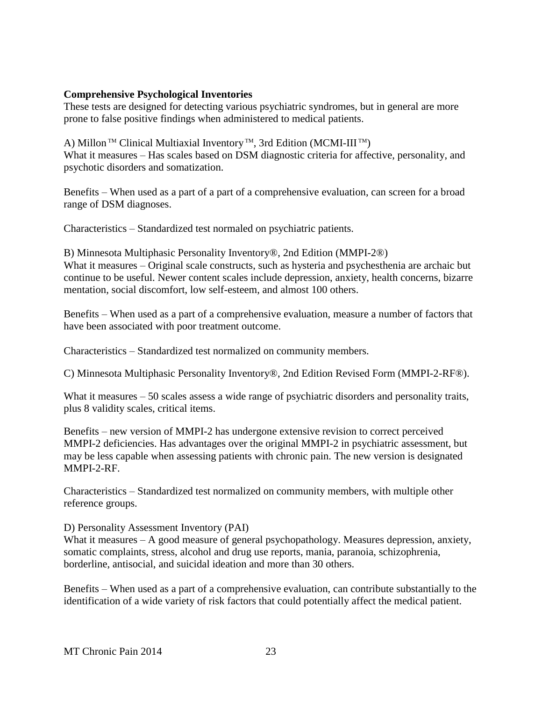#### **Comprehensive Psychological Inventories**

These tests are designed for detecting various psychiatric syndromes, but in general are more prone to false positive findings when administered to medical patients.

A) Millon<sup>™</sup> Clinical Multiaxial Inventory<sup>™</sup>, 3rd Edition (MCMI-III<sup>™</sup>) What it measures – Has scales based on DSM diagnostic criteria for affective, personality, and psychotic disorders and somatization.

Benefits – When used as a part of a part of a comprehensive evaluation, can screen for a broad range of DSM diagnoses.

Characteristics – Standardized test normaled on psychiatric patients.

B) Minnesota Multiphasic Personality Inventory®, 2nd Edition (MMPI-2®) What it measures – Original scale constructs, such as hysteria and psychesthenia are archaic but continue to be useful. Newer content scales include depression, anxiety, health concerns, bizarre mentation, social discomfort, low self-esteem, and almost 100 others.

Benefits – When used as a part of a comprehensive evaluation, measure a number of factors that have been associated with poor treatment outcome.

Characteristics – Standardized test normalized on community members.

C) Minnesota Multiphasic Personality Inventory®, 2nd Edition Revised Form (MMPI-2-RF®).

What it measures – 50 scales assess a wide range of psychiatric disorders and personality traits, plus 8 validity scales, critical items.

Benefits – new version of MMPI-2 has undergone extensive revision to correct perceived MMPI-2 deficiencies. Has advantages over the original MMPI-2 in psychiatric assessment, but may be less capable when assessing patients with chronic pain. The new version is designated MMPI-2-RF.

Characteristics – Standardized test normalized on community members, with multiple other reference groups.

D) Personality Assessment Inventory (PAI)

What it measures – A good measure of general psychopathology. Measures depression, anxiety, somatic complaints, stress, alcohol and drug use reports, mania, paranoia, schizophrenia, borderline, antisocial, and suicidal ideation and more than 30 others.

Benefits – When used as a part of a comprehensive evaluation, can contribute substantially to the identification of a wide variety of risk factors that could potentially affect the medical patient.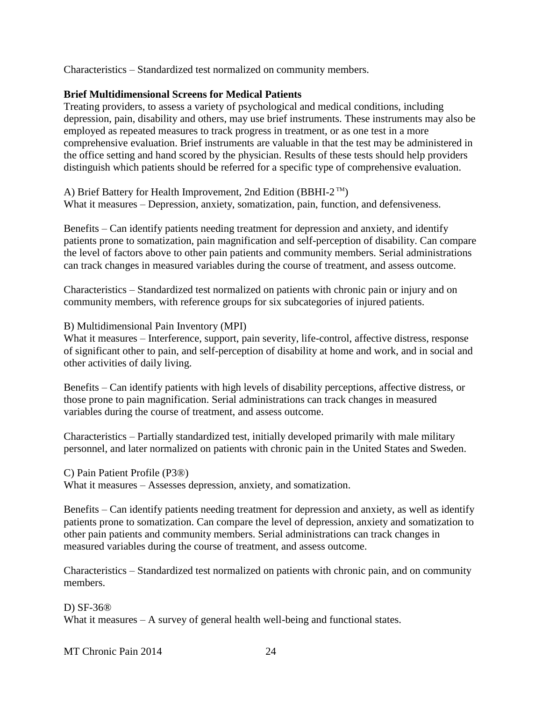Characteristics – Standardized test normalized on community members.

#### **Brief Multidimensional Screens for Medical Patients**

Treating providers, to assess a variety of psychological and medical conditions, including depression, pain, disability and others, may use brief instruments. These instruments may also be employed as repeated measures to track progress in treatment, or as one test in a more comprehensive evaluation. Brief instruments are valuable in that the test may be administered in the office setting and hand scored by the physician. Results of these tests should help providers distinguish which patients should be referred for a specific type of comprehensive evaluation.

A) Brief Battery for Health Improvement, 2nd Edition (BBHI-2™) What it measures – Depression, anxiety, somatization, pain, function, and defensiveness.

Benefits – Can identify patients needing treatment for depression and anxiety, and identify patients prone to somatization, pain magnification and self-perception of disability. Can compare the level of factors above to other pain patients and community members. Serial administrations can track changes in measured variables during the course of treatment, and assess outcome.

Characteristics – Standardized test normalized on patients with chronic pain or injury and on community members, with reference groups for six subcategories of injured patients.

B) Multidimensional Pain Inventory (MPI)

What it measures – Interference, support, pain severity, life-control, affective distress, response of significant other to pain, and self-perception of disability at home and work, and in social and other activities of daily living.

Benefits – Can identify patients with high levels of disability perceptions, affective distress, or those prone to pain magnification. Serial administrations can track changes in measured variables during the course of treatment, and assess outcome.

Characteristics – Partially standardized test, initially developed primarily with male military personnel, and later normalized on patients with chronic pain in the United States and Sweden.

C) Pain Patient Profile (P3®)

What it measures – Assesses depression, anxiety, and somatization.

Benefits – Can identify patients needing treatment for depression and anxiety, as well as identify patients prone to somatization. Can compare the level of depression, anxiety and somatization to other pain patients and community members. Serial administrations can track changes in measured variables during the course of treatment, and assess outcome.

Characteristics – Standardized test normalized on patients with chronic pain, and on community members.

D) SF-36® What it measures – A survey of general health well-being and functional states.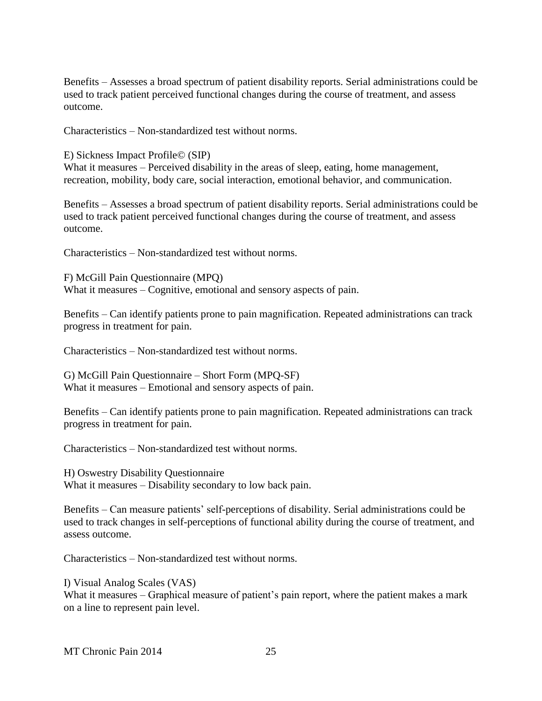Benefits – Assesses a broad spectrum of patient disability reports. Serial administrations could be used to track patient perceived functional changes during the course of treatment, and assess outcome.

Characteristics – Non-standardized test without norms.

E) Sickness Impact Profile© (SIP)

What it measures – Perceived disability in the areas of sleep, eating, home management, recreation, mobility, body care, social interaction, emotional behavior, and communication.

Benefits – Assesses a broad spectrum of patient disability reports. Serial administrations could be used to track patient perceived functional changes during the course of treatment, and assess outcome.

Characteristics – Non-standardized test without norms.

F) McGill Pain Questionnaire (MPQ) What it measures – Cognitive, emotional and sensory aspects of pain.

Benefits – Can identify patients prone to pain magnification. Repeated administrations can track progress in treatment for pain.

Characteristics – Non-standardized test without norms.

G) McGill Pain Questionnaire – Short Form (MPQ-SF) What it measures – Emotional and sensory aspects of pain.

Benefits – Can identify patients prone to pain magnification. Repeated administrations can track progress in treatment for pain.

Characteristics – Non-standardized test without norms.

H) Oswestry Disability Questionnaire What it measures – Disability secondary to low back pain.

Benefits – Can measure patients' self-perceptions of disability. Serial administrations could be used to track changes in self-perceptions of functional ability during the course of treatment, and assess outcome.

Characteristics – Non-standardized test without norms.

I) Visual Analog Scales (VAS) What it measures – Graphical measure of patient's pain report, where the patient makes a mark on a line to represent pain level.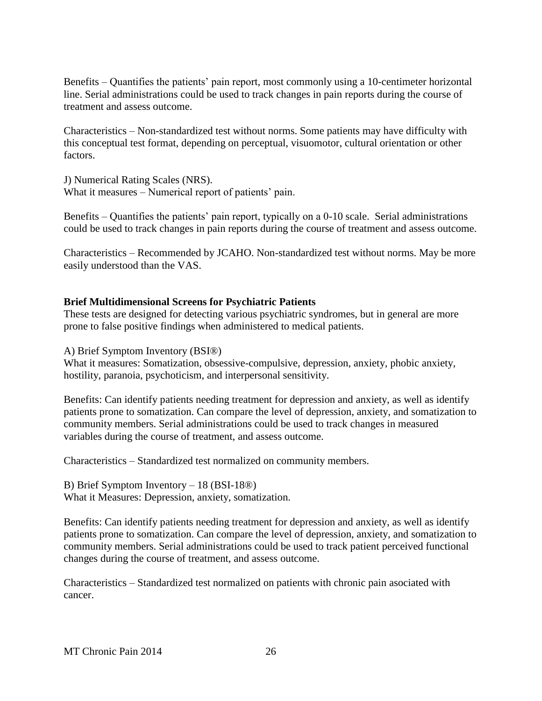Benefits – Quantifies the patients' pain report, most commonly using a 10-centimeter horizontal line. Serial administrations could be used to track changes in pain reports during the course of treatment and assess outcome.

Characteristics – Non-standardized test without norms. Some patients may have difficulty with this conceptual test format, depending on perceptual, visuomotor, cultural orientation or other factors.

J) Numerical Rating Scales (NRS). What it measures – Numerical report of patients' pain.

Benefits – Quantifies the patients' pain report, typically on a 0-10 scale. Serial administrations could be used to track changes in pain reports during the course of treatment and assess outcome.

Characteristics – Recommended by JCAHO. Non-standardized test without norms. May be more easily understood than the VAS.

#### **Brief Multidimensional Screens for Psychiatric Patients**

These tests are designed for detecting various psychiatric syndromes, but in general are more prone to false positive findings when administered to medical patients.

A) Brief Symptom Inventory (BSI®)

What it measures: Somatization, obsessive-compulsive, depression, anxiety, phobic anxiety, hostility, paranoia, psychoticism, and interpersonal sensitivity.

Benefits: Can identify patients needing treatment for depression and anxiety, as well as identify patients prone to somatization. Can compare the level of depression, anxiety, and somatization to community members. Serial administrations could be used to track changes in measured variables during the course of treatment, and assess outcome.

Characteristics – Standardized test normalized on community members.

B) Brief Symptom Inventory – 18 (BSI-18®) What it Measures: Depression, anxiety, somatization.

Benefits: Can identify patients needing treatment for depression and anxiety, as well as identify patients prone to somatization. Can compare the level of depression, anxiety, and somatization to community members. Serial administrations could be used to track patient perceived functional changes during the course of treatment, and assess outcome.

Characteristics – Standardized test normalized on patients with chronic pain asociated with cancer.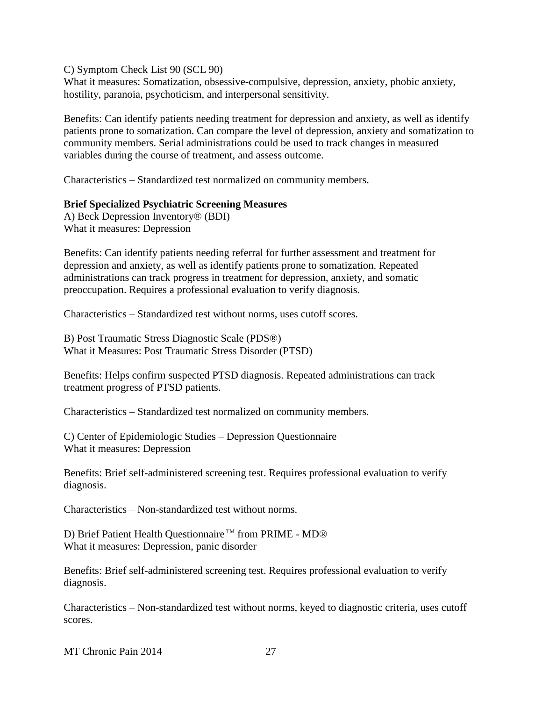C) Symptom Check List 90 (SCL 90)

What it measures: Somatization, obsessive-compulsive, depression, anxiety, phobic anxiety, hostility, paranoia, psychoticism, and interpersonal sensitivity.

Benefits: Can identify patients needing treatment for depression and anxiety, as well as identify patients prone to somatization. Can compare the level of depression, anxiety and somatization to community members. Serial administrations could be used to track changes in measured variables during the course of treatment, and assess outcome.

Characteristics – Standardized test normalized on community members.

#### **Brief Specialized Psychiatric Screening Measures**

A) Beck Depression Inventory® (BDI) What it measures: Depression

Benefits: Can identify patients needing referral for further assessment and treatment for depression and anxiety, as well as identify patients prone to somatization. Repeated administrations can track progress in treatment for depression, anxiety, and somatic preoccupation. Requires a professional evaluation to verify diagnosis.

Characteristics – Standardized test without norms, uses cutoff scores.

B) Post Traumatic Stress Diagnostic Scale (PDS®) What it Measures: Post Traumatic Stress Disorder (PTSD)

Benefits: Helps confirm suspected PTSD diagnosis. Repeated administrations can track treatment progress of PTSD patients.

Characteristics – Standardized test normalized on community members.

C) Center of Epidemiologic Studies – Depression Questionnaire What it measures: Depression

Benefits: Brief self-administered screening test. Requires professional evaluation to verify diagnosis.

Characteristics – Non-standardized test without norms.

D) Brief Patient Health Questionnaire<sup>™</sup> from PRIME - MD® What it measures: Depression, panic disorder

Benefits: Brief self-administered screening test. Requires professional evaluation to verify diagnosis.

Characteristics – Non-standardized test without norms, keyed to diagnostic criteria, uses cutoff scores.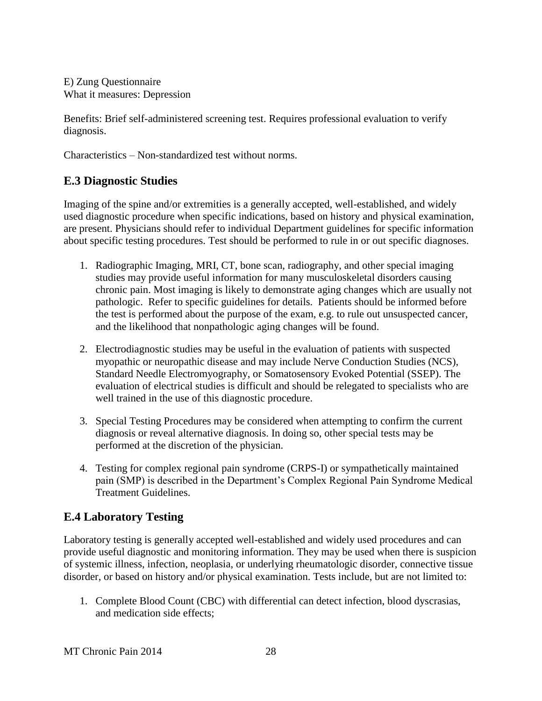E) Zung Questionnaire What it measures: Depression

Benefits: Brief self-administered screening test. Requires professional evaluation to verify diagnosis.

Characteristics – Non-standardized test without norms.

### <span id="page-27-0"></span>**E.3 Diagnostic Studies**

Imaging of the spine and/or extremities is a generally accepted, well-established, and widely used diagnostic procedure when specific indications, based on history and physical examination, are present. Physicians should refer to individual Department guidelines for specific information about specific testing procedures. Test should be performed to rule in or out specific diagnoses.

- 1. Radiographic Imaging, MRI, CT, bone scan, radiography, and other special imaging studies may provide useful information for many musculoskeletal disorders causing chronic pain. Most imaging is likely to demonstrate aging changes which are usually not pathologic. Refer to specific guidelines for details. Patients should be informed before the test is performed about the purpose of the exam, e.g. to rule out unsuspected cancer, and the likelihood that nonpathologic aging changes will be found.
- 2. Electrodiagnostic studies may be useful in the evaluation of patients with suspected myopathic or neuropathic disease and may include Nerve Conduction Studies (NCS), Standard Needle Electromyography, or Somatosensory Evoked Potential (SSEP). The evaluation of electrical studies is difficult and should be relegated to specialists who are well trained in the use of this diagnostic procedure.
- 3. Special Testing Procedures may be considered when attempting to confirm the current diagnosis or reveal alternative diagnosis. In doing so, other special tests may be performed at the discretion of the physician.
- 4. Testing for complex regional pain syndrome (CRPS-I) or sympathetically maintained pain (SMP) is described in the Department's Complex Regional Pain Syndrome Medical Treatment Guidelines.

## <span id="page-27-1"></span>**E.4 Laboratory Testing**

Laboratory testing is generally accepted well-established and widely used procedures and can provide useful diagnostic and monitoring information. They may be used when there is suspicion of systemic illness, infection, neoplasia, or underlying rheumatologic disorder, connective tissue disorder, or based on history and/or physical examination. Tests include, but are not limited to:

1. Complete Blood Count (CBC) with differential can detect infection, blood dyscrasias, and medication side effects;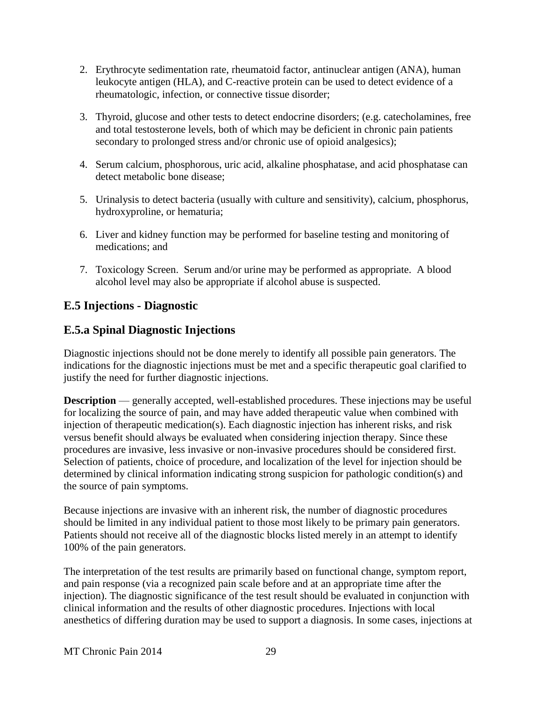- 2. Erythrocyte sedimentation rate, rheumatoid factor, antinuclear antigen (ANA), human leukocyte antigen (HLA), and C-reactive protein can be used to detect evidence of a rheumatologic, infection, or connective tissue disorder;
- 3. Thyroid, glucose and other tests to detect endocrine disorders; (e.g. catecholamines, free and total testosterone levels, both of which may be deficient in chronic pain patients secondary to prolonged stress and/or chronic use of opioid analgesics);
- 4. Serum calcium, phosphorous, uric acid, alkaline phosphatase, and acid phosphatase can detect metabolic bone disease;
- 5. Urinalysis to detect bacteria (usually with culture and sensitivity), calcium, phosphorus, hydroxyproline, or hematuria;
- 6. Liver and kidney function may be performed for baseline testing and monitoring of medications; and
- 7. Toxicology Screen. Serum and/or urine may be performed as appropriate. A blood alcohol level may also be appropriate if alcohol abuse is suspected.

# <span id="page-28-0"></span>**E.5 Injections - Diagnostic**

## <span id="page-28-1"></span>**E.5.a Spinal Diagnostic Injections**

Diagnostic injections should not be done merely to identify all possible pain generators. The indications for the diagnostic injections must be met and a specific therapeutic goal clarified to justify the need for further diagnostic injections.

**Description** — generally accepted, well-established procedures. These injections may be useful for localizing the source of pain, and may have added therapeutic value when combined with injection of therapeutic medication(s). Each diagnostic injection has inherent risks, and risk versus benefit should always be evaluated when considering injection therapy. Since these procedures are invasive, less invasive or non-invasive procedures should be considered first. Selection of patients, choice of procedure, and localization of the level for injection should be determined by clinical information indicating strong suspicion for pathologic condition(s) and the source of pain symptoms.

Because injections are invasive with an inherent risk, the number of diagnostic procedures should be limited in any individual patient to those most likely to be primary pain generators. Patients should not receive all of the diagnostic blocks listed merely in an attempt to identify 100% of the pain generators.

The interpretation of the test results are primarily based on functional change, symptom report, and pain response (via a recognized pain scale before and at an appropriate time after the injection). The diagnostic significance of the test result should be evaluated in conjunction with clinical information and the results of other diagnostic procedures. Injections with local anesthetics of differing duration may be used to support a diagnosis. In some cases, injections at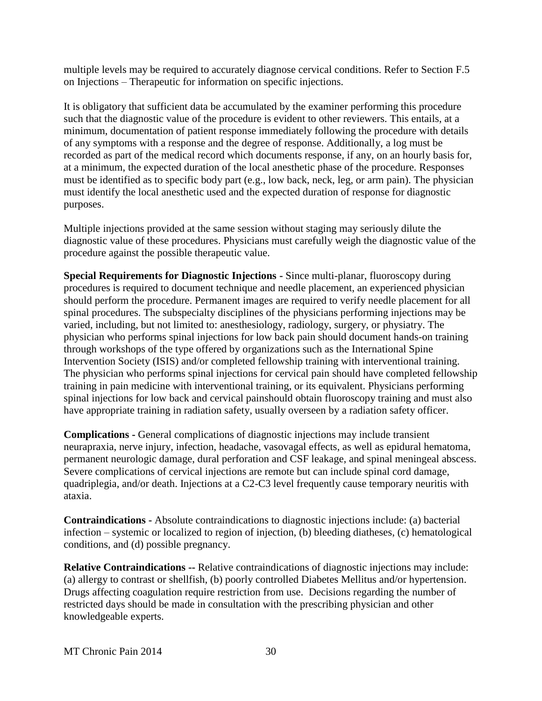multiple levels may be required to accurately diagnose cervical conditions. Refer to Section F.5 on Injections – Therapeutic for information on specific injections.

It is obligatory that sufficient data be accumulated by the examiner performing this procedure such that the diagnostic value of the procedure is evident to other reviewers. This entails, at a minimum, documentation of patient response immediately following the procedure with details of any symptoms with a response and the degree of response. Additionally, a log must be recorded as part of the medical record which documents response, if any, on an hourly basis for, at a minimum, the expected duration of the local anesthetic phase of the procedure. Responses must be identified as to specific body part (e.g., low back, neck, leg, or arm pain). The physician must identify the local anesthetic used and the expected duration of response for diagnostic purposes.

Multiple injections provided at the same session without staging may seriously dilute the diagnostic value of these procedures. Physicians must carefully weigh the diagnostic value of the procedure against the possible therapeutic value.

**Special Requirements for Diagnostic Injections -** Since multi-planar, fluoroscopy during procedures is required to document technique and needle placement, an experienced physician should perform the procedure. Permanent images are required to verify needle placement for all spinal procedures. The subspecialty disciplines of the physicians performing injections may be varied, including, but not limited to: anesthesiology, radiology, surgery, or physiatry. The physician who performs spinal injections for low back pain should document hands-on training through workshops of the type offered by organizations such as the International Spine Intervention Society (ISIS) and/or completed fellowship training with interventional training. The physician who performs spinal injections for cervical pain should have completed fellowship training in pain medicine with interventional training, or its equivalent. Physicians performing spinal injections for low back and cervical painshould obtain fluoroscopy training and must also have appropriate training in radiation safety, usually overseen by a radiation safety officer.

**Complications -** General complications of diagnostic injections may include transient neurapraxia, nerve injury, infection, headache, vasovagal effects, as well as epidural hematoma, permanent neurologic damage, dural perforation and CSF leakage, and spinal meningeal abscess. Severe complications of cervical injections are remote but can include spinal cord damage, quadriplegia, and/or death. Injections at a C2-C3 level frequently cause temporary neuritis with ataxia.

**Contraindications -** Absolute contraindications to diagnostic injections include: (a) bacterial infection – systemic or localized to region of injection, (b) bleeding diatheses, (c) hematological conditions, and (d) possible pregnancy.

**Relative Contraindications --** Relative contraindications of diagnostic injections may include: (a) allergy to contrast or shellfish, (b) poorly controlled Diabetes Mellitus and/or hypertension. Drugs affecting coagulation require restriction from use. Decisions regarding the number of restricted days should be made in consultation with the prescribing physician and other knowledgeable experts.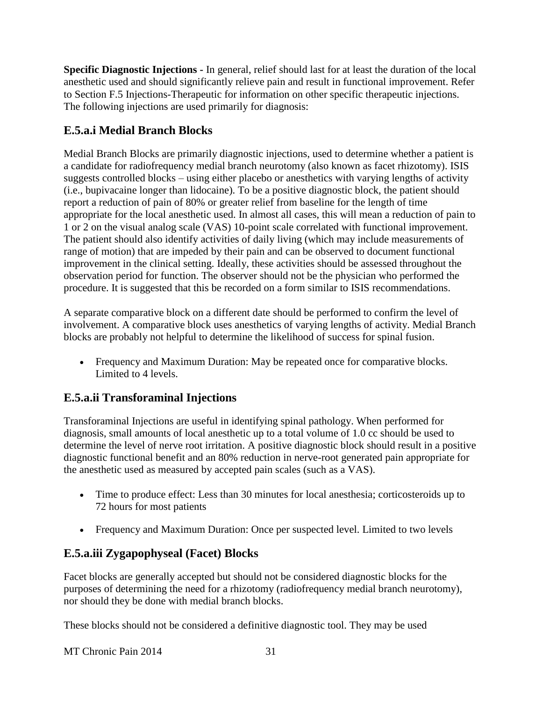**Specific Diagnostic Injections -** In general, relief should last for at least the duration of the local anesthetic used and should significantly relieve pain and result in functional improvement. Refer to Section F.5 Injections-Therapeutic for information on other specific therapeutic injections. The following injections are used primarily for diagnosis:

# <span id="page-30-0"></span>**E.5.a.i Medial Branch Blocks**

Medial Branch Blocks are primarily diagnostic injections, used to determine whether a patient is a candidate for radiofrequency medial branch neurotomy (also known as facet rhizotomy). ISIS suggests controlled blocks – using either placebo or anesthetics with varying lengths of activity (i.e., bupivacaine longer than lidocaine). To be a positive diagnostic block, the patient should report a reduction of pain of 80% or greater relief from baseline for the length of time appropriate for the local anesthetic used. In almost all cases, this will mean a reduction of pain to 1 or 2 on the visual analog scale (VAS) 10-point scale correlated with functional improvement. The patient should also identify activities of daily living (which may include measurements of range of motion) that are impeded by their pain and can be observed to document functional improvement in the clinical setting. Ideally, these activities should be assessed throughout the observation period for function. The observer should not be the physician who performed the procedure. It is suggested that this be recorded on a form similar to ISIS recommendations.

A separate comparative block on a different date should be performed to confirm the level of involvement. A comparative block uses anesthetics of varying lengths of activity. Medial Branch blocks are probably not helpful to determine the likelihood of success for spinal fusion.

 Frequency and Maximum Duration: May be repeated once for comparative blocks. Limited to 4 levels.

# <span id="page-30-1"></span>**E.5.a.ii Transforaminal Injections**

Transforaminal Injections are useful in identifying spinal pathology. When performed for diagnosis, small amounts of local anesthetic up to a total volume of 1.0 cc should be used to determine the level of nerve root irritation. A positive diagnostic block should result in a positive diagnostic functional benefit and an 80% reduction in nerve-root generated pain appropriate for the anesthetic used as measured by accepted pain scales (such as a VAS).

- Time to produce effect: Less than 30 minutes for local anesthesia; corticosteroids up to 72 hours for most patients
- Frequency and Maximum Duration: Once per suspected level. Limited to two levels

# <span id="page-30-2"></span>**E.5.a.iii Zygapophyseal (Facet) Blocks**

Facet blocks are generally accepted but should not be considered diagnostic blocks for the purposes of determining the need for a rhizotomy (radiofrequency medial branch neurotomy), nor should they be done with medial branch blocks.

These blocks should not be considered a definitive diagnostic tool. They may be used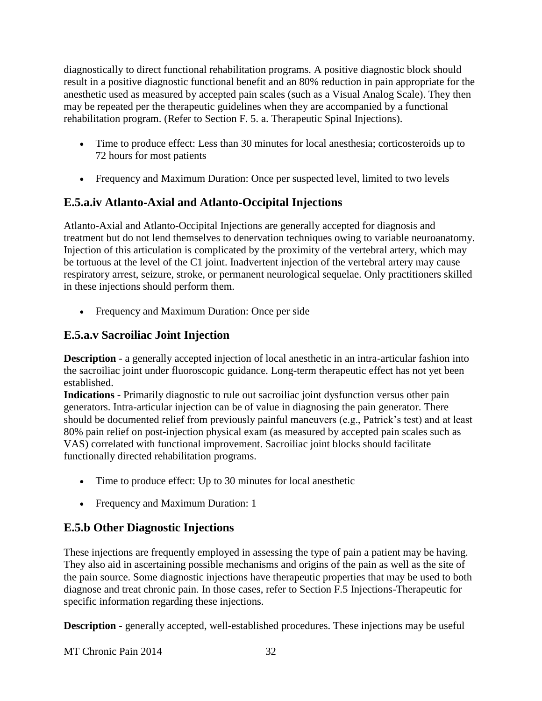diagnostically to direct functional rehabilitation programs. A positive diagnostic block should result in a positive diagnostic functional benefit and an 80% reduction in pain appropriate for the anesthetic used as measured by accepted pain scales (such as a Visual Analog Scale). They then may be repeated per the therapeutic guidelines when they are accompanied by a functional rehabilitation program. (Refer to Section F. 5. a. Therapeutic Spinal Injections).

- Time to produce effect: Less than 30 minutes for local anesthesia; corticosteroids up to 72 hours for most patients
- Frequency and Maximum Duration: Once per suspected level, limited to two levels

# <span id="page-31-0"></span>**E.5.a.iv Atlanto-Axial and Atlanto-Occipital Injections**

Atlanto-Axial and Atlanto-Occipital Injections are generally accepted for diagnosis and treatment but do not lend themselves to denervation techniques owing to variable neuroanatomy. Injection of this articulation is complicated by the proximity of the vertebral artery, which may be tortuous at the level of the C1 joint. Inadvertent injection of the vertebral artery may cause respiratory arrest, seizure, stroke, or permanent neurological sequelae. Only practitioners skilled in these injections should perform them.

Frequency and Maximum Duration: Once per side

# <span id="page-31-1"></span>**E.5.a.v Sacroiliac Joint Injection**

**Description** - a generally accepted injection of local anesthetic in an intra-articular fashion into the sacroiliac joint under fluoroscopic guidance. Long-term therapeutic effect has not yet been established.

**Indications** - Primarily diagnostic to rule out sacroiliac joint dysfunction versus other pain generators. Intra-articular injection can be of value in diagnosing the pain generator. There should be documented relief from previously painful maneuvers (e.g., Patrick's test) and at least 80% pain relief on post-injection physical exam (as measured by accepted pain scales such as VAS) correlated with functional improvement. Sacroiliac joint blocks should facilitate functionally directed rehabilitation programs.

- Time to produce effect: Up to 30 minutes for local anesthetic
- Frequency and Maximum Duration: 1

## <span id="page-31-2"></span>**E.5.b Other Diagnostic Injections**

These injections are frequently employed in assessing the type of pain a patient may be having. They also aid in ascertaining possible mechanisms and origins of the pain as well as the site of the pain source. Some diagnostic injections have therapeutic properties that may be used to both diagnose and treat chronic pain. In those cases, refer to Section F.5 Injections-Therapeutic for specific information regarding these injections.

**Description -** generally accepted, well-established procedures. These injections may be useful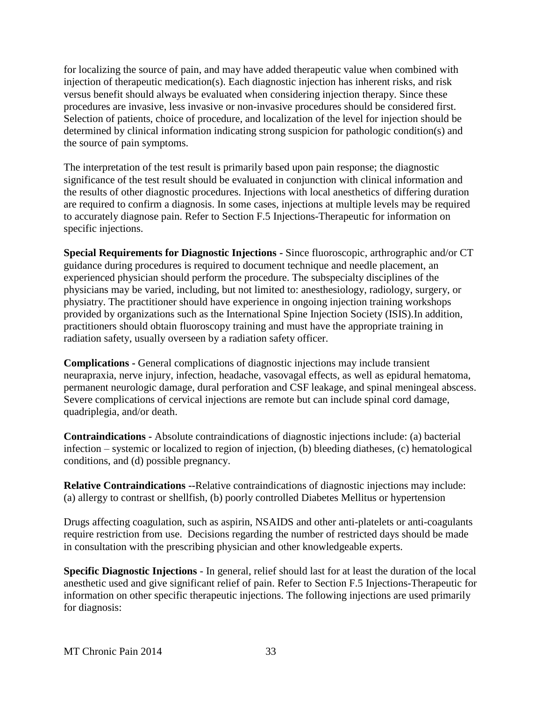for localizing the source of pain, and may have added therapeutic value when combined with injection of therapeutic medication(s). Each diagnostic injection has inherent risks, and risk versus benefit should always be evaluated when considering injection therapy. Since these procedures are invasive, less invasive or non-invasive procedures should be considered first. Selection of patients, choice of procedure, and localization of the level for injection should be determined by clinical information indicating strong suspicion for pathologic condition(s) and the source of pain symptoms.

The interpretation of the test result is primarily based upon pain response; the diagnostic significance of the test result should be evaluated in conjunction with clinical information and the results of other diagnostic procedures. Injections with local anesthetics of differing duration are required to confirm a diagnosis. In some cases, injections at multiple levels may be required to accurately diagnose pain. Refer to Section F.5 Injections-Therapeutic for information on specific injections.

**Special Requirements for Diagnostic Injections -** Since fluoroscopic, arthrographic and/or CT guidance during procedures is required to document technique and needle placement, an experienced physician should perform the procedure. The subspecialty disciplines of the physicians may be varied, including, but not limited to: anesthesiology, radiology, surgery, or physiatry. The practitioner should have experience in ongoing injection training workshops provided by organizations such as the International Spine Injection Society (ISIS).In addition, practitioners should obtain fluoroscopy training and must have the appropriate training in radiation safety, usually overseen by a radiation safety officer.

**Complications -** General complications of diagnostic injections may include transient neurapraxia, nerve injury, infection, headache, vasovagal effects, as well as epidural hematoma, permanent neurologic damage, dural perforation and CSF leakage, and spinal meningeal abscess. Severe complications of cervical injections are remote but can include spinal cord damage, quadriplegia, and/or death.

**Contraindications -** Absolute contraindications of diagnostic injections include: (a) bacterial infection – systemic or localized to region of injection, (b) bleeding diatheses, (c) hematological conditions, and (d) possible pregnancy.

**Relative Contraindications --**Relative contraindications of diagnostic injections may include: (a) allergy to contrast or shellfish, (b) poorly controlled Diabetes Mellitus or hypertension

Drugs affecting coagulation, such as aspirin, NSAIDS and other anti-platelets or anti-coagulants require restriction from use. Decisions regarding the number of restricted days should be made in consultation with the prescribing physician and other knowledgeable experts.

**Specific Diagnostic Injections** - In general, relief should last for at least the duration of the local anesthetic used and give significant relief of pain. Refer to Section F.5 Injections-Therapeutic for information on other specific therapeutic injections. The following injections are used primarily for diagnosis: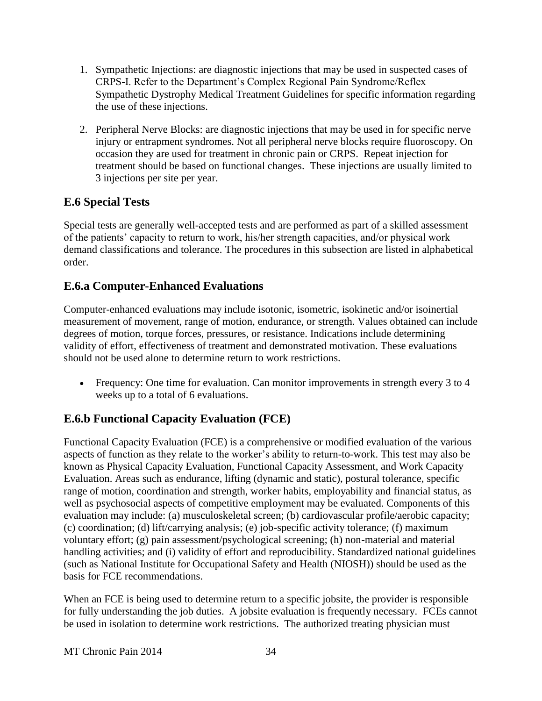- 1. Sympathetic Injections: are diagnostic injections that may be used in suspected cases of CRPS-I. Refer to the Department's Complex Regional Pain Syndrome/Reflex Sympathetic Dystrophy Medical Treatment Guidelines for specific information regarding the use of these injections.
- 2. Peripheral Nerve Blocks: are diagnostic injections that may be used in for specific nerve injury or entrapment syndromes. Not all peripheral nerve blocks require fluoroscopy. On occasion they are used for treatment in chronic pain or CRPS. Repeat injection for treatment should be based on functional changes. These injections are usually limited to 3 injections per site per year.

# <span id="page-33-0"></span>**E.6 Special Tests**

Special tests are generally well-accepted tests and are performed as part of a skilled assessment of the patients' capacity to return to work, his/her strength capacities, and/or physical work demand classifications and tolerance. The procedures in this subsection are listed in alphabetical order.

## <span id="page-33-1"></span>**E.6.a Computer-Enhanced Evaluations**

Computer-enhanced evaluations may include isotonic, isometric, isokinetic and/or isoinertial measurement of movement, range of motion, endurance, or strength. Values obtained can include degrees of motion, torque forces, pressures, or resistance. Indications include determining validity of effort, effectiveness of treatment and demonstrated motivation. These evaluations should not be used alone to determine return to work restrictions.

• Frequency: One time for evaluation. Can monitor improvements in strength every 3 to 4 weeks up to a total of 6 evaluations.

## <span id="page-33-2"></span>**E.6.b Functional Capacity Evaluation (FCE)**

Functional Capacity Evaluation (FCE) is a comprehensive or modified evaluation of the various aspects of function as they relate to the worker's ability to return-to-work. This test may also be known as Physical Capacity Evaluation, Functional Capacity Assessment, and Work Capacity Evaluation. Areas such as endurance, lifting (dynamic and static), postural tolerance, specific range of motion, coordination and strength, worker habits, employability and financial status, as well as psychosocial aspects of competitive employment may be evaluated. Components of this evaluation may include: (a) musculoskeletal screen; (b) cardiovascular profile/aerobic capacity; (c) coordination; (d) lift/carrying analysis; (e) job-specific activity tolerance; (f) maximum voluntary effort; (g) pain assessment/psychological screening; (h) non-material and material handling activities; and (i) validity of effort and reproducibility. Standardized national guidelines (such as National Institute for Occupational Safety and Health (NIOSH)) should be used as the basis for FCE recommendations.

When an FCE is being used to determine return to a specific jobsite, the provider is responsible for fully understanding the job duties. A jobsite evaluation is frequently necessary. FCEs cannot be used in isolation to determine work restrictions. The authorized treating physician must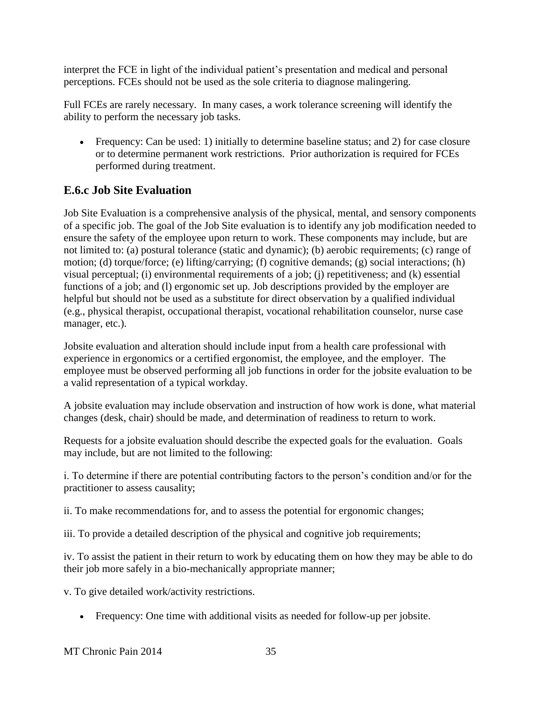interpret the FCE in light of the individual patient's presentation and medical and personal perceptions. FCEs should not be used as the sole criteria to diagnose malingering.

Full FCEs are rarely necessary. In many cases, a work tolerance screening will identify the ability to perform the necessary job tasks.

 Frequency: Can be used: 1) initially to determine baseline status; and 2) for case closure or to determine permanent work restrictions. Prior authorization is required for FCEs performed during treatment.

# <span id="page-34-0"></span>**E.6.c Job Site Evaluation**

Job Site Evaluation is a comprehensive analysis of the physical, mental, and sensory components of a specific job. The goal of the Job Site evaluation is to identify any job modification needed to ensure the safety of the employee upon return to work. These components may include, but are not limited to: (a) postural tolerance (static and dynamic); (b) aerobic requirements; (c) range of motion; (d) torque/force; (e) lifting/carrying; (f) cognitive demands; (g) social interactions; (h) visual perceptual; (i) environmental requirements of a job; (j) repetitiveness; and (k) essential functions of a job; and (l) ergonomic set up. Job descriptions provided by the employer are helpful but should not be used as a substitute for direct observation by a qualified individual (e.g., physical therapist, occupational therapist, vocational rehabilitation counselor, nurse case manager, etc.).

Jobsite evaluation and alteration should include input from a health care professional with experience in ergonomics or a certified ergonomist, the employee, and the employer. The employee must be observed performing all job functions in order for the jobsite evaluation to be a valid representation of a typical workday.

A jobsite evaluation may include observation and instruction of how work is done, what material changes (desk, chair) should be made, and determination of readiness to return to work.

Requests for a jobsite evaluation should describe the expected goals for the evaluation. Goals may include, but are not limited to the following:

i. To determine if there are potential contributing factors to the person's condition and/or for the practitioner to assess causality;

ii. To make recommendations for, and to assess the potential for ergonomic changes;

iii. To provide a detailed description of the physical and cognitive job requirements;

iv. To assist the patient in their return to work by educating them on how they may be able to do their job more safely in a bio-mechanically appropriate manner;

v. To give detailed work/activity restrictions.

Frequency: One time with additional visits as needed for follow-up per jobsite.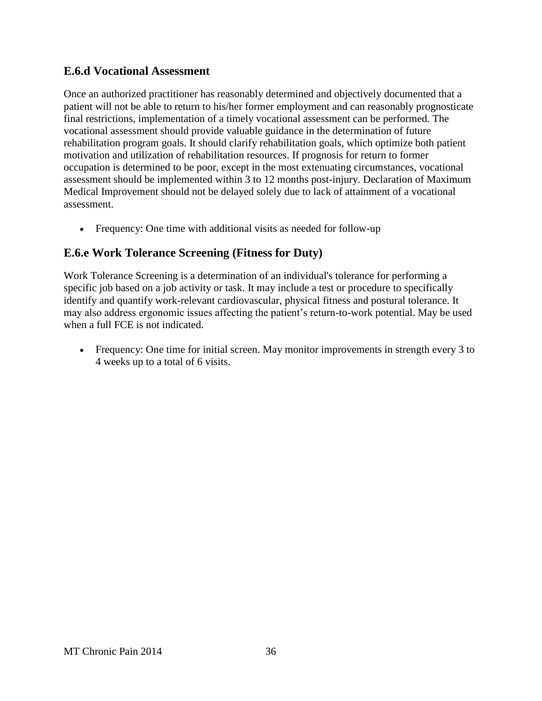### <span id="page-35-0"></span>**E.6.d Vocational Assessment**

Once an authorized practitioner has reasonably determined and objectively documented that a patient will not be able to return to his/her former employment and can reasonably prognosticate final restrictions, implementation of a timely vocational assessment can be performed. The vocational assessment should provide valuable guidance in the determination of future rehabilitation program goals. It should clarify rehabilitation goals, which optimize both patient motivation and utilization of rehabilitation resources. If prognosis for return to former occupation is determined to be poor, except in the most extenuating circumstances, vocational assessment should be implemented within 3 to 12 months post-injury. Declaration of Maximum Medical Improvement should not be delayed solely due to lack of attainment of a vocational assessment.

Frequency: One time with additional visits as needed for follow-up

### <span id="page-35-1"></span>**E.6.e Work Tolerance Screening (Fitness for Duty)**

Work Tolerance Screening is a determination of an individual's tolerance for performing a specific job based on a job activity or task. It may include a test or procedure to specifically identify and quantify work-relevant cardiovascular, physical fitness and postural tolerance. It may also address ergonomic issues affecting the patient's return-to-work potential. May be used when a full FCE is not indicated.

• Frequency: One time for initial screen. May monitor improvements in strength every 3 to 4 weeks up to a total of 6 visits.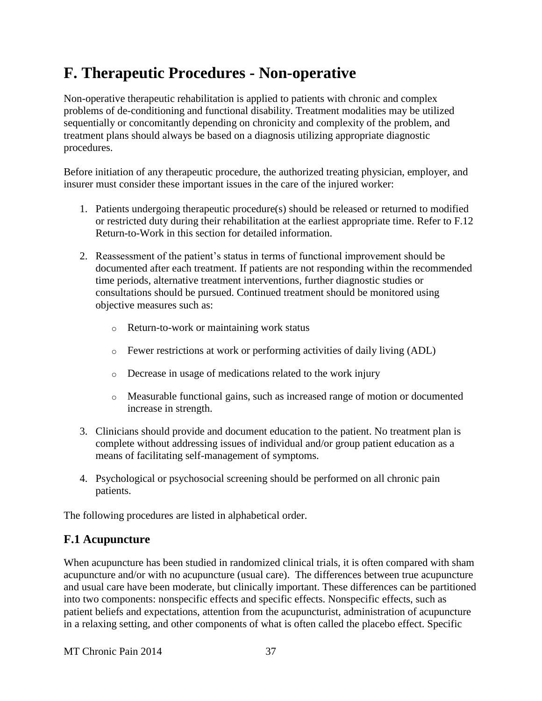# **F. Therapeutic Procedures - Non-operative**

Non-operative therapeutic rehabilitation is applied to patients with chronic and complex problems of de-conditioning and functional disability. Treatment modalities may be utilized sequentially or concomitantly depending on chronicity and complexity of the problem, and treatment plans should always be based on a diagnosis utilizing appropriate diagnostic procedures.

Before initiation of any therapeutic procedure, the authorized treating physician, employer, and insurer must consider these important issues in the care of the injured worker:

- 1. Patients undergoing therapeutic procedure(s) should be released or returned to modified or restricted duty during their rehabilitation at the earliest appropriate time. Refer to F.12 Return-to-Work in this section for detailed information.
- 2. Reassessment of the patient's status in terms of functional improvement should be documented after each treatment. If patients are not responding within the recommended time periods, alternative treatment interventions, further diagnostic studies or consultations should be pursued. Continued treatment should be monitored using objective measures such as:
	- o Return-to-work or maintaining work status
	- o Fewer restrictions at work or performing activities of daily living (ADL)
	- o Decrease in usage of medications related to the work injury
	- o Measurable functional gains, such as increased range of motion or documented increase in strength.
- 3. Clinicians should provide and document education to the patient. No treatment plan is complete without addressing issues of individual and/or group patient education as a means of facilitating self-management of symptoms.
- 4. Psychological or psychosocial screening should be performed on all chronic pain patients.

The following procedures are listed in alphabetical order.

# **F.1 Acupuncture**

When acupuncture has been studied in randomized clinical trials, it is often compared with sham acupuncture and/or with no acupuncture (usual care). The differences between true acupuncture and usual care have been moderate, but clinically important. These differences can be partitioned into two components: nonspecific effects and specific effects. Nonspecific effects, such as patient beliefs and expectations, attention from the acupuncturist, administration of acupuncture in a relaxing setting, and other components of what is often called the placebo effect. Specific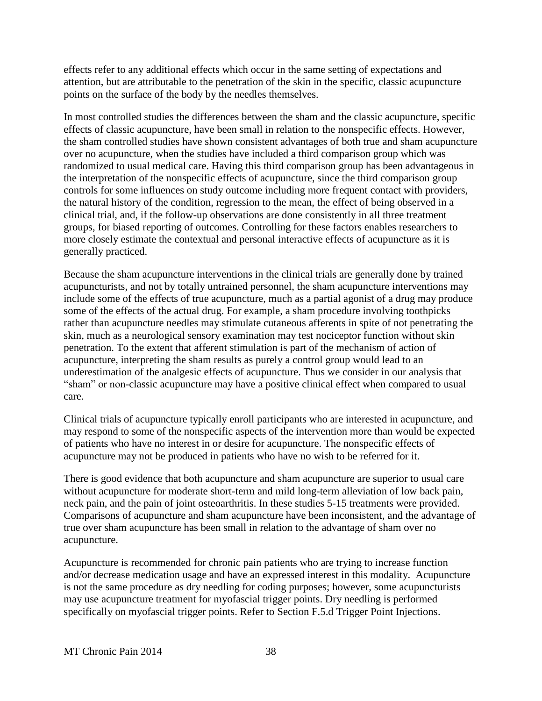effects refer to any additional effects which occur in the same setting of expectations and attention, but are attributable to the penetration of the skin in the specific, classic acupuncture points on the surface of the body by the needles themselves.

In most controlled studies the differences between the sham and the classic acupuncture, specific effects of classic acupuncture, have been small in relation to the nonspecific effects. However, the sham controlled studies have shown consistent advantages of both true and sham acupuncture over no acupuncture, when the studies have included a third comparison group which was randomized to usual medical care. Having this third comparison group has been advantageous in the interpretation of the nonspecific effects of acupuncture, since the third comparison group controls for some influences on study outcome including more frequent contact with providers, the natural history of the condition, regression to the mean, the effect of being observed in a clinical trial, and, if the follow-up observations are done consistently in all three treatment groups, for biased reporting of outcomes. Controlling for these factors enables researchers to more closely estimate the contextual and personal interactive effects of acupuncture as it is generally practiced.

Because the sham acupuncture interventions in the clinical trials are generally done by trained acupuncturists, and not by totally untrained personnel, the sham acupuncture interventions may include some of the effects of true acupuncture, much as a partial agonist of a drug may produce some of the effects of the actual drug. For example, a sham procedure involving toothpicks rather than acupuncture needles may stimulate cutaneous afferents in spite of not penetrating the skin, much as a neurological sensory examination may test nociceptor function without skin penetration. To the extent that afferent stimulation is part of the mechanism of action of acupuncture, interpreting the sham results as purely a control group would lead to an underestimation of the analgesic effects of acupuncture. Thus we consider in our analysis that "sham" or non-classic acupuncture may have a positive clinical effect when compared to usual care.

Clinical trials of acupuncture typically enroll participants who are interested in acupuncture, and may respond to some of the nonspecific aspects of the intervention more than would be expected of patients who have no interest in or desire for acupuncture. The nonspecific effects of acupuncture may not be produced in patients who have no wish to be referred for it.

There is good evidence that both acupuncture and sham acupuncture are superior to usual care without acupuncture for moderate short-term and mild long-term alleviation of low back pain, neck pain, and the pain of joint osteoarthritis. In these studies 5-15 treatments were provided. Comparisons of acupuncture and sham acupuncture have been inconsistent, and the advantage of true over sham acupuncture has been small in relation to the advantage of sham over no acupuncture.

Acupuncture is recommended for chronic pain patients who are trying to increase function and/or decrease medication usage and have an expressed interest in this modality. Acupuncture is not the same procedure as dry needling for coding purposes; however, some acupuncturists may use acupuncture treatment for myofascial trigger points. Dry needling is performed specifically on myofascial trigger points. Refer to Section F.5.d Trigger Point Injections.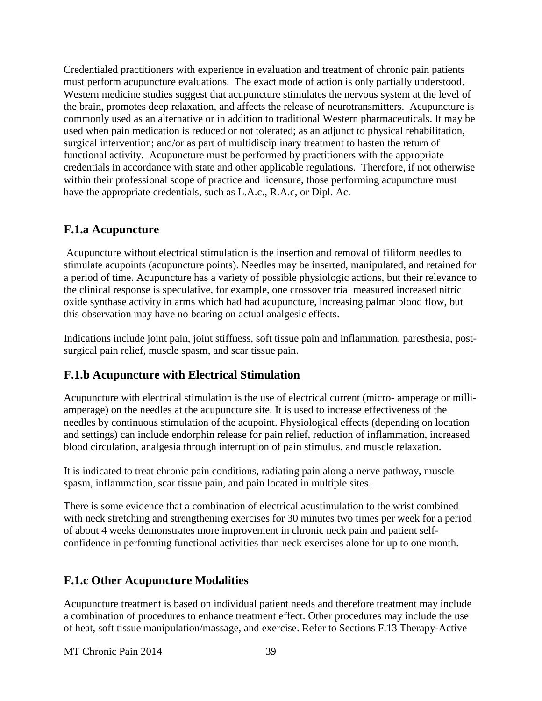Credentialed practitioners with experience in evaluation and treatment of chronic pain patients must perform acupuncture evaluations. The exact mode of action is only partially understood. Western medicine studies suggest that acupuncture stimulates the nervous system at the level of the brain, promotes deep relaxation, and affects the release of neurotransmitters. Acupuncture is commonly used as an alternative or in addition to traditional Western pharmaceuticals. It may be used when pain medication is reduced or not tolerated; as an adjunct to physical rehabilitation, surgical intervention; and/or as part of multidisciplinary treatment to hasten the return of functional activity. Acupuncture must be performed by practitioners with the appropriate credentials in accordance with state and other applicable regulations. Therefore, if not otherwise within their professional scope of practice and licensure, those performing acupuncture must have the appropriate credentials, such as L.A.c., R.A.c, or Dipl. Ac.

#### **F.1.a Acupuncture**

Acupuncture without electrical stimulation is the insertion and removal of filiform needles to stimulate acupoints (acupuncture points). Needles may be inserted, manipulated, and retained for a period of time. Acupuncture has a variety of possible physiologic actions, but their relevance to the clinical response is speculative, for example, one crossover trial measured increased nitric oxide synthase activity in arms which had had acupuncture, increasing palmar blood flow, but this observation may have no bearing on actual analgesic effects.

Indications include joint pain, joint stiffness, soft tissue pain and inflammation, paresthesia, postsurgical pain relief, muscle spasm, and scar tissue pain.

### **F.1.b Acupuncture with Electrical Stimulation**

Acupuncture with electrical stimulation is the use of electrical current (micro- amperage or milliamperage) on the needles at the acupuncture site. It is used to increase effectiveness of the needles by continuous stimulation of the acupoint. Physiological effects (depending on location and settings) can include endorphin release for pain relief, reduction of inflammation, increased blood circulation, analgesia through interruption of pain stimulus, and muscle relaxation.

It is indicated to treat chronic pain conditions, radiating pain along a nerve pathway, muscle spasm, inflammation, scar tissue pain, and pain located in multiple sites.

There is some evidence that a combination of electrical acustimulation to the wrist combined with neck stretching and strengthening exercises for 30 minutes two times per week for a period of about 4 weeks demonstrates more improvement in chronic neck pain and patient selfconfidence in performing functional activities than neck exercises alone for up to one month.

### **F.1.c Other Acupuncture Modalities**

Acupuncture treatment is based on individual patient needs and therefore treatment may include a combination of procedures to enhance treatment effect. Other procedures may include the use of heat, soft tissue manipulation/massage, and exercise. Refer to Sections F.13 Therapy-Active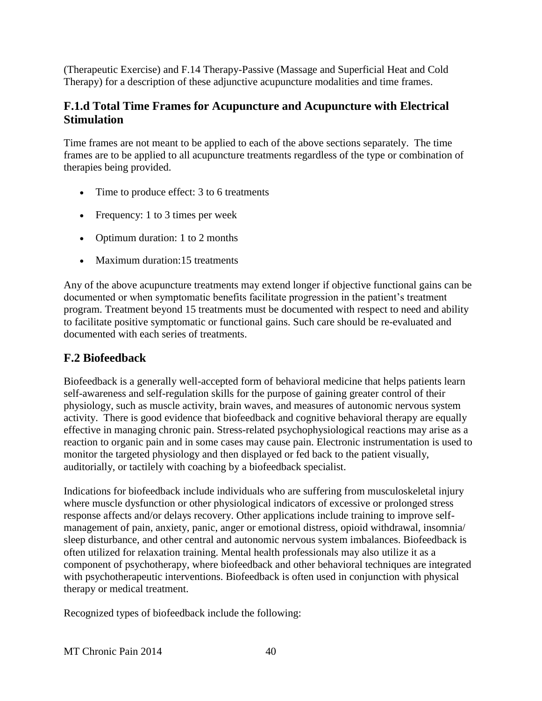(Therapeutic Exercise) and F.14 Therapy-Passive (Massage and Superficial Heat and Cold Therapy) for a description of these adjunctive acupuncture modalities and time frames.

### **F.1.d Total Time Frames for Acupuncture and Acupuncture with Electrical Stimulation**

Time frames are not meant to be applied to each of the above sections separately. The time frames are to be applied to all acupuncture treatments regardless of the type or combination of therapies being provided.

- Time to produce effect: 3 to 6 treatments
- Frequency: 1 to 3 times per week
- Optimum duration: 1 to 2 months
- Maximum duration: 15 treatments

Any of the above acupuncture treatments may extend longer if objective functional gains can be documented or when symptomatic benefits facilitate progression in the patient's treatment program. Treatment beyond 15 treatments must be documented with respect to need and ability to facilitate positive symptomatic or functional gains. Such care should be re-evaluated and documented with each series of treatments.

# **F.2 Biofeedback**

Biofeedback is a generally well-accepted form of behavioral medicine that helps patients learn self-awareness and self-regulation skills for the purpose of gaining greater control of their physiology, such as muscle activity, brain waves, and measures of autonomic nervous system activity. There is good evidence that biofeedback and cognitive behavioral therapy are equally effective in managing chronic pain. Stress-related psychophysiological reactions may arise as a reaction to organic pain and in some cases may cause pain. Electronic instrumentation is used to monitor the targeted physiology and then displayed or fed back to the patient visually, auditorially, or tactilely with coaching by a biofeedback specialist.

Indications for biofeedback include individuals who are suffering from musculoskeletal injury where muscle dysfunction or other physiological indicators of excessive or prolonged stress response affects and/or delays recovery. Other applications include training to improve selfmanagement of pain, anxiety, panic, anger or emotional distress, opioid withdrawal, insomnia/ sleep disturbance, and other central and autonomic nervous system imbalances. Biofeedback is often utilized for relaxation training. Mental health professionals may also utilize it as a component of psychotherapy, where biofeedback and other behavioral techniques are integrated with psychotherapeutic interventions. Biofeedback is often used in conjunction with physical therapy or medical treatment.

Recognized types of biofeedback include the following: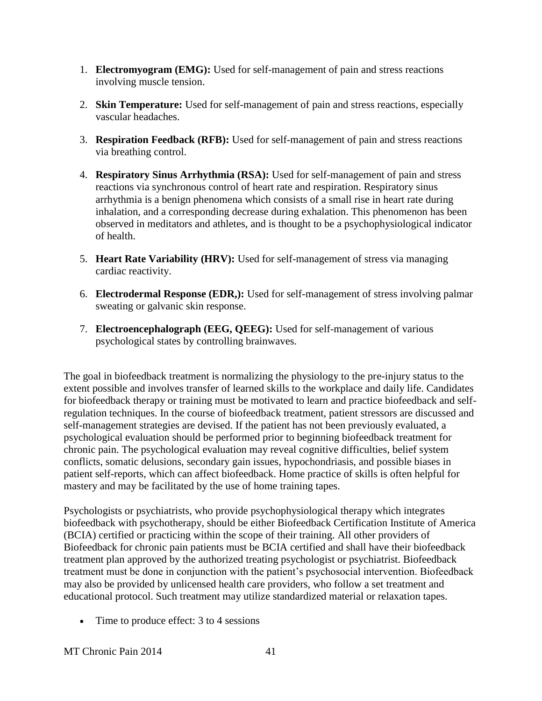- 1. **Electromyogram (EMG):** Used for self-management of pain and stress reactions involving muscle tension.
- 2. **Skin Temperature:** Used for self-management of pain and stress reactions, especially vascular headaches.
- 3. **Respiration Feedback (RFB):** Used for self-management of pain and stress reactions via breathing control.
- 4. **Respiratory Sinus Arrhythmia (RSA):** Used for self-management of pain and stress reactions via synchronous control of heart rate and respiration. Respiratory sinus arrhythmia is a benign phenomena which consists of a small rise in heart rate during inhalation, and a corresponding decrease during exhalation. This phenomenon has been observed in meditators and athletes, and is thought to be a psychophysiological indicator of health.
- 5. **Heart Rate Variability (HRV):** Used for self-management of stress via managing cardiac reactivity.
- 6. **Electrodermal Response (EDR,):** Used for self-management of stress involving palmar sweating or galvanic skin response.
- 7. **Electroencephalograph (EEG, QEEG):** Used for self-management of various psychological states by controlling brainwaves.

The goal in biofeedback treatment is normalizing the physiology to the pre-injury status to the extent possible and involves transfer of learned skills to the workplace and daily life. Candidates for biofeedback therapy or training must be motivated to learn and practice biofeedback and selfregulation techniques. In the course of biofeedback treatment, patient stressors are discussed and self-management strategies are devised. If the patient has not been previously evaluated, a psychological evaluation should be performed prior to beginning biofeedback treatment for chronic pain. The psychological evaluation may reveal cognitive difficulties, belief system conflicts, somatic delusions, secondary gain issues, hypochondriasis, and possible biases in patient self-reports, which can affect biofeedback. Home practice of skills is often helpful for mastery and may be facilitated by the use of home training tapes.

Psychologists or psychiatrists, who provide psychophysiological therapy which integrates biofeedback with psychotherapy, should be either Biofeedback Certification Institute of America (BCIA) certified or practicing within the scope of their training. All other providers of Biofeedback for chronic pain patients must be BCIA certified and shall have their biofeedback treatment plan approved by the authorized treating psychologist or psychiatrist. Biofeedback treatment must be done in conjunction with the patient's psychosocial intervention. Biofeedback may also be provided by unlicensed health care providers, who follow a set treatment and educational protocol. Such treatment may utilize standardized material or relaxation tapes.

• Time to produce effect: 3 to 4 sessions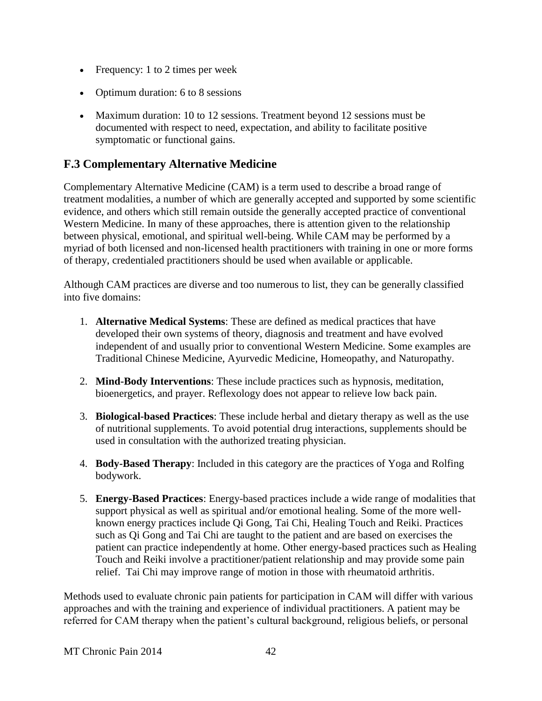- Frequency: 1 to 2 times per week
- Optimum duration: 6 to 8 sessions
- Maximum duration: 10 to 12 sessions. Treatment beyond 12 sessions must be documented with respect to need, expectation, and ability to facilitate positive symptomatic or functional gains.

#### **F.3 Complementary Alternative Medicine**

Complementary Alternative Medicine (CAM) is a term used to describe a broad range of treatment modalities, a number of which are generally accepted and supported by some scientific evidence, and others which still remain outside the generally accepted practice of conventional Western Medicine. In many of these approaches, there is attention given to the relationship between physical, emotional, and spiritual well-being. While CAM may be performed by a myriad of both licensed and non-licensed health practitioners with training in one or more forms of therapy, credentialed practitioners should be used when available or applicable.

Although CAM practices are diverse and too numerous to list, they can be generally classified into five domains:

- 1. **Alternative Medical Systems**: These are defined as medical practices that have developed their own systems of theory, diagnosis and treatment and have evolved independent of and usually prior to conventional Western Medicine. Some examples are Traditional Chinese Medicine, Ayurvedic Medicine, Homeopathy, and Naturopathy.
- 2. **Mind-Body Interventions**: These include practices such as hypnosis, meditation, bioenergetics, and prayer. Reflexology does not appear to relieve low back pain.
- 3. **Biological-based Practices**: These include herbal and dietary therapy as well as the use of nutritional supplements. To avoid potential drug interactions, supplements should be used in consultation with the authorized treating physician.
- 4. **Body-Based Therapy**: Included in this category are the practices of Yoga and Rolfing bodywork.
- 5. **Energy-Based Practices**: Energy-based practices include a wide range of modalities that support physical as well as spiritual and/or emotional healing. Some of the more wellknown energy practices include Qi Gong, Tai Chi, Healing Touch and Reiki. Practices such as Qi Gong and Tai Chi are taught to the patient and are based on exercises the patient can practice independently at home. Other energy-based practices such as Healing Touch and Reiki involve a practitioner/patient relationship and may provide some pain relief. Tai Chi may improve range of motion in those with rheumatoid arthritis.

Methods used to evaluate chronic pain patients for participation in CAM will differ with various approaches and with the training and experience of individual practitioners. A patient may be referred for CAM therapy when the patient's cultural background, religious beliefs, or personal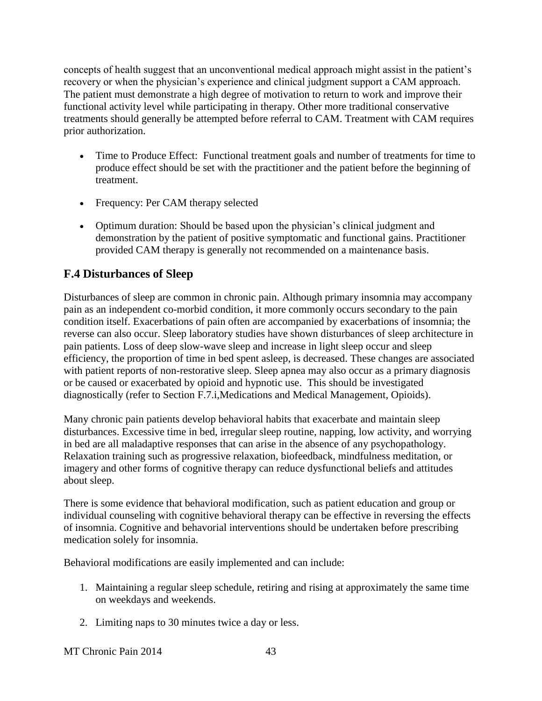concepts of health suggest that an unconventional medical approach might assist in the patient's recovery or when the physician's experience and clinical judgment support a CAM approach. The patient must demonstrate a high degree of motivation to return to work and improve their functional activity level while participating in therapy. Other more traditional conservative treatments should generally be attempted before referral to CAM. Treatment with CAM requires prior authorization.

- Time to Produce Effect: Functional treatment goals and number of treatments for time to produce effect should be set with the practitioner and the patient before the beginning of treatment.
- Frequency: Per CAM therapy selected
- Optimum duration: Should be based upon the physician's clinical judgment and demonstration by the patient of positive symptomatic and functional gains. Practitioner provided CAM therapy is generally not recommended on a maintenance basis.

# **F.4 Disturbances of Sleep**

Disturbances of sleep are common in chronic pain. Although primary insomnia may accompany pain as an independent co-morbid condition, it more commonly occurs secondary to the pain condition itself. Exacerbations of pain often are accompanied by exacerbations of insomnia; the reverse can also occur. Sleep laboratory studies have shown disturbances of sleep architecture in pain patients. Loss of deep slow-wave sleep and increase in light sleep occur and sleep efficiency, the proportion of time in bed spent asleep, is decreased. These changes are associated with patient reports of non-restorative sleep. Sleep apnea may also occur as a primary diagnosis or be caused or exacerbated by opioid and hypnotic use. This should be investigated diagnostically (refer to Section F.7.i,Medications and Medical Management, Opioids).

Many chronic pain patients develop behavioral habits that exacerbate and maintain sleep disturbances. Excessive time in bed, irregular sleep routine, napping, low activity, and worrying in bed are all maladaptive responses that can arise in the absence of any psychopathology. Relaxation training such as progressive relaxation, biofeedback, mindfulness meditation, or imagery and other forms of cognitive therapy can reduce dysfunctional beliefs and attitudes about sleep.

There is some evidence that behavioral modification, such as patient education and group or individual counseling with cognitive behavioral therapy can be effective in reversing the effects of insomnia. Cognitive and behavorial interventions should be undertaken before prescribing medication solely for insomnia.

Behavioral modifications are easily implemented and can include:

- 1. Maintaining a regular sleep schedule, retiring and rising at approximately the same time on weekdays and weekends.
- 2. Limiting naps to 30 minutes twice a day or less.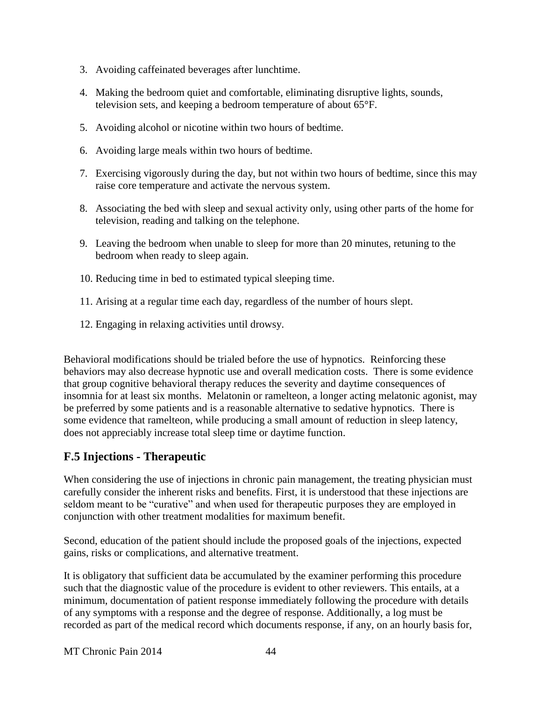- 3. Avoiding caffeinated beverages after lunchtime.
- 4. Making the bedroom quiet and comfortable, eliminating disruptive lights, sounds, television sets, and keeping a bedroom temperature of about 65°F.
- 5. Avoiding alcohol or nicotine within two hours of bedtime.
- 6. Avoiding large meals within two hours of bedtime.
- 7. Exercising vigorously during the day, but not within two hours of bedtime, since this may raise core temperature and activate the nervous system.
- 8. Associating the bed with sleep and sexual activity only, using other parts of the home for television, reading and talking on the telephone.
- 9. Leaving the bedroom when unable to sleep for more than 20 minutes, retuning to the bedroom when ready to sleep again.
- 10. Reducing time in bed to estimated typical sleeping time.
- 11. Arising at a regular time each day, regardless of the number of hours slept.
- 12. Engaging in relaxing activities until drowsy.

Behavioral modifications should be trialed before the use of hypnotics. Reinforcing these behaviors may also decrease hypnotic use and overall medication costs. There is some evidence that group cognitive behavioral therapy reduces the severity and daytime consequences of insomnia for at least six months. Melatonin or ramelteon, a longer acting melatonic agonist, may be preferred by some patients and is a reasonable alternative to sedative hypnotics. There is some evidence that ramelteon, while producing a small amount of reduction in sleep latency, does not appreciably increase total sleep time or daytime function.

# **F.5 Injections - Therapeutic**

When considering the use of injections in chronic pain management, the treating physician must carefully consider the inherent risks and benefits. First, it is understood that these injections are seldom meant to be "curative" and when used for therapeutic purposes they are employed in conjunction with other treatment modalities for maximum benefit.

Second, education of the patient should include the proposed goals of the injections, expected gains, risks or complications, and alternative treatment.

It is obligatory that sufficient data be accumulated by the examiner performing this procedure such that the diagnostic value of the procedure is evident to other reviewers. This entails, at a minimum, documentation of patient response immediately following the procedure with details of any symptoms with a response and the degree of response. Additionally, a log must be recorded as part of the medical record which documents response, if any, on an hourly basis for,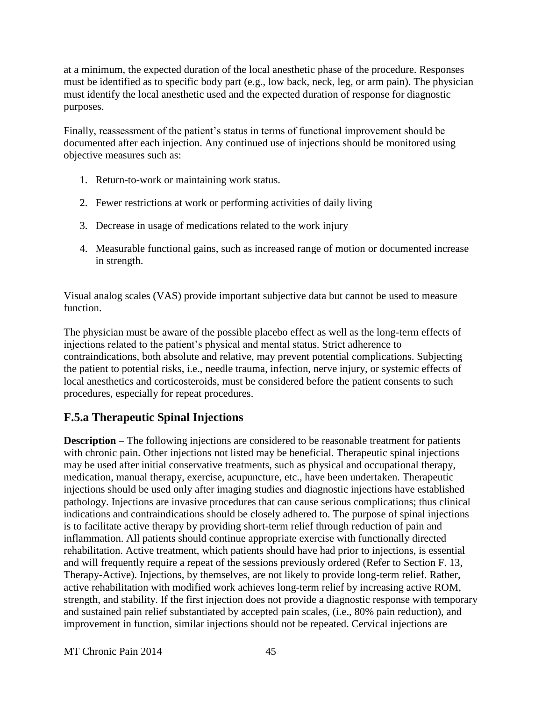at a minimum, the expected duration of the local anesthetic phase of the procedure. Responses must be identified as to specific body part (e.g., low back, neck, leg, or arm pain). The physician must identify the local anesthetic used and the expected duration of response for diagnostic purposes.

Finally, reassessment of the patient's status in terms of functional improvement should be documented after each injection. Any continued use of injections should be monitored using objective measures such as:

- 1. Return-to-work or maintaining work status.
- 2. Fewer restrictions at work or performing activities of daily living
- 3. Decrease in usage of medications related to the work injury
- 4. Measurable functional gains, such as increased range of motion or documented increase in strength.

Visual analog scales (VAS) provide important subjective data but cannot be used to measure function.

The physician must be aware of the possible placebo effect as well as the long-term effects of injections related to the patient's physical and mental status. Strict adherence to contraindications, both absolute and relative, may prevent potential complications. Subjecting the patient to potential risks, i.e., needle trauma, infection, nerve injury, or systemic effects of local anesthetics and corticosteroids, must be considered before the patient consents to such procedures, especially for repeat procedures.

# **F.5.a Therapeutic Spinal Injections**

**Description** – The following injections are considered to be reasonable treatment for patients with chronic pain. Other injections not listed may be beneficial. Therapeutic spinal injections may be used after initial conservative treatments, such as physical and occupational therapy, medication, manual therapy, exercise, acupuncture, etc., have been undertaken. Therapeutic injections should be used only after imaging studies and diagnostic injections have established pathology. Injections are invasive procedures that can cause serious complications; thus clinical indications and contraindications should be closely adhered to. The purpose of spinal injections is to facilitate active therapy by providing short-term relief through reduction of pain and inflammation. All patients should continue appropriate exercise with functionally directed rehabilitation. Active treatment, which patients should have had prior to injections, is essential and will frequently require a repeat of the sessions previously ordered (Refer to Section F. 13, Therapy-Active). Injections, by themselves, are not likely to provide long-term relief. Rather, active rehabilitation with modified work achieves long-term relief by increasing active ROM, strength, and stability. If the first injection does not provide a diagnostic response with temporary and sustained pain relief substantiated by accepted pain scales, (i.e., 80% pain reduction), and improvement in function, similar injections should not be repeated. Cervical injections are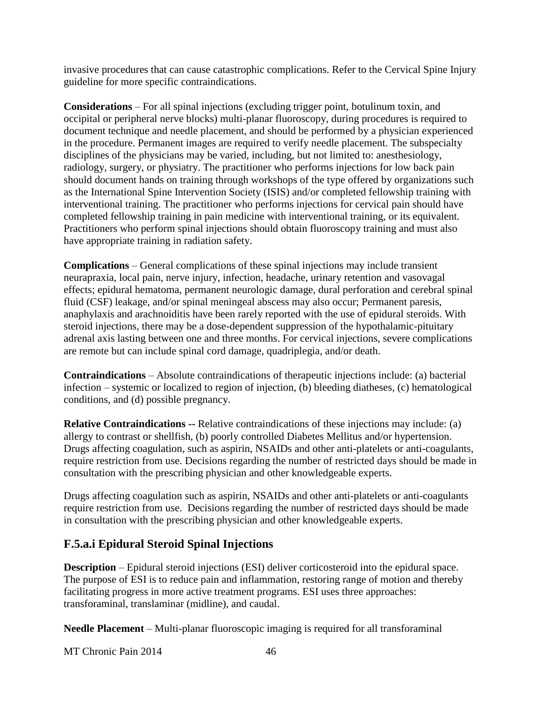invasive procedures that can cause catastrophic complications. Refer to the Cervical Spine Injury guideline for more specific contraindications.

**Considerations** – For all spinal injections (excluding trigger point, botulinum toxin, and occipital or peripheral nerve blocks) multi-planar fluoroscopy, during procedures is required to document technique and needle placement, and should be performed by a physician experienced in the procedure. Permanent images are required to verify needle placement. The subspecialty disciplines of the physicians may be varied, including, but not limited to: anesthesiology, radiology, surgery, or physiatry. The practitioner who performs injections for low back pain should document hands on training through workshops of the type offered by organizations such as the International Spine Intervention Society (ISIS) and/or completed fellowship training with interventional training. The practitioner who performs injections for cervical pain should have completed fellowship training in pain medicine with interventional training, or its equivalent. Practitioners who perform spinal injections should obtain fluoroscopy training and must also have appropriate training in radiation safety.

**Complications** – General complications of these spinal injections may include transient neurapraxia, local pain, nerve injury, infection, headache, urinary retention and vasovagal effects; epidural hematoma, permanent neurologic damage, dural perforation and cerebral spinal fluid (CSF) leakage, and/or spinal meningeal abscess may also occur; Permanent paresis, anaphylaxis and arachnoiditis have been rarely reported with the use of epidural steroids. With steroid injections, there may be a dose-dependent suppression of the hypothalamic-pituitary adrenal axis lasting between one and three months. For cervical injections, severe complications are remote but can include spinal cord damage, quadriplegia, and/or death.

**Contraindications** – Absolute contraindications of therapeutic injections include: (a) bacterial infection – systemic or localized to region of injection, (b) bleeding diatheses, (c) hematological conditions, and (d) possible pregnancy.

**Relative Contraindications --** Relative contraindications of these injections may include: (a) allergy to contrast or shellfish, (b) poorly controlled Diabetes Mellitus and/or hypertension. Drugs affecting coagulation, such as aspirin, NSAIDs and other anti-platelets or anti-coagulants, require restriction from use. Decisions regarding the number of restricted days should be made in consultation with the prescribing physician and other knowledgeable experts.

Drugs affecting coagulation such as aspirin, NSAIDs and other anti-platelets or anti-coagulants require restriction from use. Decisions regarding the number of restricted days should be made in consultation with the prescribing physician and other knowledgeable experts.

# **F.5.a.i Epidural Steroid Spinal Injections**

**Description** – Epidural steroid injections (ESI) deliver corticosteroid into the epidural space. The purpose of ESI is to reduce pain and inflammation, restoring range of motion and thereby facilitating progress in more active treatment programs. ESI uses three approaches: transforaminal, translaminar (midline), and caudal.

**Needle Placement** – Multi-planar fluoroscopic imaging is required for all transforaminal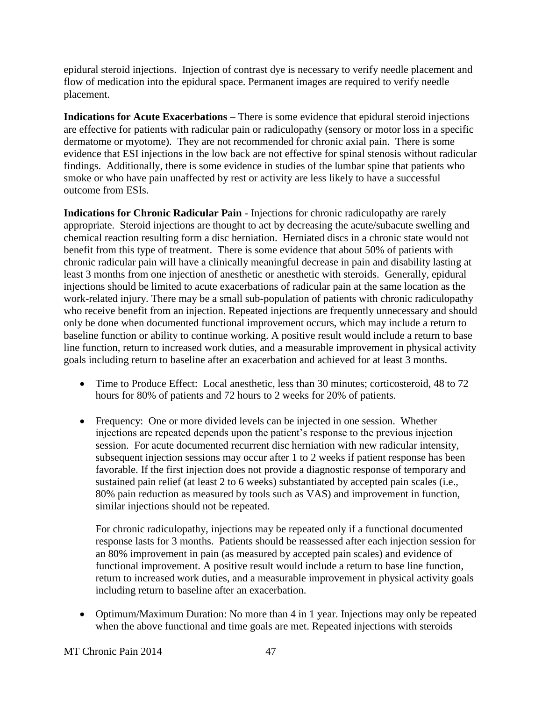epidural steroid injections. Injection of contrast dye is necessary to verify needle placement and flow of medication into the epidural space. Permanent images are required to verify needle placement.

**Indications for Acute Exacerbations** – There is some evidence that epidural steroid injections are effective for patients with radicular pain or radiculopathy (sensory or motor loss in a specific dermatome or myotome). They are not recommended for chronic axial pain. There is some evidence that ESI injections in the low back are not effective for spinal stenosis without radicular findings. Additionally, there is some evidence in studies of the lumbar spine that patients who smoke or who have pain unaffected by rest or activity are less likely to have a successful outcome from ESIs.

**Indications for Chronic Radicular Pain** - Injections for chronic radiculopathy are rarely appropriate. Steroid injections are thought to act by decreasing the acute/subacute swelling and chemical reaction resulting form a disc herniation. Herniated discs in a chronic state would not benefit from this type of treatment. There is some evidence that about 50% of patients with chronic radicular pain will have a clinically meaningful decrease in pain and disability lasting at least 3 months from one injection of anesthetic or anesthetic with steroids. Generally, epidural injections should be limited to acute exacerbations of radicular pain at the same location as the work-related injury. There may be a small sub-population of patients with chronic radiculopathy who receive benefit from an injection. Repeated injections are frequently unnecessary and should only be done when documented functional improvement occurs, which may include a return to baseline function or ability to continue working. A positive result would include a return to base line function, return to increased work duties, and a measurable improvement in physical activity goals including return to baseline after an exacerbation and achieved for at least 3 months.

- Time to Produce Effect: Local anesthetic, less than 30 minutes; corticosteroid, 48 to 72 hours for 80% of patients and 72 hours to 2 weeks for 20% of patients.
- Frequency: One or more divided levels can be injected in one session. Whether injections are repeated depends upon the patient's response to the previous injection session. For acute documented recurrent disc herniation with new radicular intensity, subsequent injection sessions may occur after 1 to 2 weeks if patient response has been favorable. If the first injection does not provide a diagnostic response of temporary and sustained pain relief (at least 2 to 6 weeks) substantiated by accepted pain scales (i.e., 80% pain reduction as measured by tools such as VAS) and improvement in function, similar injections should not be repeated.

For chronic radiculopathy, injections may be repeated only if a functional documented response lasts for 3 months. Patients should be reassessed after each injection session for an 80% improvement in pain (as measured by accepted pain scales) and evidence of functional improvement. A positive result would include a return to base line function, return to increased work duties, and a measurable improvement in physical activity goals including return to baseline after an exacerbation.

• Optimum/Maximum Duration: No more than 4 in 1 year. Injections may only be repeated when the above functional and time goals are met. Repeated injections with steroids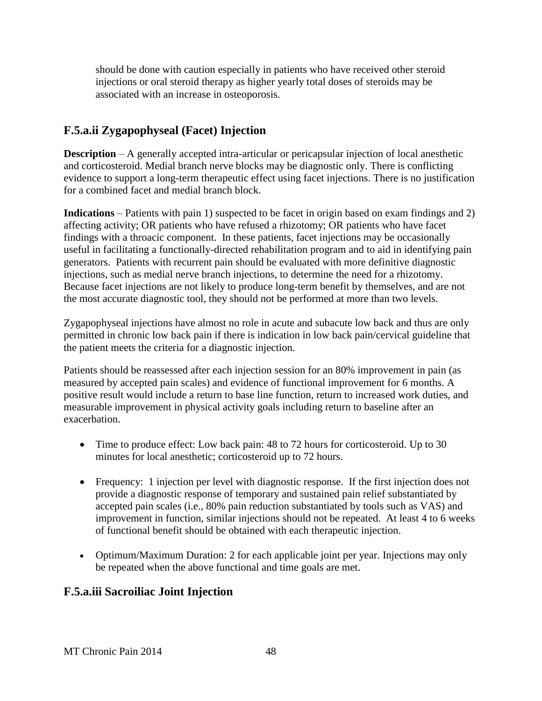should be done with caution especially in patients who have received other steroid injections or oral steroid therapy as higher yearly total doses of steroids may be associated with an increase in osteoporosis.

# **F.5.a.ii Zygapophyseal (Facet) Injection**

**Description** – A generally accepted intra-articular or pericapsular injection of local anesthetic and corticosteroid. Medial branch nerve blocks may be diagnostic only. There is conflicting evidence to support a long-term therapeutic effect using facet injections. There is no justification for a combined facet and medial branch block.

**Indications** – Patients with pain 1) suspected to be facet in origin based on exam findings and 2) affecting activity; OR patients who have refused a rhizotomy; OR patients who have facet findings with a throacic component. In these patients, facet injections may be occasionally useful in facilitating a functionally-directed rehabilitation program and to aid in identifying pain generators. Patients with recurrent pain should be evaluated with more definitive diagnostic injections, such as medial nerve branch injections, to determine the need for a rhizotomy. Because facet injections are not likely to produce long-term benefit by themselves, and are not the most accurate diagnostic tool, they should not be performed at more than two levels.

Zygapophyseal injections have almost no role in acute and subacute low back and thus are only permitted in chronic low back pain if there is indication in low back pain/cervical guideline that the patient meets the criteria for a diagnostic injection.

Patients should be reassessed after each injection session for an 80% improvement in pain (as measured by accepted pain scales) and evidence of functional improvement for 6 months. A positive result would include a return to base line function, return to increased work duties, and measurable improvement in physical activity goals including return to baseline after an exacerbation.

- Time to produce effect: Low back pain: 48 to 72 hours for corticosteroid. Up to 30 minutes for local anesthetic; corticosteroid up to 72 hours.
- Frequency: 1 injection per level with diagnostic response. If the first injection does not provide a diagnostic response of temporary and sustained pain relief substantiated by accepted pain scales (i.e., 80% pain reduction substantiated by tools such as VAS) and improvement in function, similar injections should not be repeated. At least 4 to 6 weeks of functional benefit should be obtained with each therapeutic injection.
- Optimum/Maximum Duration: 2 for each applicable joint per year. Injections may only be repeated when the above functional and time goals are met.

### **F.5.a.iii Sacroiliac Joint Injection**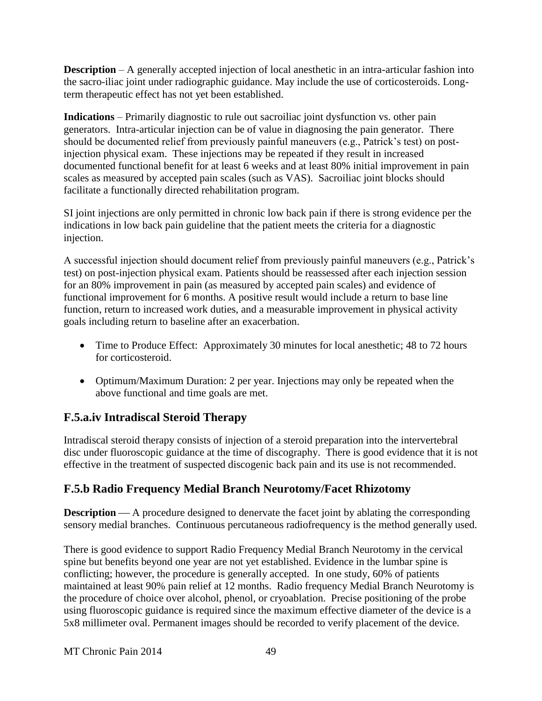**Description** – A generally accepted injection of local anesthetic in an intra-articular fashion into the sacro-iliac joint under radiographic guidance. May include the use of corticosteroids. Longterm therapeutic effect has not yet been established.

**Indications** – Primarily diagnostic to rule out sacroiliac joint dysfunction vs. other pain generators. Intra-articular injection can be of value in diagnosing the pain generator. There should be documented relief from previously painful maneuvers (e.g., Patrick's test) on postinjection physical exam. These injections may be repeated if they result in increased documented functional benefit for at least 6 weeks and at least 80% initial improvement in pain scales as measured by accepted pain scales (such as VAS). Sacroiliac joint blocks should facilitate a functionally directed rehabilitation program.

SI joint injections are only permitted in chronic low back pain if there is strong evidence per the indications in low back pain guideline that the patient meets the criteria for a diagnostic injection.

A successful injection should document relief from previously painful maneuvers (e.g., Patrick's test) on post-injection physical exam. Patients should be reassessed after each injection session for an 80% improvement in pain (as measured by accepted pain scales) and evidence of functional improvement for 6 months. A positive result would include a return to base line function, return to increased work duties, and a measurable improvement in physical activity goals including return to baseline after an exacerbation.

- Time to Produce Effect: Approximately 30 minutes for local anesthetic; 48 to 72 hours for corticosteroid.
- Optimum/Maximum Duration: 2 per year. Injections may only be repeated when the above functional and time goals are met.

# **F.5.a.iv Intradiscal Steroid Therapy**

Intradiscal steroid therapy consists of injection of a steroid preparation into the intervertebral disc under fluoroscopic guidance at the time of discography. There is good evidence that it is not effective in the treatment of suspected discogenic back pain and its use is not recommended.

# **F.5.b Radio Frequency Medial Branch Neurotomy/Facet Rhizotomy**

**Description** — A procedure designed to denervate the facet joint by ablating the corresponding sensory medial branches. Continuous percutaneous radiofrequency is the method generally used.

There is good evidence to support Radio Frequency Medial Branch Neurotomy in the cervical spine but benefits beyond one year are not yet established. Evidence in the lumbar spine is conflicting; however, the procedure is generally accepted. In one study, 60% of patients maintained at least 90% pain relief at 12 months. Radio frequency Medial Branch Neurotomy is the procedure of choice over alcohol, phenol, or cryoablation. Precise positioning of the probe using fluoroscopic guidance is required since the maximum effective diameter of the device is a 5x8 millimeter oval. Permanent images should be recorded to verify placement of the device.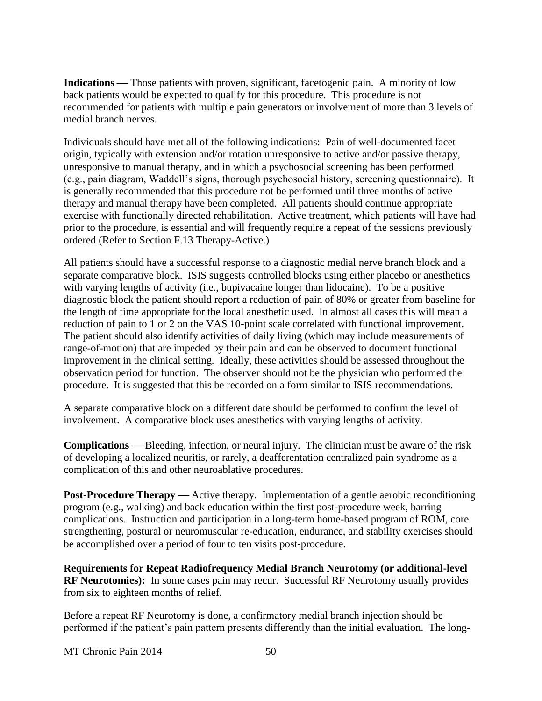**Indications** — Those patients with proven, significant, facetogenic pain. A minority of low back patients would be expected to qualify for this procedure. This procedure is not recommended for patients with multiple pain generators or involvement of more than 3 levels of medial branch nerves.

Individuals should have met all of the following indications: Pain of well-documented facet origin, typically with extension and/or rotation unresponsive to active and/or passive therapy, unresponsive to manual therapy, and in which a psychosocial screening has been performed (e.g., pain diagram, Waddell's signs, thorough psychosocial history, screening questionnaire). It is generally recommended that this procedure not be performed until three months of active therapy and manual therapy have been completed. All patients should continue appropriate exercise with functionally directed rehabilitation. Active treatment, which patients will have had prior to the procedure, is essential and will frequently require a repeat of the sessions previously ordered (Refer to Section F.13 Therapy-Active.)

All patients should have a successful response to a diagnostic medial nerve branch block and a separate comparative block. ISIS suggests controlled blocks using either placebo or anesthetics with varying lengths of activity (i.e., bupivacaine longer than lidocaine). To be a positive diagnostic block the patient should report a reduction of pain of 80% or greater from baseline for the length of time appropriate for the local anesthetic used. In almost all cases this will mean a reduction of pain to 1 or 2 on the VAS 10-point scale correlated with functional improvement. The patient should also identify activities of daily living (which may include measurements of range-of-motion) that are impeded by their pain and can be observed to document functional improvement in the clinical setting. Ideally, these activities should be assessed throughout the observation period for function. The observer should not be the physician who performed the procedure. It is suggested that this be recorded on a form similar to ISIS recommendations.

A separate comparative block on a different date should be performed to confirm the level of involvement. A comparative block uses anesthetics with varying lengths of activity.

**Complications** — Bleeding, infection, or neural injury. The clinician must be aware of the risk of developing a localized neuritis, or rarely, a deafferentation centralized pain syndrome as a complication of this and other neuroablative procedures.

**Post-Procedure Therapy** — Active therapy. Implementation of a gentle aerobic reconditioning program (e.g., walking) and back education within the first post-procedure week, barring complications. Instruction and participation in a long-term home-based program of ROM, core strengthening, postural or neuromuscular re-education, endurance, and stability exercises should be accomplished over a period of four to ten visits post-procedure.

**Requirements for Repeat Radiofrequency Medial Branch Neurotomy (or additional-level RF Neurotomies):** In some cases pain may recur. Successful RF Neurotomy usually provides from six to eighteen months of relief.

Before a repeat RF Neurotomy is done, a confirmatory medial branch injection should be performed if the patient's pain pattern presents differently than the initial evaluation. The long-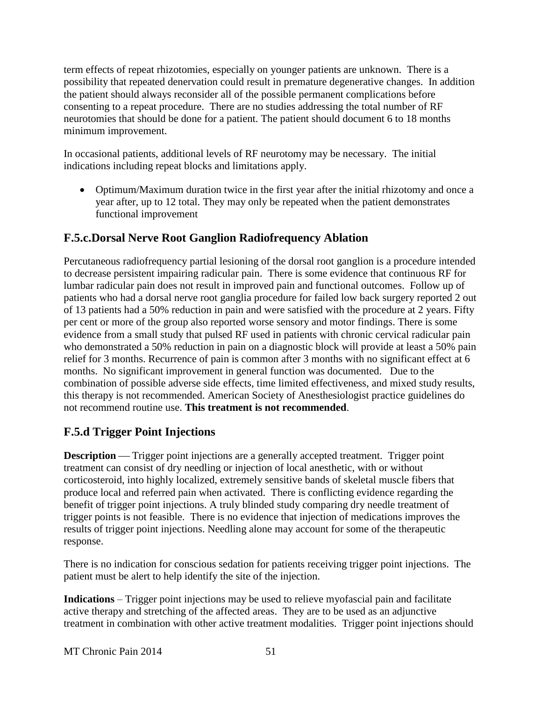term effects of repeat rhizotomies, especially on younger patients are unknown. There is a possibility that repeated denervation could result in premature degenerative changes. In addition the patient should always reconsider all of the possible permanent complications before consenting to a repeat procedure. There are no studies addressing the total number of RF neurotomies that should be done for a patient. The patient should document 6 to 18 months minimum improvement.

In occasional patients, additional levels of RF neurotomy may be necessary. The initial indications including repeat blocks and limitations apply.

 Optimum/Maximum duration twice in the first year after the initial rhizotomy and once a year after, up to 12 total. They may only be repeated when the patient demonstrates functional improvement

# **F.5.c.Dorsal Nerve Root Ganglion Radiofrequency Ablation**

Percutaneous radiofrequency partial lesioning of the dorsal root ganglion is a procedure intended to decrease persistent impairing radicular pain. There is some evidence that continuous RF for lumbar radicular pain does not result in improved pain and functional outcomes. Follow up of patients who had a dorsal nerve root ganglia procedure for failed low back surgery reported 2 out of 13 patients had a 50% reduction in pain and were satisfied with the procedure at 2 years. Fifty per cent or more of the group also reported worse sensory and motor findings. There is some evidence from a small study that pulsed RF used in patients with chronic cervical radicular pain who demonstrated a 50% reduction in pain on a diagnostic block will provide at least a 50% pain relief for 3 months. Recurrence of pain is common after 3 months with no significant effect at 6 months. No significant improvement in general function was documented. Due to the combination of possible adverse side effects, time limited effectiveness, and mixed study results, this therapy is not recommended. American Society of Anesthesiologist practice guidelines do not recommend routine use. **This treatment is not recommended**.

# **F.5.d Trigger Point Injections**

**Description** — Trigger point injections are a generally accepted treatment. Trigger point treatment can consist of dry needling or injection of local anesthetic, with or without corticosteroid, into highly localized, extremely sensitive bands of skeletal muscle fibers that produce local and referred pain when activated. There is conflicting evidence regarding the benefit of trigger point injections. A truly blinded study comparing dry needle treatment of trigger points is not feasible. There is no evidence that injection of medications improves the results of trigger point injections. Needling alone may account for some of the therapeutic response.

There is no indication for conscious sedation for patients receiving trigger point injections. The patient must be alert to help identify the site of the injection.

**Indications** – Trigger point injections may be used to relieve myofascial pain and facilitate active therapy and stretching of the affected areas. They are to be used as an adjunctive treatment in combination with other active treatment modalities. Trigger point injections should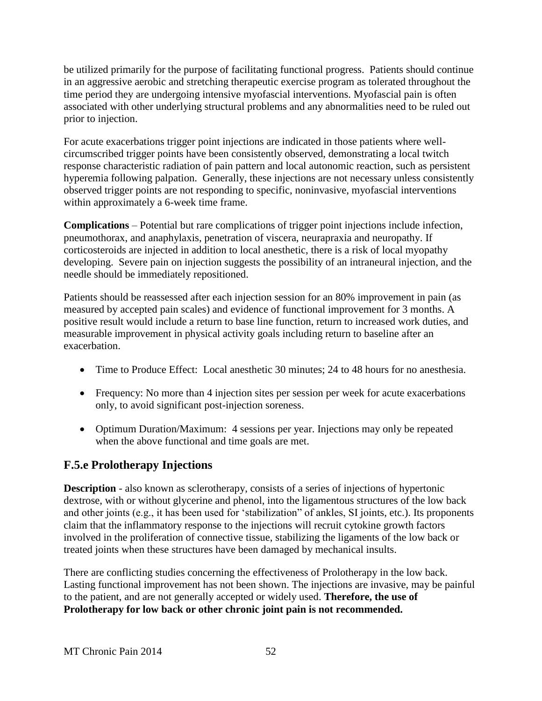be utilized primarily for the purpose of facilitating functional progress. Patients should continue in an aggressive aerobic and stretching therapeutic exercise program as tolerated throughout the time period they are undergoing intensive myofascial interventions. Myofascial pain is often associated with other underlying structural problems and any abnormalities need to be ruled out prior to injection.

For acute exacerbations trigger point injections are indicated in those patients where wellcircumscribed trigger points have been consistently observed, demonstrating a local twitch response characteristic radiation of pain pattern and local autonomic reaction, such as persistent hyperemia following palpation. Generally, these injections are not necessary unless consistently observed trigger points are not responding to specific, noninvasive, myofascial interventions within approximately a 6-week time frame.

**Complications** – Potential but rare complications of trigger point injections include infection, pneumothorax, and anaphylaxis, penetration of viscera, neurapraxia and neuropathy. If corticosteroids are injected in addition to local anesthetic, there is a risk of local myopathy developing. Severe pain on injection suggests the possibility of an intraneural injection, and the needle should be immediately repositioned.

Patients should be reassessed after each injection session for an 80% improvement in pain (as measured by accepted pain scales) and evidence of functional improvement for 3 months. A positive result would include a return to base line function, return to increased work duties, and measurable improvement in physical activity goals including return to baseline after an exacerbation.

- Time to Produce Effect: Local anesthetic 30 minutes; 24 to 48 hours for no anesthesia.
- Frequency: No more than 4 injection sites per session per week for acute exacerbations only, to avoid significant post-injection soreness.
- Optimum Duration/Maximum: 4 sessions per year. Injections may only be repeated when the above functional and time goals are met.

### **F.5.e Prolotherapy Injections**

**Description** - also known as sclerotherapy, consists of a series of injections of hypertonic dextrose, with or without glycerine and phenol, into the ligamentous structures of the low back and other joints (e.g., it has been used for 'stabilization" of ankles, SI joints, etc.). Its proponents claim that the inflammatory response to the injections will recruit cytokine growth factors involved in the proliferation of connective tissue, stabilizing the ligaments of the low back or treated joints when these structures have been damaged by mechanical insults.

There are conflicting studies concerning the effectiveness of Prolotherapy in the low back. Lasting functional improvement has not been shown. The injections are invasive, may be painful to the patient, and are not generally accepted or widely used. **Therefore, the use of Prolotherapy for low back or other chronic joint pain is not recommended.**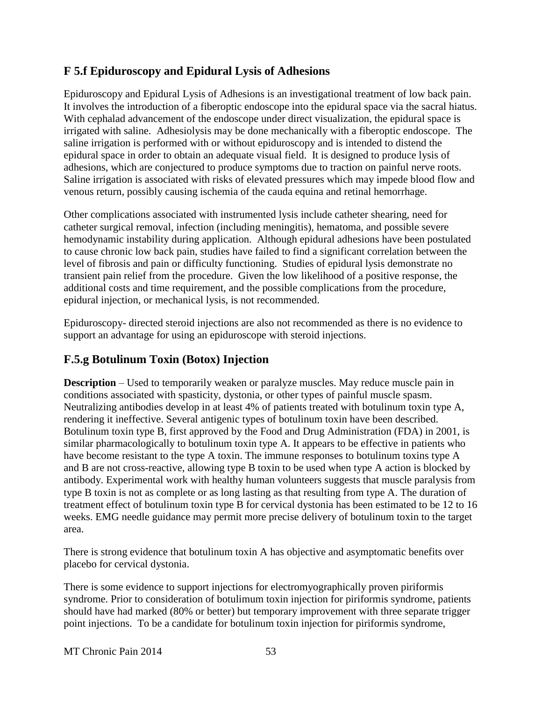### **F 5.f Epiduroscopy and Epidural Lysis of Adhesions**

Epiduroscopy and Epidural Lysis of Adhesions is an investigational treatment of low back pain. It involves the introduction of a fiberoptic endoscope into the epidural space via the sacral hiatus. With cephalad advancement of the endoscope under direct visualization, the epidural space is irrigated with saline. Adhesiolysis may be done mechanically with a fiberoptic endoscope. The saline irrigation is performed with or without epiduroscopy and is intended to distend the epidural space in order to obtain an adequate visual field. It is designed to produce lysis of adhesions, which are conjectured to produce symptoms due to traction on painful nerve roots. Saline irrigation is associated with risks of elevated pressures which may impede blood flow and venous return, possibly causing ischemia of the cauda equina and retinal hemorrhage.

Other complications associated with instrumented lysis include catheter shearing, need for catheter surgical removal, infection (including meningitis), hematoma, and possible severe hemodynamic instability during application. Although epidural adhesions have been postulated to cause chronic low back pain, studies have failed to find a significant correlation between the level of fibrosis and pain or difficulty functioning. Studies of epidural lysis demonstrate no transient pain relief from the procedure. Given the low likelihood of a positive response, the additional costs and time requirement, and the possible complications from the procedure, epidural injection, or mechanical lysis, is not recommended.

Epiduroscopy- directed steroid injections are also not recommended as there is no evidence to support an advantage for using an epiduroscope with steroid injections.

# **F.5.g Botulinum Toxin (Botox) Injection**

**Description** – Used to temporarily weaken or paralyze muscles. May reduce muscle pain in conditions associated with spasticity, dystonia, or other types of painful muscle spasm. Neutralizing antibodies develop in at least 4% of patients treated with botulinum toxin type A, rendering it ineffective. Several antigenic types of botulinum toxin have been described. Botulinum toxin type B, first approved by the Food and Drug Administration (FDA) in 2001, is similar pharmacologically to botulinum toxin type A. It appears to be effective in patients who have become resistant to the type A toxin. The immune responses to botulinum toxins type A and B are not cross-reactive, allowing type B toxin to be used when type A action is blocked by antibody. Experimental work with healthy human volunteers suggests that muscle paralysis from type B toxin is not as complete or as long lasting as that resulting from type A. The duration of treatment effect of botulinum toxin type B for cervical dystonia has been estimated to be 12 to 16 weeks. EMG needle guidance may permit more precise delivery of botulinum toxin to the target area.

There is strong evidence that botulinum toxin A has objective and asymptomatic benefits over placebo for cervical dystonia.

There is some evidence to support injections for electromyographically proven piriformis syndrome. Prior to consideration of botulimum toxin injection for piriformis syndrome, patients should have had marked (80% or better) but temporary improvement with three separate trigger point injections. To be a candidate for botulinum toxin injection for piriformis syndrome,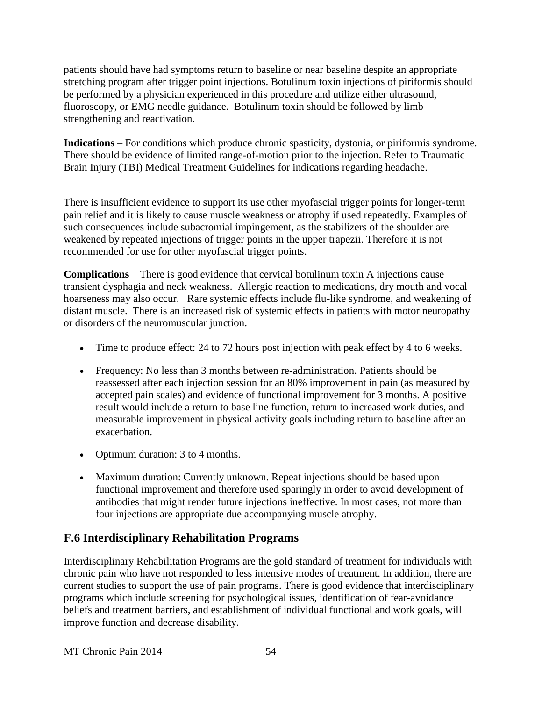patients should have had symptoms return to baseline or near baseline despite an appropriate stretching program after trigger point injections. Botulinum toxin injections of piriformis should be performed by a physician experienced in this procedure and utilize either ultrasound, fluoroscopy, or EMG needle guidance. Botulinum toxin should be followed by limb strengthening and reactivation.

**Indications** – For conditions which produce chronic spasticity, dystonia, or piriformis syndrome. There should be evidence of limited range-of-motion prior to the injection. Refer to Traumatic Brain Injury (TBI) Medical Treatment Guidelines for indications regarding headache.

There is insufficient evidence to support its use other myofascial trigger points for longer-term pain relief and it is likely to cause muscle weakness or atrophy if used repeatedly. Examples of such consequences include subacromial impingement, as the stabilizers of the shoulder are weakened by repeated injections of trigger points in the upper trapezii. Therefore it is not recommended for use for other myofascial trigger points.

**Complications** – There is good evidence that cervical botulinum toxin A injections cause transient dysphagia and neck weakness. Allergic reaction to medications, dry mouth and vocal hoarseness may also occur. Rare systemic effects include flu-like syndrome, and weakening of distant muscle. There is an increased risk of systemic effects in patients with motor neuropathy or disorders of the neuromuscular junction.

- Time to produce effect: 24 to 72 hours post injection with peak effect by 4 to 6 weeks.
- Frequency: No less than 3 months between re-administration. Patients should be reassessed after each injection session for an 80% improvement in pain (as measured by accepted pain scales) and evidence of functional improvement for 3 months. A positive result would include a return to base line function, return to increased work duties, and measurable improvement in physical activity goals including return to baseline after an exacerbation.
- Optimum duration: 3 to 4 months.
- Maximum duration: Currently unknown. Repeat injections should be based upon functional improvement and therefore used sparingly in order to avoid development of antibodies that might render future injections ineffective. In most cases, not more than four injections are appropriate due accompanying muscle atrophy.

# **F.6 Interdisciplinary Rehabilitation Programs**

Interdisciplinary Rehabilitation Programs are the gold standard of treatment for individuals with chronic pain who have not responded to less intensive modes of treatment. In addition, there are current studies to support the use of pain programs. There is good evidence that interdisciplinary programs which include screening for psychological issues, identification of fear-avoidance beliefs and treatment barriers, and establishment of individual functional and work goals, will improve function and decrease disability.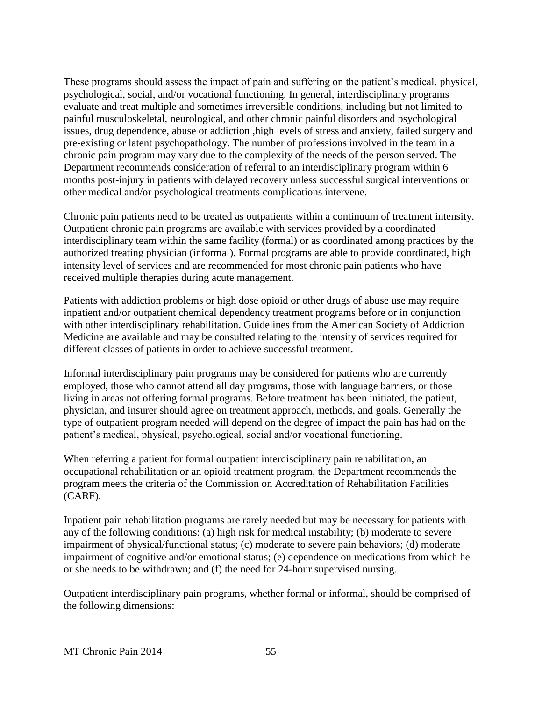These programs should assess the impact of pain and suffering on the patient's medical, physical, psychological, social, and/or vocational functioning. In general, interdisciplinary programs evaluate and treat multiple and sometimes irreversible conditions, including but not limited to painful musculoskeletal, neurological, and other chronic painful disorders and psychological issues, drug dependence, abuse or addiction ,high levels of stress and anxiety, failed surgery and pre-existing or latent psychopathology. The number of professions involved in the team in a chronic pain program may vary due to the complexity of the needs of the person served. The Department recommends consideration of referral to an interdisciplinary program within 6 months post-injury in patients with delayed recovery unless successful surgical interventions or other medical and/or psychological treatments complications intervene.

Chronic pain patients need to be treated as outpatients within a continuum of treatment intensity. Outpatient chronic pain programs are available with services provided by a coordinated interdisciplinary team within the same facility (formal) or as coordinated among practices by the authorized treating physician (informal). Formal programs are able to provide coordinated, high intensity level of services and are recommended for most chronic pain patients who have received multiple therapies during acute management.

Patients with addiction problems or high dose opioid or other drugs of abuse use may require inpatient and/or outpatient chemical dependency treatment programs before or in conjunction with other interdisciplinary rehabilitation. Guidelines from the American Society of Addiction Medicine are available and may be consulted relating to the intensity of services required for different classes of patients in order to achieve successful treatment.

Informal interdisciplinary pain programs may be considered for patients who are currently employed, those who cannot attend all day programs, those with language barriers, or those living in areas not offering formal programs. Before treatment has been initiated, the patient, physician, and insurer should agree on treatment approach, methods, and goals. Generally the type of outpatient program needed will depend on the degree of impact the pain has had on the patient's medical, physical, psychological, social and/or vocational functioning.

When referring a patient for formal outpatient interdisciplinary pain rehabilitation, an occupational rehabilitation or an opioid treatment program, the Department recommends the program meets the criteria of the Commission on Accreditation of Rehabilitation Facilities (CARF).

Inpatient pain rehabilitation programs are rarely needed but may be necessary for patients with any of the following conditions: (a) high risk for medical instability; (b) moderate to severe impairment of physical/functional status; (c) moderate to severe pain behaviors; (d) moderate impairment of cognitive and/or emotional status; (e) dependence on medications from which he or she needs to be withdrawn; and (f) the need for 24-hour supervised nursing.

Outpatient interdisciplinary pain programs, whether formal or informal, should be comprised of the following dimensions: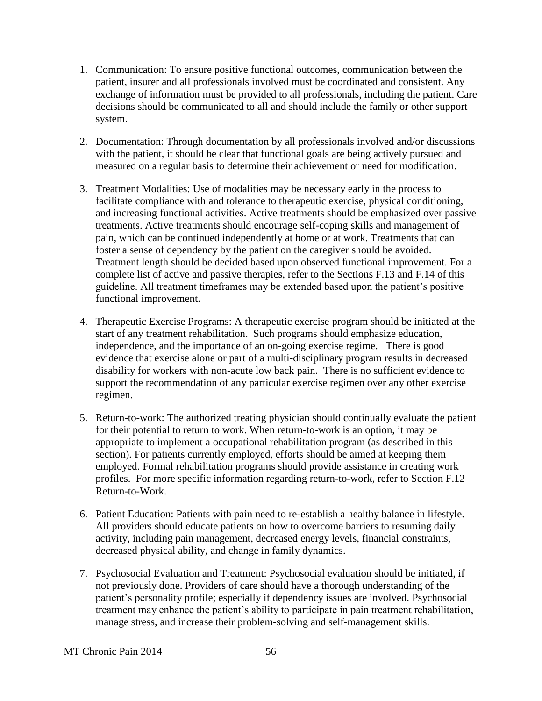- 1. Communication: To ensure positive functional outcomes, communication between the patient, insurer and all professionals involved must be coordinated and consistent. Any exchange of information must be provided to all professionals, including the patient. Care decisions should be communicated to all and should include the family or other support system.
- 2. Documentation: Through documentation by all professionals involved and/or discussions with the patient, it should be clear that functional goals are being actively pursued and measured on a regular basis to determine their achievement or need for modification.
- 3. Treatment Modalities: Use of modalities may be necessary early in the process to facilitate compliance with and tolerance to therapeutic exercise, physical conditioning, and increasing functional activities. Active treatments should be emphasized over passive treatments. Active treatments should encourage self-coping skills and management of pain, which can be continued independently at home or at work. Treatments that can foster a sense of dependency by the patient on the caregiver should be avoided. Treatment length should be decided based upon observed functional improvement. For a complete list of active and passive therapies, refer to the Sections F.13 and F.14 of this guideline. All treatment timeframes may be extended based upon the patient's positive functional improvement.
- 4. Therapeutic Exercise Programs: A therapeutic exercise program should be initiated at the start of any treatment rehabilitation. Such programs should emphasize education, independence, and the importance of an on-going exercise regime. There is good evidence that exercise alone or part of a multi-disciplinary program results in decreased disability for workers with non-acute low back pain. There is no sufficient evidence to support the recommendation of any particular exercise regimen over any other exercise regimen.
- 5. Return-to-work: The authorized treating physician should continually evaluate the patient for their potential to return to work. When return-to-work is an option, it may be appropriate to implement a occupational rehabilitation program (as described in this section). For patients currently employed, efforts should be aimed at keeping them employed. Formal rehabilitation programs should provide assistance in creating work profiles. For more specific information regarding return-to-work, refer to Section F.12 Return-to-Work.
- 6. Patient Education: Patients with pain need to re-establish a healthy balance in lifestyle. All providers should educate patients on how to overcome barriers to resuming daily activity, including pain management, decreased energy levels, financial constraints, decreased physical ability, and change in family dynamics.
- 7. Psychosocial Evaluation and Treatment: Psychosocial evaluation should be initiated, if not previously done. Providers of care should have a thorough understanding of the patient's personality profile; especially if dependency issues are involved. Psychosocial treatment may enhance the patient's ability to participate in pain treatment rehabilitation, manage stress, and increase their problem-solving and self-management skills.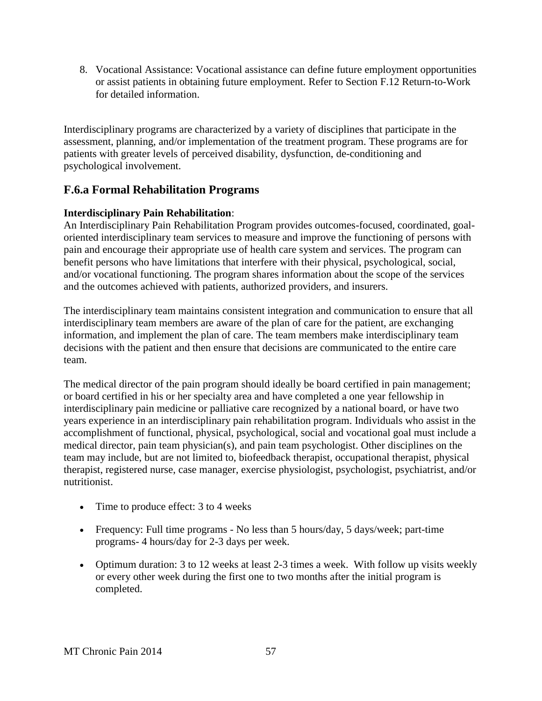8. Vocational Assistance: Vocational assistance can define future employment opportunities or assist patients in obtaining future employment. Refer to Section F.12 Return-to-Work for detailed information.

Interdisciplinary programs are characterized by a variety of disciplines that participate in the assessment, planning, and/or implementation of the treatment program. These programs are for patients with greater levels of perceived disability, dysfunction, de-conditioning and psychological involvement.

### **F.6.a Formal Rehabilitation Programs**

#### **Interdisciplinary Pain Rehabilitation**:

An Interdisciplinary Pain Rehabilitation Program provides outcomes-focused, coordinated, goaloriented interdisciplinary team services to measure and improve the functioning of persons with pain and encourage their appropriate use of health care system and services. The program can benefit persons who have limitations that interfere with their physical, psychological, social, and/or vocational functioning. The program shares information about the scope of the services and the outcomes achieved with patients, authorized providers, and insurers.

The interdisciplinary team maintains consistent integration and communication to ensure that all interdisciplinary team members are aware of the plan of care for the patient, are exchanging information, and implement the plan of care. The team members make interdisciplinary team decisions with the patient and then ensure that decisions are communicated to the entire care team.

The medical director of the pain program should ideally be board certified in pain management; or board certified in his or her specialty area and have completed a one year fellowship in interdisciplinary pain medicine or palliative care recognized by a national board, or have two years experience in an interdisciplinary pain rehabilitation program. Individuals who assist in the accomplishment of functional, physical, psychological, social and vocational goal must include a medical director, pain team physician(s), and pain team psychologist. Other disciplines on the team may include, but are not limited to, biofeedback therapist, occupational therapist, physical therapist, registered nurse, case manager, exercise physiologist, psychologist, psychiatrist, and/or nutritionist.

- Time to produce effect: 3 to 4 weeks
- Frequency: Full time programs No less than 5 hours/day, 5 days/week; part-time programs- 4 hours/day for 2-3 days per week.
- Optimum duration: 3 to 12 weeks at least 2-3 times a week. With follow up visits weekly or every other week during the first one to two months after the initial program is completed.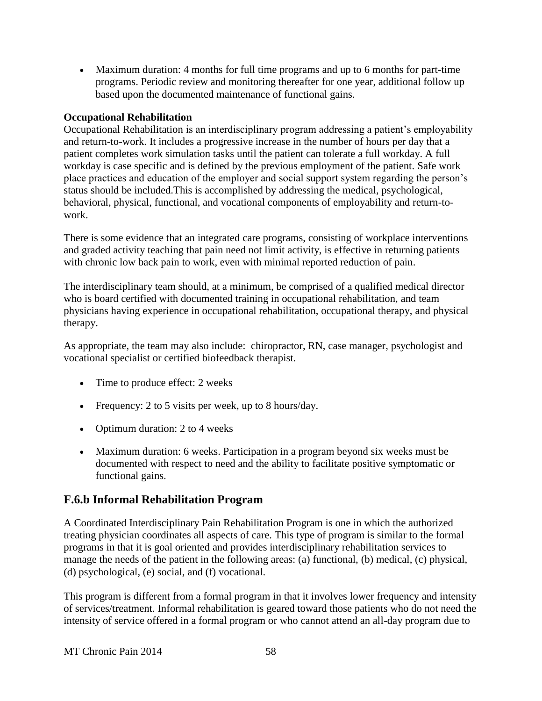Maximum duration: 4 months for full time programs and up to 6 months for part-time programs. Periodic review and monitoring thereafter for one year, additional follow up based upon the documented maintenance of functional gains.

#### **Occupational Rehabilitation**

Occupational Rehabilitation is an interdisciplinary program addressing a patient's employability and return-to-work. It includes a progressive increase in the number of hours per day that a patient completes work simulation tasks until the patient can tolerate a full workday. A full workday is case specific and is defined by the previous employment of the patient. Safe work place practices and education of the employer and social support system regarding the person's status should be included.This is accomplished by addressing the medical, psychological, behavioral, physical, functional, and vocational components of employability and return-towork.

There is some evidence that an integrated care programs, consisting of workplace interventions and graded activity teaching that pain need not limit activity, is effective in returning patients with chronic low back pain to work, even with minimal reported reduction of pain.

The interdisciplinary team should, at a minimum, be comprised of a qualified medical director who is board certified with documented training in occupational rehabilitation, and team physicians having experience in occupational rehabilitation, occupational therapy, and physical therapy.

As appropriate, the team may also include: chiropractor, RN, case manager, psychologist and vocational specialist or certified biofeedback therapist.

- Time to produce effect: 2 weeks
- Frequency: 2 to 5 visits per week, up to 8 hours/day.
- Optimum duration: 2 to 4 weeks
- Maximum duration: 6 weeks. Participation in a program beyond six weeks must be documented with respect to need and the ability to facilitate positive symptomatic or functional gains.

# **F.6.b Informal Rehabilitation Program**

A Coordinated Interdisciplinary Pain Rehabilitation Program is one in which the authorized treating physician coordinates all aspects of care. This type of program is similar to the formal programs in that it is goal oriented and provides interdisciplinary rehabilitation services to manage the needs of the patient in the following areas: (a) functional, (b) medical, (c) physical, (d) psychological, (e) social, and (f) vocational.

This program is different from a formal program in that it involves lower frequency and intensity of services/treatment. Informal rehabilitation is geared toward those patients who do not need the intensity of service offered in a formal program or who cannot attend an all-day program due to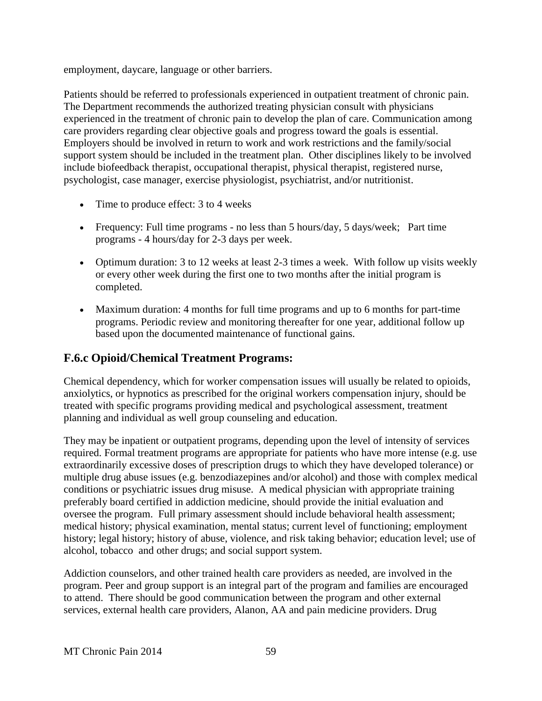employment, daycare, language or other barriers.

Patients should be referred to professionals experienced in outpatient treatment of chronic pain. The Department recommends the authorized treating physician consult with physicians experienced in the treatment of chronic pain to develop the plan of care. Communication among care providers regarding clear objective goals and progress toward the goals is essential. Employers should be involved in return to work and work restrictions and the family/social support system should be included in the treatment plan. Other disciplines likely to be involved include biofeedback therapist, occupational therapist, physical therapist, registered nurse, psychologist, case manager, exercise physiologist, psychiatrist, and/or nutritionist.

- Time to produce effect: 3 to 4 weeks
- Frequency: Full time programs no less than 5 hours/day, 5 days/week; Part time programs - 4 hours/day for 2-3 days per week.
- Optimum duration: 3 to 12 weeks at least 2-3 times a week. With follow up visits weekly or every other week during the first one to two months after the initial program is completed.
- Maximum duration: 4 months for full time programs and up to 6 months for part-time programs. Periodic review and monitoring thereafter for one year, additional follow up based upon the documented maintenance of functional gains.

### **F.6.c Opioid/Chemical Treatment Programs:**

Chemical dependency, which for worker compensation issues will usually be related to opioids, anxiolytics, or hypnotics as prescribed for the original workers compensation injury, should be treated with specific programs providing medical and psychological assessment, treatment planning and individual as well group counseling and education.

They may be inpatient or outpatient programs, depending upon the level of intensity of services required. Formal treatment programs are appropriate for patients who have more intense (e.g. use extraordinarily excessive doses of prescription drugs to which they have developed tolerance) or multiple drug abuse issues (e.g. benzodiazepines and/or alcohol) and those with complex medical conditions or psychiatric issues drug misuse. A medical physician with appropriate training preferably board certified in addiction medicine, should provide the initial evaluation and oversee the program. Full primary assessment should include behavioral health assessment; medical history; physical examination, mental status; current level of functioning; employment history; legal history; history of abuse, violence, and risk taking behavior; education level; use of alcohol, tobacco and other drugs; and social support system.

Addiction counselors, and other trained health care providers as needed, are involved in the program. Peer and group support is an integral part of the program and families are encouraged to attend. There should be good communication between the program and other external services, external health care providers, Alanon, AA and pain medicine providers. Drug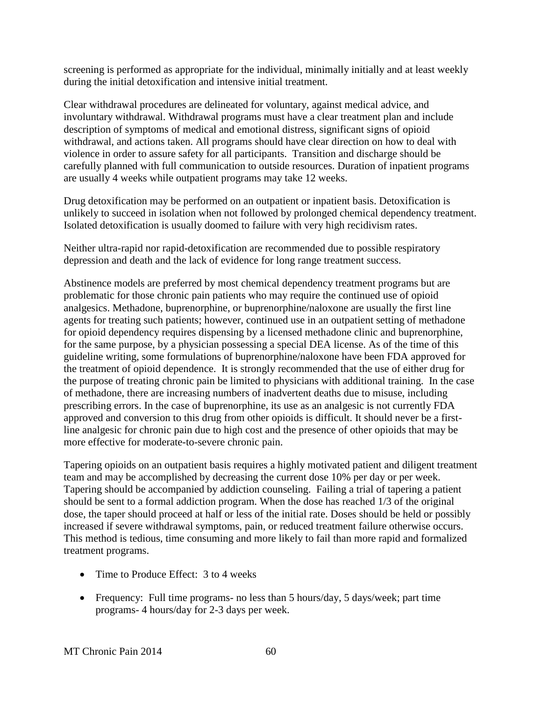screening is performed as appropriate for the individual, minimally initially and at least weekly during the initial detoxification and intensive initial treatment.

Clear withdrawal procedures are delineated for voluntary, against medical advice, and involuntary withdrawal. Withdrawal programs must have a clear treatment plan and include description of symptoms of medical and emotional distress, significant signs of opioid withdrawal, and actions taken. All programs should have clear direction on how to deal with violence in order to assure safety for all participants. Transition and discharge should be carefully planned with full communication to outside resources. Duration of inpatient programs are usually 4 weeks while outpatient programs may take 12 weeks.

Drug detoxification may be performed on an outpatient or inpatient basis. Detoxification is unlikely to succeed in isolation when not followed by prolonged chemical dependency treatment. Isolated detoxification is usually doomed to failure with very high recidivism rates.

Neither ultra-rapid nor rapid-detoxification are recommended due to possible respiratory depression and death and the lack of evidence for long range treatment success.

Abstinence models are preferred by most chemical dependency treatment programs but are problematic for those chronic pain patients who may require the continued use of opioid analgesics. Methadone, buprenorphine, or buprenorphine/naloxone are usually the first line agents for treating such patients; however, continued use in an outpatient setting of methadone for opioid dependency requires dispensing by a licensed methadone clinic and buprenorphine, for the same purpose, by a physician possessing a special DEA license. As of the time of this guideline writing, some formulations of buprenorphine/naloxone have been FDA approved for the treatment of opioid dependence. It is strongly recommended that the use of either drug for the purpose of treating chronic pain be limited to physicians with additional training. In the case of methadone, there are increasing numbers of inadvertent deaths due to misuse, including prescribing errors. In the case of buprenorphine, its use as an analgesic is not currently FDA approved and conversion to this drug from other opioids is difficult. It should never be a firstline analgesic for chronic pain due to high cost and the presence of other opioids that may be more effective for moderate-to-severe chronic pain.

Tapering opioids on an outpatient basis requires a highly motivated patient and diligent treatment team and may be accomplished by decreasing the current dose 10% per day or per week. Tapering should be accompanied by addiction counseling. Failing a trial of tapering a patient should be sent to a formal addiction program. When the dose has reached 1/3 of the original dose, the taper should proceed at half or less of the initial rate. Doses should be held or possibly increased if severe withdrawal symptoms, pain, or reduced treatment failure otherwise occurs. This method is tedious, time consuming and more likely to fail than more rapid and formalized treatment programs.

- Time to Produce Effect: 3 to 4 weeks
- Frequency: Full time programs- no less than 5 hours/day, 5 days/week; part time programs- 4 hours/day for 2-3 days per week.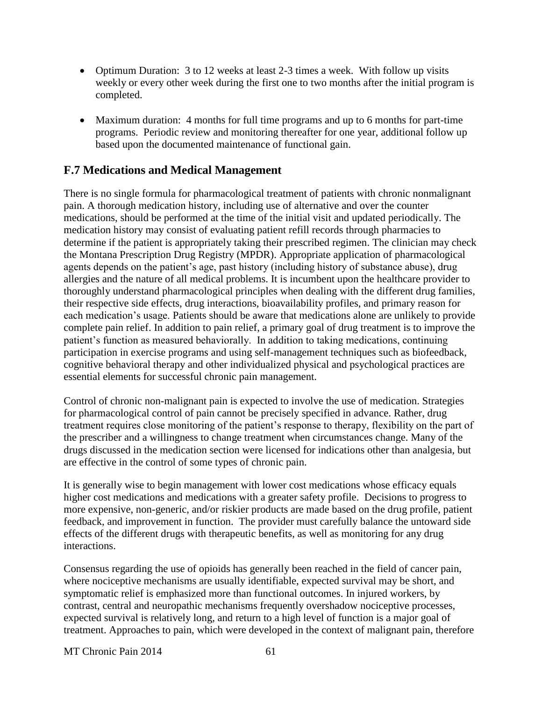- Optimum Duration: 3 to 12 weeks at least 2-3 times a week. With follow up visits weekly or every other week during the first one to two months after the initial program is completed.
- Maximum duration: 4 months for full time programs and up to 6 months for part-time programs. Periodic review and monitoring thereafter for one year, additional follow up based upon the documented maintenance of functional gain.

#### **F.7 Medications and Medical Management**

There is no single formula for pharmacological treatment of patients with chronic nonmalignant pain. A thorough medication history, including use of alternative and over the counter medications, should be performed at the time of the initial visit and updated periodically. The medication history may consist of evaluating patient refill records through pharmacies to determine if the patient is appropriately taking their prescribed regimen. The clinician may check the Montana Prescription Drug Registry (MPDR). Appropriate application of pharmacological agents depends on the patient's age, past history (including history of substance abuse), drug allergies and the nature of all medical problems. It is incumbent upon the healthcare provider to thoroughly understand pharmacological principles when dealing with the different drug families, their respective side effects, drug interactions, bioavailability profiles, and primary reason for each medication's usage. Patients should be aware that medications alone are unlikely to provide complete pain relief. In addition to pain relief, a primary goal of drug treatment is to improve the patient's function as measured behaviorally. In addition to taking medications, continuing participation in exercise programs and using self-management techniques such as biofeedback, cognitive behavioral therapy and other individualized physical and psychological practices are essential elements for successful chronic pain management.

Control of chronic non-malignant pain is expected to involve the use of medication. Strategies for pharmacological control of pain cannot be precisely specified in advance. Rather, drug treatment requires close monitoring of the patient's response to therapy, flexibility on the part of the prescriber and a willingness to change treatment when circumstances change. Many of the drugs discussed in the medication section were licensed for indications other than analgesia, but are effective in the control of some types of chronic pain.

It is generally wise to begin management with lower cost medications whose efficacy equals higher cost medications and medications with a greater safety profile. Decisions to progress to more expensive, non-generic, and/or riskier products are made based on the drug profile, patient feedback, and improvement in function. The provider must carefully balance the untoward side effects of the different drugs with therapeutic benefits, as well as monitoring for any drug interactions.

Consensus regarding the use of opioids has generally been reached in the field of cancer pain, where nociceptive mechanisms are usually identifiable, expected survival may be short, and symptomatic relief is emphasized more than functional outcomes. In injured workers, by contrast, central and neuropathic mechanisms frequently overshadow nociceptive processes, expected survival is relatively long, and return to a high level of function is a major goal of treatment. Approaches to pain, which were developed in the context of malignant pain, therefore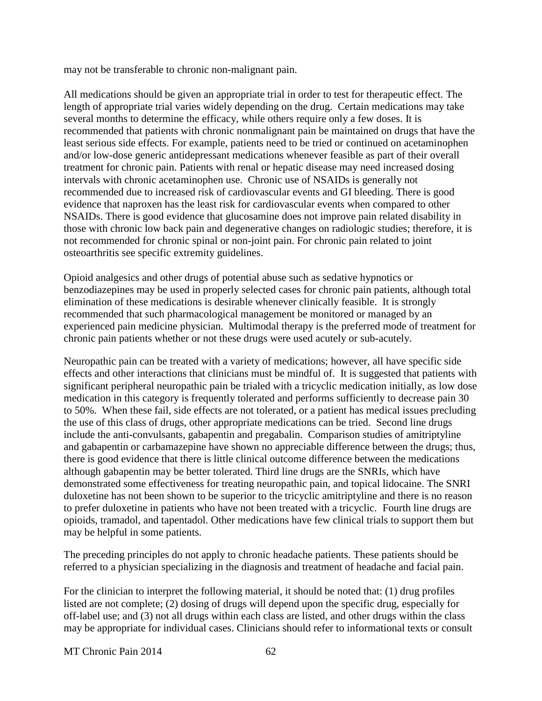may not be transferable to chronic non-malignant pain.

All medications should be given an appropriate trial in order to test for therapeutic effect. The length of appropriate trial varies widely depending on the drug. Certain medications may take several months to determine the efficacy, while others require only a few doses. It is recommended that patients with chronic nonmalignant pain be maintained on drugs that have the least serious side effects. For example, patients need to be tried or continued on acetaminophen and/or low-dose generic antidepressant medications whenever feasible as part of their overall treatment for chronic pain. Patients with renal or hepatic disease may need increased dosing intervals with chronic acetaminophen use. Chronic use of NSAIDs is generally not recommended due to increased risk of cardiovascular events and GI bleeding. There is good evidence that naproxen has the least risk for cardiovascular events when compared to other NSAIDs. There is good evidence that glucosamine does not improve pain related disability in those with chronic low back pain and degenerative changes on radiologic studies; therefore, it is not recommended for chronic spinal or non-joint pain. For chronic pain related to joint osteoarthritis see specific extremity guidelines.

Opioid analgesics and other drugs of potential abuse such as sedative hypnotics or benzodiazepines may be used in properly selected cases for chronic pain patients, although total elimination of these medications is desirable whenever clinically feasible. It is strongly recommended that such pharmacological management be monitored or managed by an experienced pain medicine physician. Multimodal therapy is the preferred mode of treatment for chronic pain patients whether or not these drugs were used acutely or sub-acutely.

Neuropathic pain can be treated with a variety of medications; however, all have specific side effects and other interactions that clinicians must be mindful of. It is suggested that patients with significant peripheral neuropathic pain be trialed with a tricyclic medication initially, as low dose medication in this category is frequently tolerated and performs sufficiently to decrease pain 30 to 50%. When these fail, side effects are not tolerated, or a patient has medical issues precluding the use of this class of drugs, other appropriate medications can be tried. Second line drugs include the anti-convulsants, gabapentin and pregabalin. Comparison studies of amitriptyline and gabapentin or carbamazepine have shown no appreciable difference between the drugs; thus, there is good evidence that there is little clinical outcome difference between the medications although gabapentin may be better tolerated. Third line drugs are the SNRIs, which have demonstrated some effectiveness for treating neuropathic pain, and topical lidocaine. The SNRI duloxetine has not been shown to be superior to the tricyclic amitriptyline and there is no reason to prefer duloxetine in patients who have not been treated with a tricyclic. Fourth line drugs are opioids, tramadol, and tapentadol. Other medications have few clinical trials to support them but may be helpful in some patients.

The preceding principles do not apply to chronic headache patients. These patients should be referred to a physician specializing in the diagnosis and treatment of headache and facial pain.

For the clinician to interpret the following material, it should be noted that: (1) drug profiles listed are not complete; (2) dosing of drugs will depend upon the specific drug, especially for off-label use; and (3) not all drugs within each class are listed, and other drugs within the class may be appropriate for individual cases. Clinicians should refer to informational texts or consult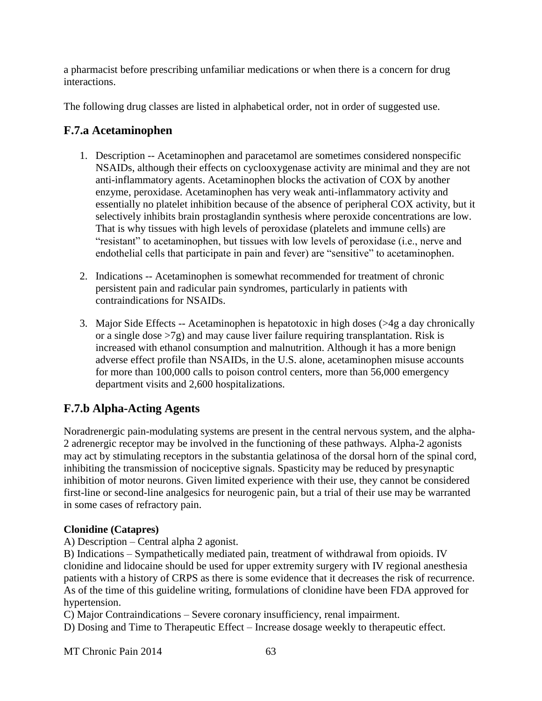a pharmacist before prescribing unfamiliar medications or when there is a concern for drug interactions.

The following drug classes are listed in alphabetical order, not in order of suggested use.

# **F.7.a Acetaminophen**

- 1. Description -- Acetaminophen and paracetamol are sometimes considered nonspecific NSAIDs, although their effects on cyclooxygenase activity are minimal and they are not anti-inflammatory agents. Acetaminophen blocks the activation of COX by another enzyme, peroxidase. Acetaminophen has very weak anti-inflammatory activity and essentially no platelet inhibition because of the absence of peripheral COX activity, but it selectively inhibits brain prostaglandin synthesis where peroxide concentrations are low. That is why tissues with high levels of peroxidase (platelets and immune cells) are "resistant" to acetaminophen, but tissues with low levels of peroxidase (i.e., nerve and endothelial cells that participate in pain and fever) are "sensitive" to acetaminophen.
- 2. Indications -- Acetaminophen is somewhat recommended for treatment of chronic persistent pain and radicular pain syndromes, particularly in patients with contraindications for NSAIDs.
- 3. Major Side Effects -- Acetaminophen is hepatotoxic in high doses (>4g a day chronically or a single dose  $>7g$ ) and may cause liver failure requiring transplantation. Risk is increased with ethanol consumption and malnutrition. Although it has a more benign adverse effect profile than NSAIDs, in the U.S. alone, acetaminophen misuse accounts for more than 100,000 calls to poison control centers, more than 56,000 emergency department visits and 2,600 hospitalizations.

# **F.7.b Alpha-Acting Agents**

Noradrenergic pain-modulating systems are present in the central nervous system, and the alpha-2 adrenergic receptor may be involved in the functioning of these pathways. Alpha-2 agonists may act by stimulating receptors in the substantia gelatinosa of the dorsal horn of the spinal cord, inhibiting the transmission of nociceptive signals. Spasticity may be reduced by presynaptic inhibition of motor neurons. Given limited experience with their use, they cannot be considered first-line or second-line analgesics for neurogenic pain, but a trial of their use may be warranted in some cases of refractory pain.

### **Clonidine (Catapres)**

A) Description – Central alpha 2 agonist.

B) Indications – Sympathetically mediated pain, treatment of withdrawal from opioids. IV clonidine and lidocaine should be used for upper extremity surgery with IV regional anesthesia patients with a history of CRPS as there is some evidence that it decreases the risk of recurrence. As of the time of this guideline writing, formulations of clonidine have been FDA approved for hypertension.

C) Major Contraindications – Severe coronary insufficiency, renal impairment.

D) Dosing and Time to Therapeutic Effect – Increase dosage weekly to therapeutic effect.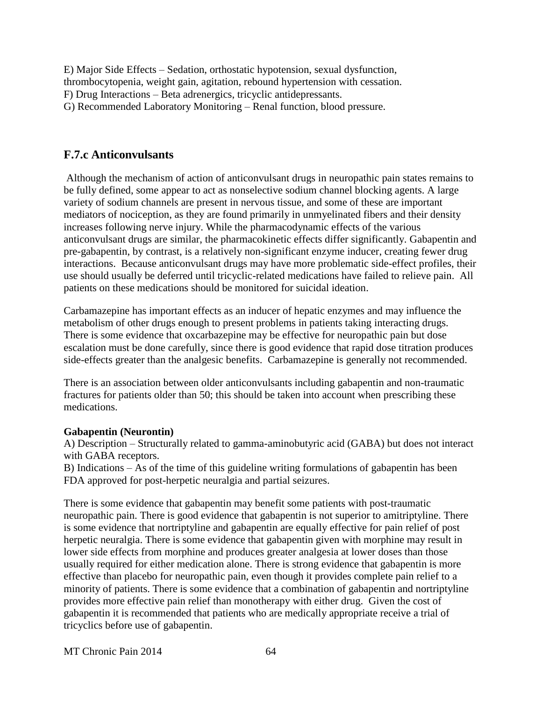E) Major Side Effects – Sedation, orthostatic hypotension, sexual dysfunction, thrombocytopenia, weight gain, agitation, rebound hypertension with cessation. F) Drug Interactions – Beta adrenergics, tricyclic antidepressants. G) Recommended Laboratory Monitoring – Renal function, blood pressure.

#### **F.7.c Anticonvulsants**

Although the mechanism of action of anticonvulsant drugs in neuropathic pain states remains to be fully defined, some appear to act as nonselective sodium channel blocking agents. A large variety of sodium channels are present in nervous tissue, and some of these are important mediators of nociception, as they are found primarily in unmyelinated fibers and their density increases following nerve injury. While the pharmacodynamic effects of the various anticonvulsant drugs are similar, the pharmacokinetic effects differ significantly. Gabapentin and pre-gabapentin, by contrast, is a relatively non-significant enzyme inducer, creating fewer drug interactions. Because anticonvulsant drugs may have more problematic side-effect profiles, their use should usually be deferred until tricyclic-related medications have failed to relieve pain. All patients on these medications should be monitored for suicidal ideation.

Carbamazepine has important effects as an inducer of hepatic enzymes and may influence the metabolism of other drugs enough to present problems in patients taking interacting drugs. There is some evidence that oxcarbazepine may be effective for neuropathic pain but dose escalation must be done carefully, since there is good evidence that rapid dose titration produces side-effects greater than the analgesic benefits. Carbamazepine is generally not recommended.

There is an association between older anticonvulsants including gabapentin and non-traumatic fractures for patients older than 50; this should be taken into account when prescribing these medications.

#### **Gabapentin (Neurontin)**

A) Description – Structurally related to gamma-aminobutyric acid (GABA) but does not interact with GABA receptors.

B) Indications – As of the time of this guideline writing formulations of gabapentin has been FDA approved for post-herpetic neuralgia and partial seizures.

There is some evidence that gabapentin may benefit some patients with post-traumatic neuropathic pain. There is good evidence that gabapentin is not superior to amitriptyline. There is some evidence that nortriptyline and gabapentin are equally effective for pain relief of post herpetic neuralgia. There is some evidence that gabapentin given with morphine may result in lower side effects from morphine and produces greater analgesia at lower doses than those usually required for either medication alone. There is strong evidence that gabapentin is more effective than placebo for neuropathic pain, even though it provides complete pain relief to a minority of patients. There is some evidence that a combination of gabapentin and nortriptyline provides more effective pain relief than monotherapy with either drug. Given the cost of gabapentin it is recommended that patients who are medically appropriate receive a trial of tricyclics before use of gabapentin.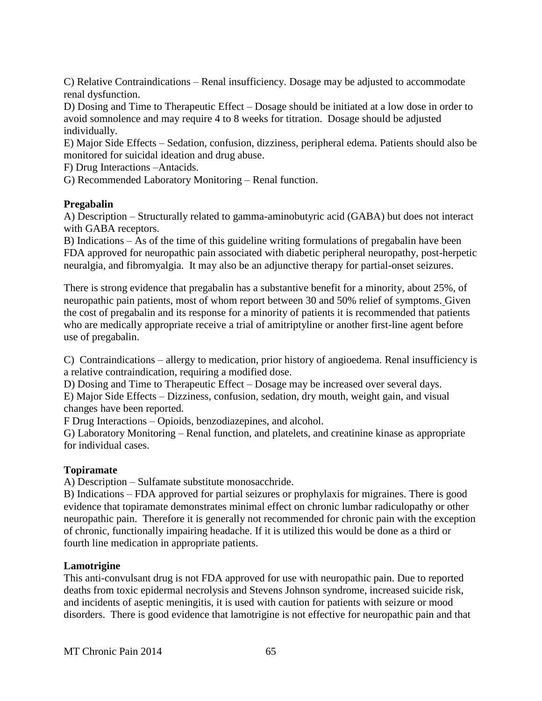C) Relative Contraindications – Renal insufficiency. Dosage may be adjusted to accommodate renal dysfunction.

D) Dosing and Time to Therapeutic Effect – Dosage should be initiated at a low dose in order to avoid somnolence and may require 4 to 8 weeks for titration. Dosage should be adjusted individually.

E) Major Side Effects – Sedation, confusion, dizziness, peripheral edema. Patients should also be monitored for suicidal ideation and drug abuse.

F) Drug Interactions –Antacids.

G) Recommended Laboratory Monitoring – Renal function.

#### **Pregabalin**

A) Description – Structurally related to gamma-aminobutyric acid (GABA) but does not interact with GABA receptors.

B) Indications – As of the time of this guideline writing formulations of pregabalin have been FDA approved for neuropathic pain associated with diabetic peripheral neuropathy, post-herpetic neuralgia, and fibromyalgia. It may also be an adjunctive therapy for partial-onset seizures.

There is strong evidence that pregabalin has a substantive benefit for a minority, about 25%, of neuropathic pain patients, most of whom report between 30 and 50% relief of symptoms. Given the cost of pregabalin and its response for a minority of patients it is recommended that patients who are medically appropriate receive a trial of amitriptyline or another first-line agent before use of pregabalin.

C) Contraindications – allergy to medication, prior history of angioedema. Renal insufficiency is a relative contraindication, requiring a modified dose.

D) Dosing and Time to Therapeutic Effect – Dosage may be increased over several days. E) Major Side Effects – Dizziness, confusion, sedation, dry mouth, weight gain, and visual changes have been reported.

F Drug Interactions – Opioids, benzodiazepines, and alcohol.

G) Laboratory Monitoring – Renal function, and platelets, and creatinine kinase as appropriate for individual cases.

#### **Topiramate**

A) Description – Sulfamate substitute monosacchride.

B) Indications – FDA approved for partial seizures or prophylaxis for migraines. There is good evidence that topiramate demonstrates minimal effect on chronic lumbar radiculopathy or other neuropathic pain. Therefore it is generally not recommended for chronic pain with the exception of chronic, functionally impairing headache. If it is utilized this would be done as a third or fourth line medication in appropriate patients.

#### **Lamotrigine**

This anti-convulsant drug is not FDA approved for use with neuropathic pain. Due to reported deaths from toxic epidermal necrolysis and Stevens Johnson syndrome, increased suicide risk, and incidents of aseptic meningitis, it is used with caution for patients with seizure or mood disorders. There is good evidence that lamotrigine is not effective for neuropathic pain and that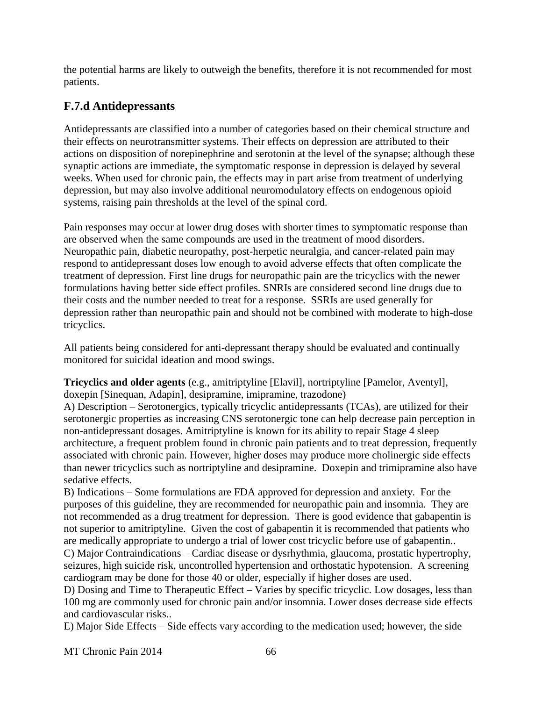the potential harms are likely to outweigh the benefits, therefore it is not recommended for most patients.

### **F.7.d Antidepressants**

Antidepressants are classified into a number of categories based on their chemical structure and their effects on neurotransmitter systems. Their effects on depression are attributed to their actions on disposition of norepinephrine and serotonin at the level of the synapse; although these synaptic actions are immediate, the symptomatic response in depression is delayed by several weeks. When used for chronic pain, the effects may in part arise from treatment of underlying depression, but may also involve additional neuromodulatory effects on endogenous opioid systems, raising pain thresholds at the level of the spinal cord.

Pain responses may occur at lower drug doses with shorter times to symptomatic response than are observed when the same compounds are used in the treatment of mood disorders. Neuropathic pain, diabetic neuropathy, post-herpetic neuralgia, and cancer-related pain may respond to antidepressant doses low enough to avoid adverse effects that often complicate the treatment of depression. First line drugs for neuropathic pain are the tricyclics with the newer formulations having better side effect profiles. SNRIs are considered second line drugs due to their costs and the number needed to treat for a response. SSRIs are used generally for depression rather than neuropathic pain and should not be combined with moderate to high-dose tricyclics.

All patients being considered for anti-depressant therapy should be evaluated and continually monitored for suicidal ideation and mood swings.

**Tricyclics and older agents** (e.g., amitriptyline [Elavil], nortriptyline [Pamelor, Aventyl], doxepin [Sinequan, Adapin], desipramine, imipramine, trazodone)

A) Description – Serotonergics, typically tricyclic antidepressants (TCAs), are utilized for their serotonergic properties as increasing CNS serotonergic tone can help decrease pain perception in non-antidepressant dosages. Amitriptyline is known for its ability to repair Stage 4 sleep architecture, a frequent problem found in chronic pain patients and to treat depression, frequently associated with chronic pain. However, higher doses may produce more cholinergic side effects than newer tricyclics such as nortriptyline and desipramine. Doxepin and trimipramine also have sedative effects.

B) Indications – Some formulations are FDA approved for depression and anxiety. For the purposes of this guideline, they are recommended for neuropathic pain and insomnia. They are not recommended as a drug treatment for depression. There is good evidence that gabapentin is not superior to amitriptyline. Given the cost of gabapentin it is recommended that patients who are medically appropriate to undergo a trial of lower cost tricyclic before use of gabapentin..

C) Major Contraindications – Cardiac disease or dysrhythmia, glaucoma, prostatic hypertrophy, seizures, high suicide risk, uncontrolled hypertension and orthostatic hypotension. A screening cardiogram may be done for those 40 or older, especially if higher doses are used.

D) Dosing and Time to Therapeutic Effect – Varies by specific tricyclic. Low dosages, less than 100 mg are commonly used for chronic pain and/or insomnia. Lower doses decrease side effects and cardiovascular risks..

E) Major Side Effects – Side effects vary according to the medication used; however, the side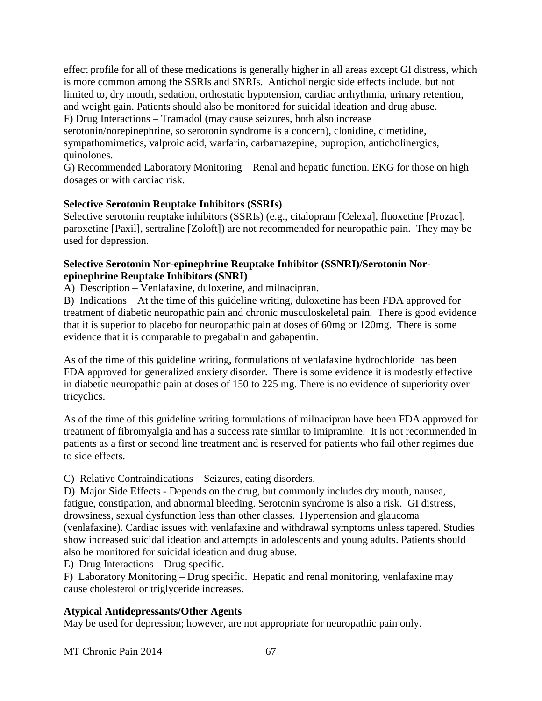effect profile for all of these medications is generally higher in all areas except GI distress, which is more common among the SSRIs and SNRIs. Anticholinergic side effects include, but not limited to, dry mouth, sedation, orthostatic hypotension, cardiac arrhythmia, urinary retention, and weight gain. Patients should also be monitored for suicidal ideation and drug abuse. F) Drug Interactions – Tramadol (may cause seizures, both also increase

serotonin/norepinephrine, so serotonin syndrome is a concern), clonidine, cimetidine, sympathomimetics, valproic acid, warfarin, carbamazepine, bupropion, anticholinergics, quinolones.

G) Recommended Laboratory Monitoring – Renal and hepatic function. EKG for those on high dosages or with cardiac risk.

#### **Selective Serotonin Reuptake Inhibitors (SSRIs)**

Selective serotonin reuptake inhibitors (SSRIs) (e.g., citalopram [Celexa], fluoxetine [Prozac], paroxetine [Paxil], sertraline [Zoloft]) are not recommended for neuropathic pain. They may be used for depression.

#### **Selective Serotonin Nor-epinephrine Reuptake Inhibitor (SSNRI)/Serotonin Norepinephrine Reuptake Inhibitors (SNRI)**

A) Description – Venlafaxine, duloxetine, and milnacipran.

B) Indications – At the time of this guideline writing, duloxetine has been FDA approved for treatment of diabetic neuropathic pain and chronic musculoskeletal pain. There is good evidence that it is superior to placebo for neuropathic pain at doses of 60mg or 120mg. There is some evidence that it is comparable to pregabalin and gabapentin.

As of the time of this guideline writing, formulations of venlafaxine hydrochloride has been FDA approved for generalized anxiety disorder. There is some evidence it is modestly effective in diabetic neuropathic pain at doses of 150 to 225 mg. There is no evidence of superiority over tricyclics.

As of the time of this guideline writing formulations of milnacipran have been FDA approved for treatment of fibromyalgia and has a success rate similar to imipramine. It is not recommended in patients as a first or second line treatment and is reserved for patients who fail other regimes due to side effects.

C) Relative Contraindications – Seizures, eating disorders.

D) Major Side Effects - Depends on the drug, but commonly includes dry mouth, nausea, fatigue, constipation, and abnormal bleeding. Serotonin syndrome is also a risk. GI distress, drowsiness, sexual dysfunction less than other classes. Hypertension and glaucoma (venlafaxine). Cardiac issues with venlafaxine and withdrawal symptoms unless tapered. Studies show increased suicidal ideation and attempts in adolescents and young adults. Patients should also be monitored for suicidal ideation and drug abuse.

E) Drug Interactions – Drug specific.

F) Laboratory Monitoring – Drug specific. Hepatic and renal monitoring, venlafaxine may cause cholesterol or triglyceride increases.

#### **Atypical Antidepressants/Other Agents**

May be used for depression; however, are not appropriate for neuropathic pain only.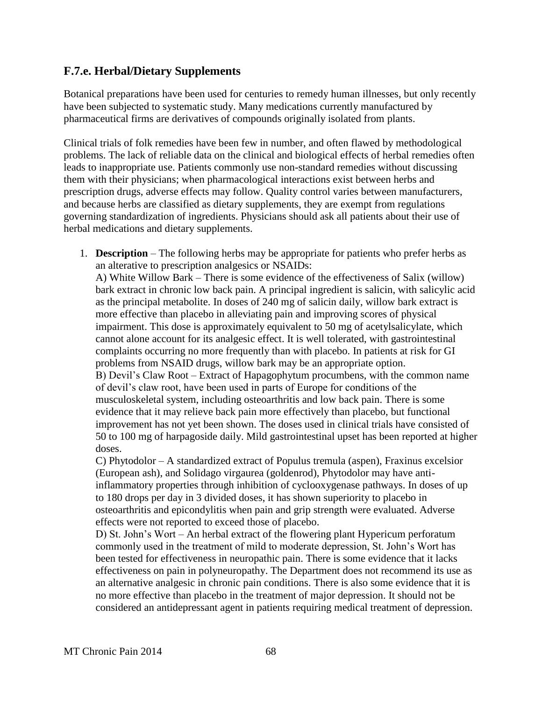#### **F.7.e. Herbal/Dietary Supplements**

Botanical preparations have been used for centuries to remedy human illnesses, but only recently have been subjected to systematic study. Many medications currently manufactured by pharmaceutical firms are derivatives of compounds originally isolated from plants.

Clinical trials of folk remedies have been few in number, and often flawed by methodological problems. The lack of reliable data on the clinical and biological effects of herbal remedies often leads to inappropriate use. Patients commonly use non-standard remedies without discussing them with their physicians; when pharmacological interactions exist between herbs and prescription drugs, adverse effects may follow. Quality control varies between manufacturers, and because herbs are classified as dietary supplements, they are exempt from regulations governing standardization of ingredients. Physicians should ask all patients about their use of herbal medications and dietary supplements.

1. **Description** – The following herbs may be appropriate for patients who prefer herbs as an alterative to prescription analgesics or NSAIDs:

A) White Willow Bark – There is some evidence of the effectiveness of Salix (willow) bark extract in chronic low back pain. A principal ingredient is salicin, with salicylic acid as the principal metabolite. In doses of 240 mg of salicin daily, willow bark extract is more effective than placebo in alleviating pain and improving scores of physical impairment. This dose is approximately equivalent to 50 mg of acetylsalicylate, which cannot alone account for its analgesic effect. It is well tolerated, with gastrointestinal complaints occurring no more frequently than with placebo. In patients at risk for GI problems from NSAID drugs, willow bark may be an appropriate option. B) Devil's Claw Root – Extract of Hapagophytum procumbens, with the common name of devil's claw root, have been used in parts of Europe for conditions of the musculoskeletal system, including osteoarthritis and low back pain. There is some evidence that it may relieve back pain more effectively than placebo, but functional improvement has not yet been shown. The doses used in clinical trials have consisted of 50 to 100 mg of harpagoside daily. Mild gastrointestinal upset has been reported at higher doses.

C) Phytodolor – A standardized extract of Populus tremula (aspen), Fraxinus excelsior (European ash), and Solidago virgaurea (goldenrod), Phytodolor may have antiinflammatory properties through inhibition of cyclooxygenase pathways. In doses of up to 180 drops per day in 3 divided doses, it has shown superiority to placebo in osteoarthritis and epicondylitis when pain and grip strength were evaluated. Adverse effects were not reported to exceed those of placebo.

D) St. John's Wort – An herbal extract of the flowering plant Hypericum perforatum commonly used in the treatment of mild to moderate depression, St. John's Wort has been tested for effectiveness in neuropathic pain. There is some evidence that it lacks effectiveness on pain in polyneuropathy. The Department does not recommend its use as an alternative analgesic in chronic pain conditions. There is also some evidence that it is no more effective than placebo in the treatment of major depression. It should not be considered an antidepressant agent in patients requiring medical treatment of depression.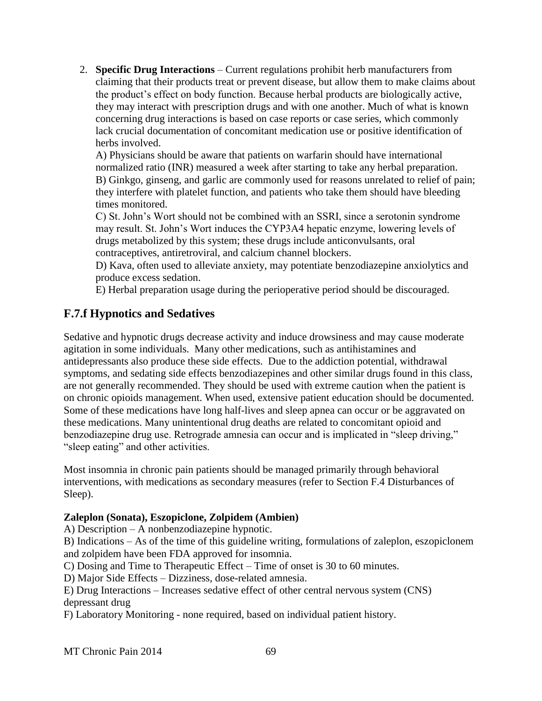2. **Specific Drug Interactions** – Current regulations prohibit herb manufacturers from claiming that their products treat or prevent disease, but allow them to make claims about the product's effect on body function. Because herbal products are biologically active, they may interact with prescription drugs and with one another. Much of what is known concerning drug interactions is based on case reports or case series, which commonly lack crucial documentation of concomitant medication use or positive identification of herbs involved.

A) Physicians should be aware that patients on warfarin should have international normalized ratio (INR) measured a week after starting to take any herbal preparation. B) Ginkgo, ginseng, and garlic are commonly used for reasons unrelated to relief of pain; they interfere with platelet function, and patients who take them should have bleeding times monitored.

C) St. John's Wort should not be combined with an SSRI, since a serotonin syndrome may result. St. John's Wort induces the CYP3A4 hepatic enzyme, lowering levels of drugs metabolized by this system; these drugs include anticonvulsants, oral contraceptives, antiretroviral, and calcium channel blockers.

D) Kava, often used to alleviate anxiety, may potentiate benzodiazepine anxiolytics and produce excess sedation.

E) Herbal preparation usage during the perioperative period should be discouraged.

### **F.7.f Hypnotics and Sedatives**

Sedative and hypnotic drugs decrease activity and induce drowsiness and may cause moderate agitation in some individuals. Many other medications, such as antihistamines and antidepressants also produce these side effects. Due to the addiction potential, withdrawal symptoms, and sedating side effects benzodiazepines and other similar drugs found in this class, are not generally recommended. They should be used with extreme caution when the patient is on chronic opioids management. When used, extensive patient education should be documented. Some of these medications have long half-lives and sleep apnea can occur or be aggravated on these medications. Many unintentional drug deaths are related to concomitant opioid and benzodiazepine drug use. Retrograde amnesia can occur and is implicated in "sleep driving," "sleep eating" and other activities.

Most insomnia in chronic pain patients should be managed primarily through behavioral interventions, with medications as secondary measures (refer to Section F.4 Disturbances of Sleep).

#### **Zaleplon (Sonata), Eszopiclone, Zolpidem (Ambien)**

A) Description – A nonbenzodiazepine hypnotic.

B) Indications – As of the time of this guideline writing, formulations of zaleplon, eszopiclonem and zolpidem have been FDA approved for insomnia.

C) Dosing and Time to Therapeutic Effect – Time of onset is 30 to 60 minutes.

D) Major Side Effects – Dizziness, dose-related amnesia.

E) Drug Interactions – Increases sedative effect of other central nervous system (CNS) depressant drug

F) Laboratory Monitoring - none required, based on individual patient history.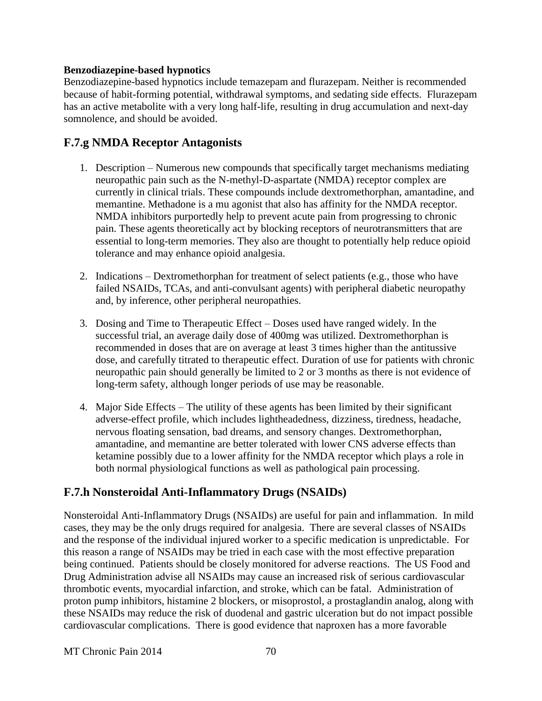#### **Benzodiazepine-based hypnotics**

Benzodiazepine-based hypnotics include temazepam and flurazepam. Neither is recommended because of habit-forming potential, withdrawal symptoms, and sedating side effects. Flurazepam has an active metabolite with a very long half-life, resulting in drug accumulation and next-day somnolence, and should be avoided.

#### **F.7.g NMDA Receptor Antagonists**

- 1. Description Numerous new compounds that specifically target mechanisms mediating neuropathic pain such as the N-methyl-D-aspartate (NMDA) receptor complex are currently in clinical trials. These compounds include dextromethorphan, amantadine, and memantine. Methadone is a mu agonist that also has affinity for the NMDA receptor. NMDA inhibitors purportedly help to prevent acute pain from progressing to chronic pain. These agents theoretically act by blocking receptors of neurotransmitters that are essential to long-term memories. They also are thought to potentially help reduce opioid tolerance and may enhance opioid analgesia.
- 2. Indications Dextromethorphan for treatment of select patients (e.g., those who have failed NSAIDs, TCAs, and anti-convulsant agents) with peripheral diabetic neuropathy and, by inference, other peripheral neuropathies.
- 3. Dosing and Time to Therapeutic Effect Doses used have ranged widely. In the successful trial, an average daily dose of 400mg was utilized. Dextromethorphan is recommended in doses that are on average at least 3 times higher than the antitussive dose, and carefully titrated to therapeutic effect. Duration of use for patients with chronic neuropathic pain should generally be limited to 2 or 3 months as there is not evidence of long-term safety, although longer periods of use may be reasonable.
- 4. Major Side Effects The utility of these agents has been limited by their significant adverse-effect profile, which includes lightheadedness, dizziness, tiredness, headache, nervous floating sensation, bad dreams, and sensory changes. Dextromethorphan, amantadine, and memantine are better tolerated with lower CNS adverse effects than ketamine possibly due to a lower affinity for the NMDA receptor which plays a role in both normal physiological functions as well as pathological pain processing.

### **F.7.h Nonsteroidal Anti-Inflammatory Drugs (NSAIDs)**

Nonsteroidal Anti-Inflammatory Drugs (NSAIDs) are useful for pain and inflammation. In mild cases, they may be the only drugs required for analgesia. There are several classes of NSAIDs and the response of the individual injured worker to a specific medication is unpredictable. For this reason a range of NSAIDs may be tried in each case with the most effective preparation being continued. Patients should be closely monitored for adverse reactions. The US Food and Drug Administration advise all NSAIDs may cause an increased risk of serious cardiovascular thrombotic events, myocardial infarction, and stroke, which can be fatal. Administration of proton pump inhibitors, histamine 2 blockers, or misoprostol, a prostaglandin analog, along with these NSAIDs may reduce the risk of duodenal and gastric ulceration but do not impact possible cardiovascular complications. There is good evidence that naproxen has a more favorable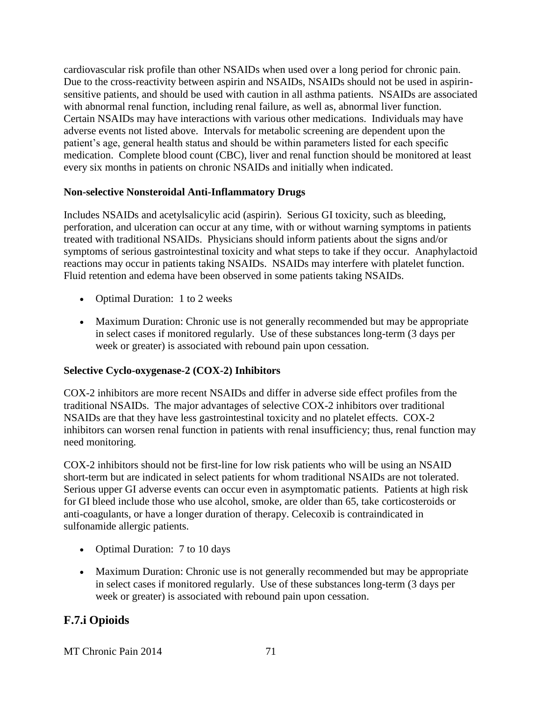cardiovascular risk profile than other NSAIDs when used over a long period for chronic pain. Due to the cross-reactivity between aspirin and NSAIDs, NSAIDs should not be used in aspirinsensitive patients, and should be used with caution in all asthma patients. NSAIDs are associated with abnormal renal function, including renal failure, as well as, abnormal liver function. Certain NSAIDs may have interactions with various other medications. Individuals may have adverse events not listed above. Intervals for metabolic screening are dependent upon the patient's age, general health status and should be within parameters listed for each specific medication. Complete blood count (CBC), liver and renal function should be monitored at least every six months in patients on chronic NSAIDs and initially when indicated.

#### **Non-selective Nonsteroidal Anti-Inflammatory Drugs**

Includes NSAIDs and acetylsalicylic acid (aspirin). Serious GI toxicity, such as bleeding, perforation, and ulceration can occur at any time, with or without warning symptoms in patients treated with traditional NSAIDs. Physicians should inform patients about the signs and/or symptoms of serious gastrointestinal toxicity and what steps to take if they occur. Anaphylactoid reactions may occur in patients taking NSAIDs. NSAIDs may interfere with platelet function. Fluid retention and edema have been observed in some patients taking NSAIDs.

- Optimal Duration: 1 to 2 weeks
- Maximum Duration: Chronic use is not generally recommended but may be appropriate in select cases if monitored regularly. Use of these substances long-term (3 days per week or greater) is associated with rebound pain upon cessation.

#### **Selective Cyclo-oxygenase-2 (COX-2) Inhibitors**

COX-2 inhibitors are more recent NSAIDs and differ in adverse side effect profiles from the traditional NSAIDs. The major advantages of selective COX-2 inhibitors over traditional NSAIDs are that they have less gastrointestinal toxicity and no platelet effects. COX-2 inhibitors can worsen renal function in patients with renal insufficiency; thus, renal function may need monitoring.

COX-2 inhibitors should not be first-line for low risk patients who will be using an NSAID short-term but are indicated in select patients for whom traditional NSAIDs are not tolerated. Serious upper GI adverse events can occur even in asymptomatic patients. Patients at high risk for GI bleed include those who use alcohol, smoke, are older than 65, take corticosteroids or anti-coagulants, or have a longer duration of therapy. Celecoxib is contraindicated in sulfonamide allergic patients.

- Optimal Duration: 7 to 10 days
- Maximum Duration: Chronic use is not generally recommended but may be appropriate in select cases if monitored regularly. Use of these substances long-term (3 days per week or greater) is associated with rebound pain upon cessation.

### **F.7.i Opioids**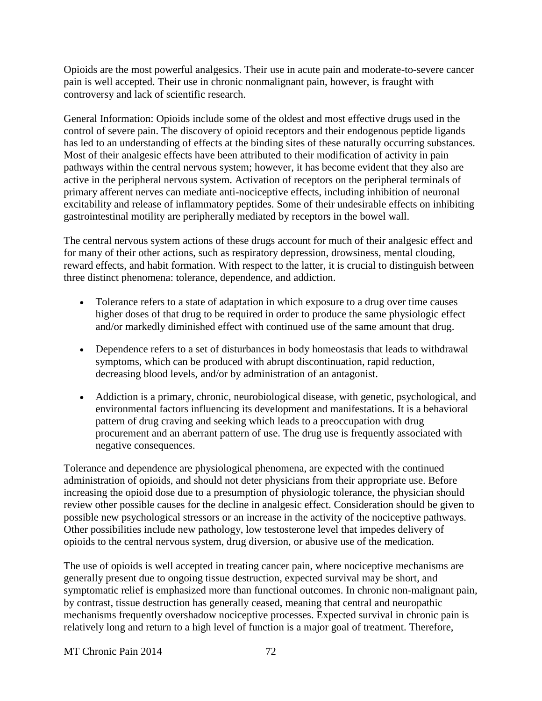Opioids are the most powerful analgesics. Their use in acute pain and moderate-to-severe cancer pain is well accepted. Their use in chronic nonmalignant pain, however, is fraught with controversy and lack of scientific research.

General Information: Opioids include some of the oldest and most effective drugs used in the control of severe pain. The discovery of opioid receptors and their endogenous peptide ligands has led to an understanding of effects at the binding sites of these naturally occurring substances. Most of their analgesic effects have been attributed to their modification of activity in pain pathways within the central nervous system; however, it has become evident that they also are active in the peripheral nervous system. Activation of receptors on the peripheral terminals of primary afferent nerves can mediate anti-nociceptive effects, including inhibition of neuronal excitability and release of inflammatory peptides. Some of their undesirable effects on inhibiting gastrointestinal motility are peripherally mediated by receptors in the bowel wall.

The central nervous system actions of these drugs account for much of their analgesic effect and for many of their other actions, such as respiratory depression, drowsiness, mental clouding, reward effects, and habit formation. With respect to the latter, it is crucial to distinguish between three distinct phenomena: tolerance, dependence, and addiction.

- Tolerance refers to a state of adaptation in which exposure to a drug over time causes higher doses of that drug to be required in order to produce the same physiologic effect and/or markedly diminished effect with continued use of the same amount that drug.
- Dependence refers to a set of disturbances in body homeostasis that leads to withdrawal symptoms, which can be produced with abrupt discontinuation, rapid reduction, decreasing blood levels, and/or by administration of an antagonist.
- Addiction is a primary, chronic, neurobiological disease, with genetic, psychological, and environmental factors influencing its development and manifestations. It is a behavioral pattern of drug craving and seeking which leads to a preoccupation with drug procurement and an aberrant pattern of use. The drug use is frequently associated with negative consequences.

Tolerance and dependence are physiological phenomena, are expected with the continued administration of opioids, and should not deter physicians from their appropriate use. Before increasing the opioid dose due to a presumption of physiologic tolerance, the physician should review other possible causes for the decline in analgesic effect. Consideration should be given to possible new psychological stressors or an increase in the activity of the nociceptive pathways. Other possibilities include new pathology, low testosterone level that impedes delivery of opioids to the central nervous system, drug diversion, or abusive use of the medication.

The use of opioids is well accepted in treating cancer pain, where nociceptive mechanisms are generally present due to ongoing tissue destruction, expected survival may be short, and symptomatic relief is emphasized more than functional outcomes. In chronic non-malignant pain, by contrast, tissue destruction has generally ceased, meaning that central and neuropathic mechanisms frequently overshadow nociceptive processes. Expected survival in chronic pain is relatively long and return to a high level of function is a major goal of treatment. Therefore,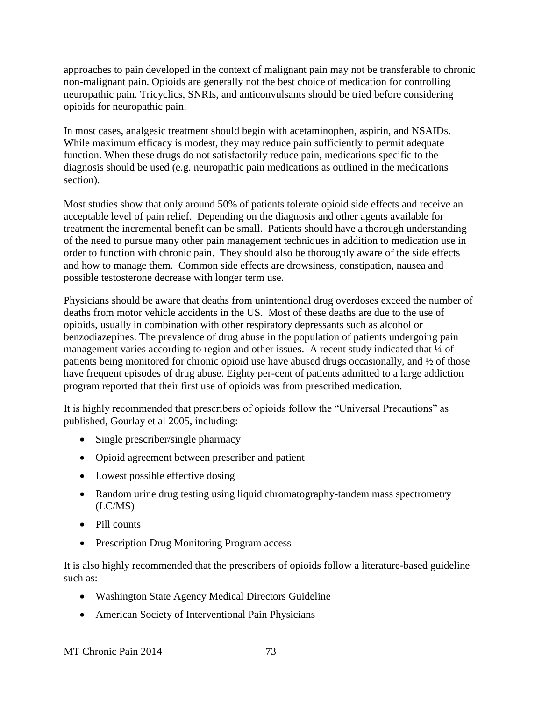approaches to pain developed in the context of malignant pain may not be transferable to chronic non-malignant pain. Opioids are generally not the best choice of medication for controlling neuropathic pain. Tricyclics, SNRIs, and anticonvulsants should be tried before considering opioids for neuropathic pain.

In most cases, analgesic treatment should begin with acetaminophen, aspirin, and NSAIDs. While maximum efficacy is modest, they may reduce pain sufficiently to permit adequate function. When these drugs do not satisfactorily reduce pain, medications specific to the diagnosis should be used (e.g. neuropathic pain medications as outlined in the medications section).

Most studies show that only around 50% of patients tolerate opioid side effects and receive an acceptable level of pain relief. Depending on the diagnosis and other agents available for treatment the incremental benefit can be small. Patients should have a thorough understanding of the need to pursue many other pain management techniques in addition to medication use in order to function with chronic pain. They should also be thoroughly aware of the side effects and how to manage them. Common side effects are drowsiness, constipation, nausea and possible testosterone decrease with longer term use.

Physicians should be aware that deaths from unintentional drug overdoses exceed the number of deaths from motor vehicle accidents in the US. Most of these deaths are due to the use of opioids, usually in combination with other respiratory depressants such as alcohol or benzodiazepines. The prevalence of drug abuse in the population of patients undergoing pain management varies according to region and other issues. A recent study indicated that  $\frac{1}{4}$  of patients being monitored for chronic opioid use have abused drugs occasionally, and ½ of those have frequent episodes of drug abuse. Eighty per-cent of patients admitted to a large addiction program reported that their first use of opioids was from prescribed medication.

It is highly recommended that prescribers of opioids follow the "Universal Precautions" as published, Gourlay et al 2005, including:

- Single prescriber/single pharmacy
- Opioid agreement between prescriber and patient
- Lowest possible effective dosing
- Random urine drug testing using liquid chromatography-tandem mass spectrometry (LC/MS)
- Pill counts
- Prescription Drug Monitoring Program access

It is also highly recommended that the prescribers of opioids follow a literature-based guideline such as:

- Washington State Agency Medical Directors Guideline
- American Society of Interventional Pain Physicians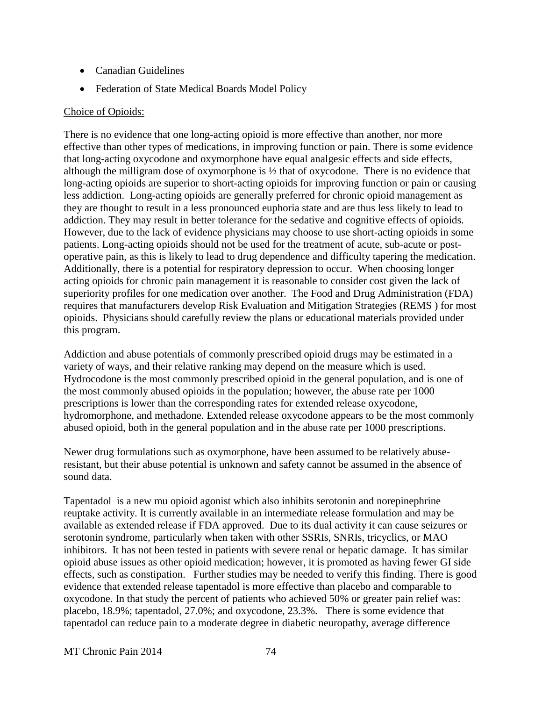- Canadian Guidelines
- Federation of State Medical Boards Model Policy

#### Choice of Opioids:

There is no evidence that one long-acting opioid is more effective than another, nor more effective than other types of medications, in improving function or pain. There is some evidence that long-acting oxycodone and oxymorphone have equal analgesic effects and side effects, although the milligram dose of oxymorphone is ½ that of oxycodone. There is no evidence that long-acting opioids are superior to short-acting opioids for improving function or pain or causing less addiction. Long-acting opioids are generally preferred for chronic opioid management as they are thought to result in a less pronounced euphoria state and are thus less likely to lead to addiction. They may result in better tolerance for the sedative and cognitive effects of opioids. However, due to the lack of evidence physicians may choose to use short-acting opioids in some patients. Long-acting opioids should not be used for the treatment of acute, sub-acute or postoperative pain, as this is likely to lead to drug dependence and difficulty tapering the medication. Additionally, there is a potential for respiratory depression to occur. When choosing longer acting opioids for chronic pain management it is reasonable to consider cost given the lack of superiority profiles for one medication over another. The Food and Drug Administration (FDA) requires that manufacturers develop Risk Evaluation and Mitigation Strategies (REMS ) for most opioids. Physicians should carefully review the plans or educational materials provided under this program.

Addiction and abuse potentials of commonly prescribed opioid drugs may be estimated in a variety of ways, and their relative ranking may depend on the measure which is used. Hydrocodone is the most commonly prescribed opioid in the general population, and is one of the most commonly abused opioids in the population; however, the abuse rate per 1000 prescriptions is lower than the corresponding rates for extended release oxycodone, hydromorphone, and methadone. Extended release oxycodone appears to be the most commonly abused opioid, both in the general population and in the abuse rate per 1000 prescriptions.

Newer drug formulations such as oxymorphone, have been assumed to be relatively abuseresistant, but their abuse potential is unknown and safety cannot be assumed in the absence of sound data.

Tapentadol is a new mu opioid agonist which also inhibits serotonin and norepinephrine reuptake activity. It is currently available in an intermediate release formulation and may be available as extended release if FDA approved. Due to its dual activity it can cause seizures or serotonin syndrome, particularly when taken with other SSRIs, SNRIs, tricyclics, or MAO inhibitors. It has not been tested in patients with severe renal or hepatic damage. It has similar opioid abuse issues as other opioid medication; however, it is promoted as having fewer GI side effects, such as constipation. Further studies may be needed to verify this finding. There is good evidence that extended release tapentadol is more effective than placebo and comparable to oxycodone. In that study the percent of patients who achieved 50% or greater pain relief was: placebo, 18.9%; tapentadol, 27.0%; and oxycodone, 23.3%. There is some evidence that tapentadol can reduce pain to a moderate degree in diabetic neuropathy, average difference

MT Chronic Pain 2014 74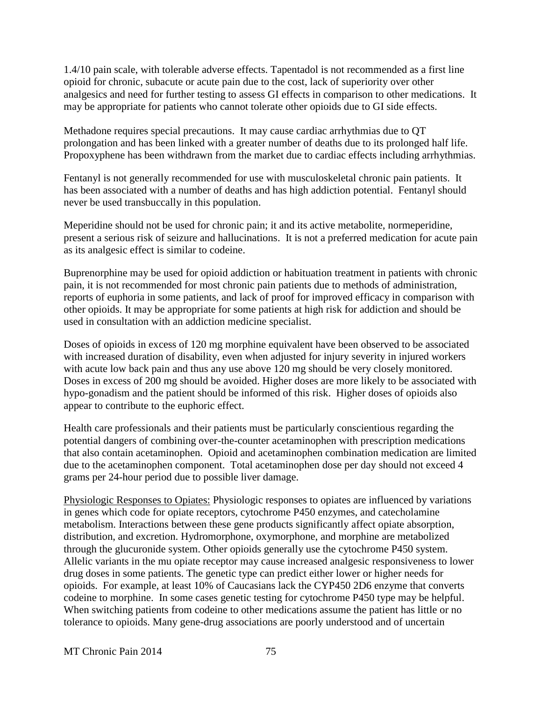1.4/10 pain scale, with tolerable adverse effects. Tapentadol is not recommended as a first line opioid for chronic, subacute or acute pain due to the cost, lack of superiority over other analgesics and need for further testing to assess GI effects in comparison to other medications. It may be appropriate for patients who cannot tolerate other opioids due to GI side effects.

Methadone requires special precautions. It may cause cardiac arrhythmias due to QT prolongation and has been linked with a greater number of deaths due to its prolonged half life. Propoxyphene has been withdrawn from the market due to cardiac effects including arrhythmias.

Fentanyl is not generally recommended for use with musculoskeletal chronic pain patients. It has been associated with a number of deaths and has high addiction potential. Fentanyl should never be used transbuccally in this population.

Meperidine should not be used for chronic pain; it and its active metabolite, normeperidine, present a serious risk of seizure and hallucinations. It is not a preferred medication for acute pain as its analgesic effect is similar to codeine.

Buprenorphine may be used for opioid addiction or habituation treatment in patients with chronic pain, it is not recommended for most chronic pain patients due to methods of administration, reports of euphoria in some patients, and lack of proof for improved efficacy in comparison with other opioids. It may be appropriate for some patients at high risk for addiction and should be used in consultation with an addiction medicine specialist.

Doses of opioids in excess of 120 mg morphine equivalent have been observed to be associated with increased duration of disability, even when adjusted for injury severity in injured workers with acute low back pain and thus any use above 120 mg should be very closely monitored. Doses in excess of 200 mg should be avoided. Higher doses are more likely to be associated with hypo-gonadism and the patient should be informed of this risk. Higher doses of opioids also appear to contribute to the euphoric effect.

Health care professionals and their patients must be particularly conscientious regarding the potential dangers of combining over-the-counter acetaminophen with prescription medications that also contain acetaminophen. Opioid and acetaminophen combination medication are limited due to the acetaminophen component. Total acetaminophen dose per day should not exceed 4 grams per 24-hour period due to possible liver damage.

Physiologic Responses to Opiates: Physiologic responses to opiates are influenced by variations in genes which code for opiate receptors, cytochrome P450 enzymes, and catecholamine metabolism. Interactions between these gene products significantly affect opiate absorption, distribution, and excretion. Hydromorphone, oxymorphone, and morphine are metabolized through the glucuronide system. Other opioids generally use the cytochrome P450 system. Allelic variants in the mu opiate receptor may cause increased analgesic responsiveness to lower drug doses in some patients. The genetic type can predict either lower or higher needs for opioids. For example, at least 10% of Caucasians lack the CYP450 2D6 enzyme that converts codeine to morphine. In some cases genetic testing for cytochrome P450 type may be helpful. When switching patients from codeine to other medications assume the patient has little or no tolerance to opioids. Many gene-drug associations are poorly understood and of uncertain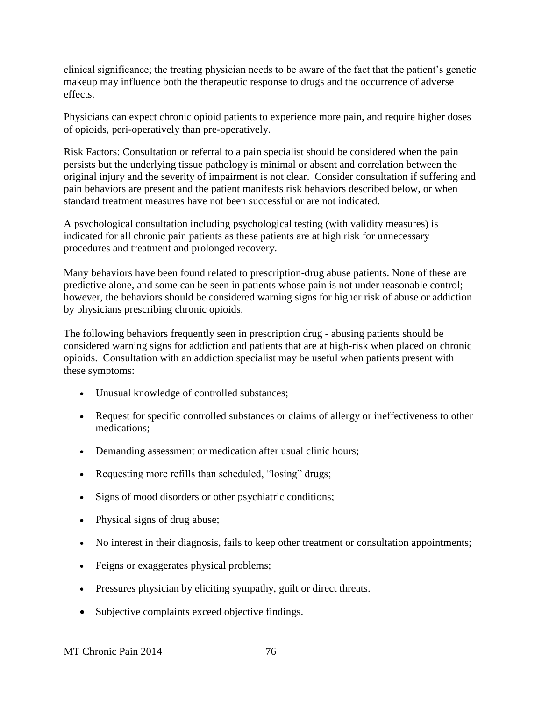clinical significance; the treating physician needs to be aware of the fact that the patient's genetic makeup may influence both the therapeutic response to drugs and the occurrence of adverse effects.

Physicians can expect chronic opioid patients to experience more pain, and require higher doses of opioids, peri-operatively than pre-operatively.

Risk Factors: Consultation or referral to a pain specialist should be considered when the pain persists but the underlying tissue pathology is minimal or absent and correlation between the original injury and the severity of impairment is not clear. Consider consultation if suffering and pain behaviors are present and the patient manifests risk behaviors described below, or when standard treatment measures have not been successful or are not indicated.

A psychological consultation including psychological testing (with validity measures) is indicated for all chronic pain patients as these patients are at high risk for unnecessary procedures and treatment and prolonged recovery.

Many behaviors have been found related to prescription-drug abuse patients. None of these are predictive alone, and some can be seen in patients whose pain is not under reasonable control; however, the behaviors should be considered warning signs for higher risk of abuse or addiction by physicians prescribing chronic opioids.

The following behaviors frequently seen in prescription drug - abusing patients should be considered warning signs for addiction and patients that are at high-risk when placed on chronic opioids. Consultation with an addiction specialist may be useful when patients present with these symptoms:

- Unusual knowledge of controlled substances;
- Request for specific controlled substances or claims of allergy or ineffectiveness to other medications;
- Demanding assessment or medication after usual clinic hours;
- Requesting more refills than scheduled, "losing" drugs;
- Signs of mood disorders or other psychiatric conditions;
- Physical signs of drug abuse;
- No interest in their diagnosis, fails to keep other treatment or consultation appointments;
- Feigns or exaggerates physical problems;
- Pressures physician by eliciting sympathy, guilt or direct threats.
- Subjective complaints exceed objective findings.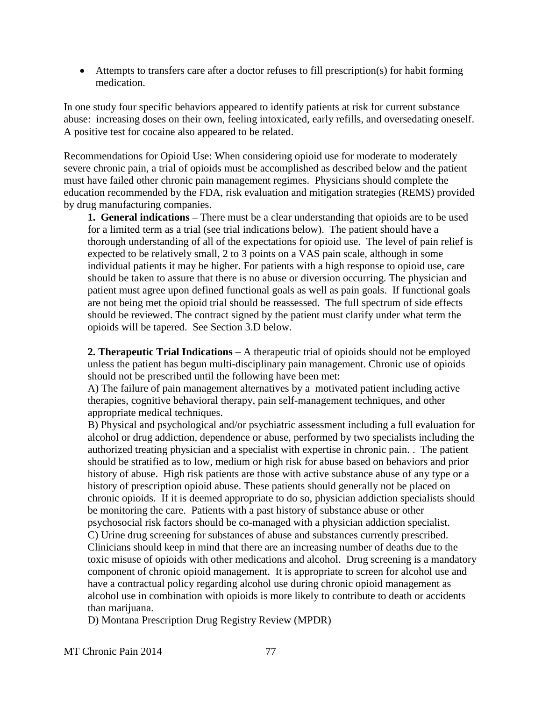Attempts to transfers care after a doctor refuses to fill prescription(s) for habit forming medication.

In one study four specific behaviors appeared to identify patients at risk for current substance abuse: increasing doses on their own, feeling intoxicated, early refills, and oversedating oneself. A positive test for cocaine also appeared to be related.

Recommendations for Opioid Use: When considering opioid use for moderate to moderately severe chronic pain, a trial of opioids must be accomplished as described below and the patient must have failed other chronic pain management regimes. Physicians should complete the education recommended by the FDA, risk evaluation and mitigation strategies (REMS) provided by drug manufacturing companies.

**1. General indications –** There must be a clear understanding that opioids are to be used for a limited term as a trial (see trial indications below). The patient should have a thorough understanding of all of the expectations for opioid use. The level of pain relief is expected to be relatively small, 2 to 3 points on a VAS pain scale, although in some individual patients it may be higher. For patients with a high response to opioid use, care should be taken to assure that there is no abuse or diversion occurring. The physician and patient must agree upon defined functional goals as well as pain goals. If functional goals are not being met the opioid trial should be reassessed. The full spectrum of side effects should be reviewed. The contract signed by the patient must clarify under what term the opioids will be tapered. See Section 3.D below.

**2. Therapeutic Trial Indications** – A therapeutic trial of opioids should not be employed unless the patient has begun multi-disciplinary pain management. Chronic use of opioids should not be prescribed until the following have been met:

A) The failure of pain management alternatives by a motivated patient including active therapies, cognitive behavioral therapy, pain self-management techniques, and other appropriate medical techniques.

B) Physical and psychological and/or psychiatric assessment including a full evaluation for alcohol or drug addiction, dependence or abuse, performed by two specialists including the authorized treating physician and a specialist with expertise in chronic pain. . The patient should be stratified as to low, medium or high risk for abuse based on behaviors and prior history of abuse. High risk patients are those with active substance abuse of any type or a history of prescription opioid abuse. These patients should generally not be placed on chronic opioids. If it is deemed appropriate to do so, physician addiction specialists should be monitoring the care. Patients with a past history of substance abuse or other psychosocial risk factors should be co-managed with a physician addiction specialist. C) Urine drug screening for substances of abuse and substances currently prescribed. Clinicians should keep in mind that there are an increasing number of deaths due to the toxic misuse of opioids with other medications and alcohol. Drug screening is a mandatory component of chronic opioid management. It is appropriate to screen for alcohol use and have a contractual policy regarding alcohol use during chronic opioid management as alcohol use in combination with opioids is more likely to contribute to death or accidents than marijuana.

D) Montana Prescription Drug Registry Review (MPDR)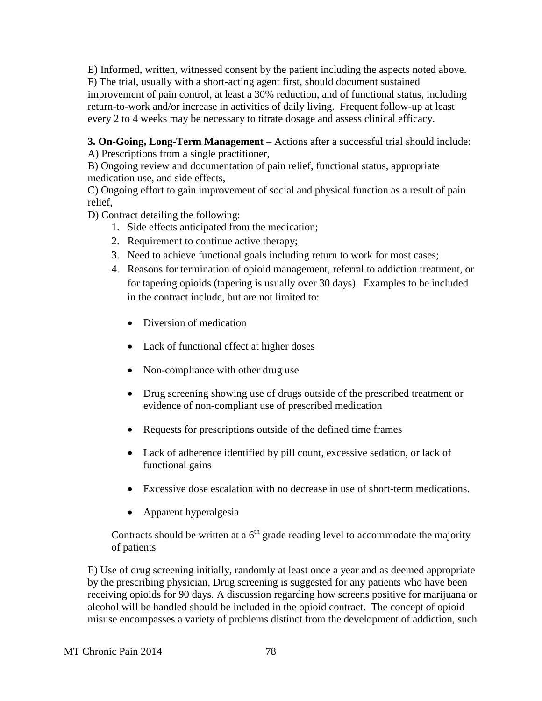E) Informed, written, witnessed consent by the patient including the aspects noted above. F) The trial, usually with a short-acting agent first, should document sustained improvement of pain control, at least a 30% reduction, and of functional status, including return-to-work and/or increase in activities of daily living. Frequent follow-up at least every 2 to 4 weeks may be necessary to titrate dosage and assess clinical efficacy.

**3. On-Going, Long-Term Management** – Actions after a successful trial should include: A) Prescriptions from a single practitioner,

B) Ongoing review and documentation of pain relief, functional status, appropriate medication use, and side effects,

C) Ongoing effort to gain improvement of social and physical function as a result of pain relief,

D) Contract detailing the following:

- 1. Side effects anticipated from the medication;
- 2. Requirement to continue active therapy;
- 3. Need to achieve functional goals including return to work for most cases;
- 4. Reasons for termination of opioid management, referral to addiction treatment, or for tapering opioids (tapering is usually over 30 days). Examples to be included in the contract include, but are not limited to:
	- Diversion of medication
	- Lack of functional effect at higher doses
	- Non-compliance with other drug use
	- Drug screening showing use of drugs outside of the prescribed treatment or evidence of non-compliant use of prescribed medication
	- Requests for prescriptions outside of the defined time frames
	- Lack of adherence identified by pill count, excessive sedation, or lack of functional gains
	- Excessive dose escalation with no decrease in use of short-term medications.
	- Apparent hyperalgesia

Contracts should be written at a  $6<sup>th</sup>$  grade reading level to accommodate the majority of patients

E) Use of drug screening initially, randomly at least once a year and as deemed appropriate by the prescribing physician, Drug screening is suggested for any patients who have been receiving opioids for 90 days. A discussion regarding how screens positive for marijuana or alcohol will be handled should be included in the opioid contract. The concept of opioid misuse encompasses a variety of problems distinct from the development of addiction, such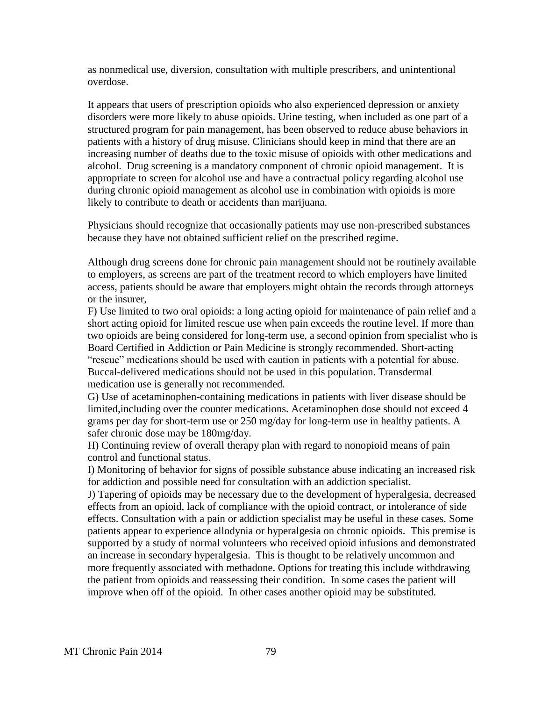as nonmedical use, diversion, consultation with multiple prescribers, and unintentional overdose.

It appears that users of prescription opioids who also experienced depression or anxiety disorders were more likely to abuse opioids. Urine testing, when included as one part of a structured program for pain management, has been observed to reduce abuse behaviors in patients with a history of drug misuse. Clinicians should keep in mind that there are an increasing number of deaths due to the toxic misuse of opioids with other medications and alcohol. Drug screening is a mandatory component of chronic opioid management. It is appropriate to screen for alcohol use and have a contractual policy regarding alcohol use during chronic opioid management as alcohol use in combination with opioids is more likely to contribute to death or accidents than marijuana.

Physicians should recognize that occasionally patients may use non-prescribed substances because they have not obtained sufficient relief on the prescribed regime.

Although drug screens done for chronic pain management should not be routinely available to employers, as screens are part of the treatment record to which employers have limited access, patients should be aware that employers might obtain the records through attorneys or the insurer,

F) Use limited to two oral opioids: a long acting opioid for maintenance of pain relief and a short acting opioid for limited rescue use when pain exceeds the routine level. If more than two opioids are being considered for long-term use, a second opinion from specialist who is Board Certified in Addiction or Pain Medicine is strongly recommended. Short-acting "rescue" medications should be used with caution in patients with a potential for abuse. Buccal-delivered medications should not be used in this population. Transdermal medication use is generally not recommended.

G) Use of acetaminophen-containing medications in patients with liver disease should be limited,including over the counter medications. Acetaminophen dose should not exceed 4 grams per day for short-term use or 250 mg/day for long-term use in healthy patients. A safer chronic dose may be 180mg/day.

H) Continuing review of overall therapy plan with regard to nonopioid means of pain control and functional status.

I) Monitoring of behavior for signs of possible substance abuse indicating an increased risk for addiction and possible need for consultation with an addiction specialist.

J) Tapering of opioids may be necessary due to the development of hyperalgesia, decreased effects from an opioid, lack of compliance with the opioid contract, or intolerance of side effects. Consultation with a pain or addiction specialist may be useful in these cases. Some patients appear to experience allodynia or hyperalgesia on chronic opioids. This premise is supported by a study of normal volunteers who received opioid infusions and demonstrated an increase in secondary hyperalgesia. This is thought to be relatively uncommon and more frequently associated with methadone. Options for treating this include withdrawing the patient from opioids and reassessing their condition. In some cases the patient will improve when off of the opioid. In other cases another opioid may be substituted.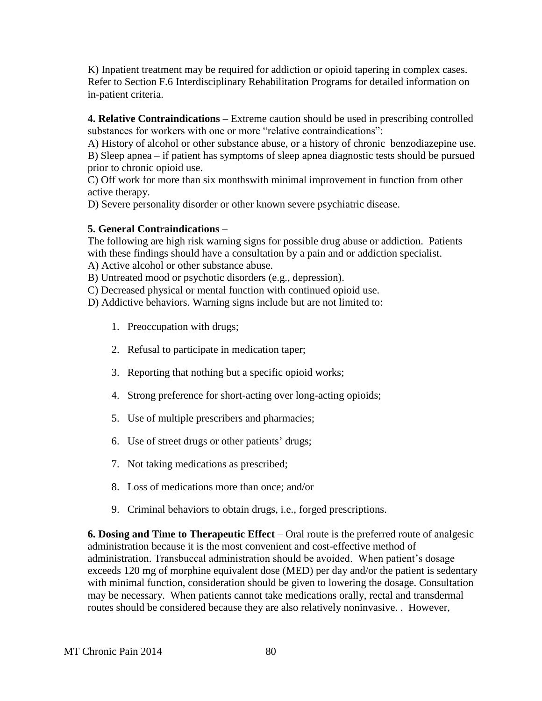K) Inpatient treatment may be required for addiction or opioid tapering in complex cases. Refer to Section F.6 Interdisciplinary Rehabilitation Programs for detailed information on in-patient criteria.

**4. Relative Contraindications** – Extreme caution should be used in prescribing controlled substances for workers with one or more "relative contraindications":

A) History of alcohol or other substance abuse, or a history of chronic benzodiazepine use.

B) Sleep apnea – if patient has symptoms of sleep apnea diagnostic tests should be pursued prior to chronic opioid use.

C) Off work for more than six monthswith minimal improvement in function from other active therapy.

D) Severe personality disorder or other known severe psychiatric disease.

#### **5. General Contraindications** –

The following are high risk warning signs for possible drug abuse or addiction. Patients with these findings should have a consultation by a pain and or addiction specialist.

A) Active alcohol or other substance abuse.

B) Untreated mood or psychotic disorders (e.g., depression).

C) Decreased physical or mental function with continued opioid use.

D) Addictive behaviors. Warning signs include but are not limited to:

- 1. Preoccupation with drugs;
- 2. Refusal to participate in medication taper;
- 3. Reporting that nothing but a specific opioid works;
- 4. Strong preference for short-acting over long-acting opioids;
- 5. Use of multiple prescribers and pharmacies;
- 6. Use of street drugs or other patients' drugs;
- 7. Not taking medications as prescribed;
- 8. Loss of medications more than once; and/or
- 9. Criminal behaviors to obtain drugs, i.e., forged prescriptions.

**6. Dosing and Time to Therapeutic Effect** – Oral route is the preferred route of analgesic administration because it is the most convenient and cost-effective method of administration. Transbuccal administration should be avoided. When patient's dosage exceeds 120 mg of morphine equivalent dose (MED) per day and/or the patient is sedentary with minimal function, consideration should be given to lowering the dosage. Consultation may be necessary. When patients cannot take medications orally, rectal and transdermal routes should be considered because they are also relatively noninvasive. . However,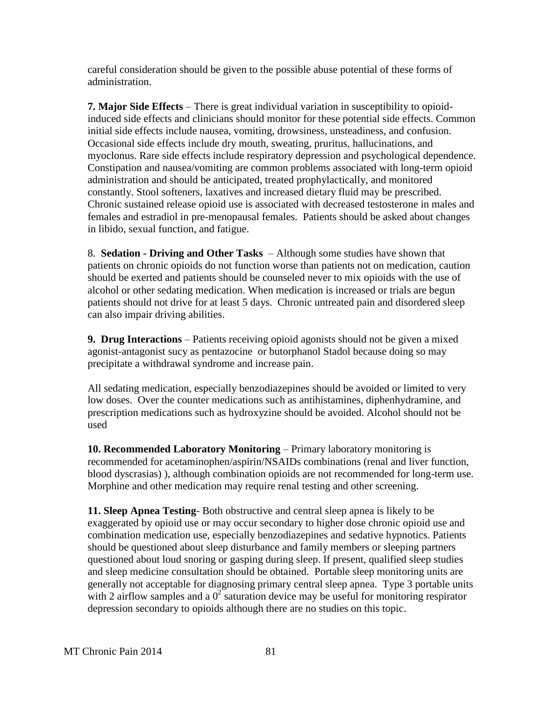careful consideration should be given to the possible abuse potential of these forms of administration.

**7. Major Side Effects** – There is great individual variation in susceptibility to opioidinduced side effects and clinicians should monitor for these potential side effects. Common initial side effects include nausea, vomiting, drowsiness, unsteadiness, and confusion. Occasional side effects include dry mouth, sweating, pruritus, hallucinations, and myoclonus. Rare side effects include respiratory depression and psychological dependence. Constipation and nausea/vomiting are common problems associated with long-term opioid administration and should be anticipated, treated prophylactically, and monitored constantly. Stool softeners, laxatives and increased dietary fluid may be prescribed. Chronic sustained release opioid use is associated with decreased testosterone in males and females and estradiol in pre-menopausal females. Patients should be asked about changes in libido, sexual function, and fatigue.

8. **Sedation - Driving and Other Tasks** – Although some studies have shown that patients on chronic opioids do not function worse than patients not on medication, caution should be exerted and patients should be counseled never to mix opioids with the use of alcohol or other sedating medication. When medication is increased or trials are begun patients should not drive for at least 5 days. Chronic untreated pain and disordered sleep can also impair driving abilities.

**9. Drug Interactions** – Patients receiving opioid agonists should not be given a mixed agonist-antagonist sucy as pentazocine or butorphanol Stadol because doing so may precipitate a withdrawal syndrome and increase pain.

All sedating medication, especially benzodiazepines should be avoided or limited to very low doses. Over the counter medications such as antihistamines, diphenhydramine, and prescription medications such as hydroxyzine should be avoided. Alcohol should not be used

**10. Recommended Laboratory Monitoring** – Primary laboratory monitoring is recommended for acetaminophen/aspirin/NSAIDs combinations (renal and liver function, blood dyscrasias) ), although combination opioids are not recommended for long-term use. Morphine and other medication may require renal testing and other screening.

**11. Sleep Apnea Testing**- Both obstructive and central sleep apnea is likely to be exaggerated by opioid use or may occur secondary to higher dose chronic opioid use and combination medication use, especially benzodiazepines and sedative hypnotics. Patients should be questioned about sleep disturbance and family members or sleeping partners questioned about loud snoring or gasping during sleep. If present, qualified sleep studies and sleep medicine consultation should be obtained. Portable sleep monitoring units are generally not acceptable for diagnosing primary central sleep apnea. Type 3 portable units with 2 airflow samples and a  $0^2$  saturation device may be useful for monitoring respirator depression secondary to opioids although there are no studies on this topic.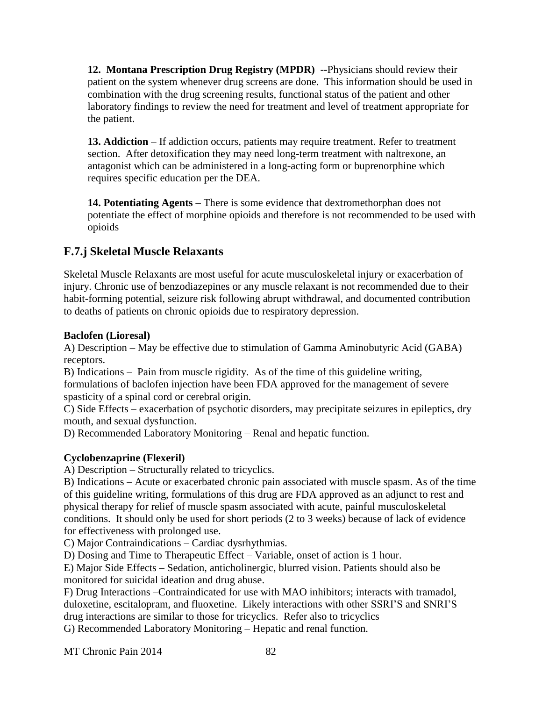**12. Montana Prescription Drug Registry (MPDR)** --Physicians should review their patient on the system whenever drug screens are done. This information should be used in combination with the drug screening results, functional status of the patient and other laboratory findings to review the need for treatment and level of treatment appropriate for the patient.

**13. Addiction** – If addiction occurs, patients may require treatment. Refer to treatment section. After detoxification they may need long-term treatment with naltrexone, an antagonist which can be administered in a long-acting form or buprenorphine which requires specific education per the DEA.

**14. Potentiating Agents** – There is some evidence that dextromethorphan does not potentiate the effect of morphine opioids and therefore is not recommended to be used with opioids

### **F.7.j Skeletal Muscle Relaxants**

Skeletal Muscle Relaxants are most useful for acute musculoskeletal injury or exacerbation of injury. Chronic use of benzodiazepines or any muscle relaxant is not recommended due to their habit-forming potential, seizure risk following abrupt withdrawal, and documented contribution to deaths of patients on chronic opioids due to respiratory depression.

#### **Baclofen (Lioresal)**

A) Description – May be effective due to stimulation of Gamma Aminobutyric Acid (GABA) receptors.

B) Indications – Pain from muscle rigidity. As of the time of this guideline writing, formulations of baclofen injection have been FDA approved for the management of severe spasticity of a spinal cord or cerebral origin.

C) Side Effects – exacerbation of psychotic disorders, may precipitate seizures in epileptics, dry mouth, and sexual dysfunction.

D) Recommended Laboratory Monitoring – Renal and hepatic function.

#### **Cyclobenzaprine (Flexeril)**

A) Description – Structurally related to tricyclics.

B) Indications – Acute or exacerbated chronic pain associated with muscle spasm. As of the time of this guideline writing, formulations of this drug are FDA approved as an adjunct to rest and physical therapy for relief of muscle spasm associated with acute, painful musculoskeletal conditions. It should only be used for short periods (2 to 3 weeks) because of lack of evidence for effectiveness with prolonged use.

C) Major Contraindications – Cardiac dysrhythmias.

D) Dosing and Time to Therapeutic Effect – Variable, onset of action is 1 hour.

E) Major Side Effects – Sedation, anticholinergic, blurred vision. Patients should also be monitored for suicidal ideation and drug abuse.

F) Drug Interactions –Contraindicated for use with MAO inhibitors; interacts with tramadol, duloxetine, escitalopram, and fluoxetine. Likely interactions with other SSRI'S and SNRI'S drug interactions are similar to those for tricyclics. Refer also to tricyclics

G) Recommended Laboratory Monitoring – Hepatic and renal function.

MT Chronic Pain 2014 82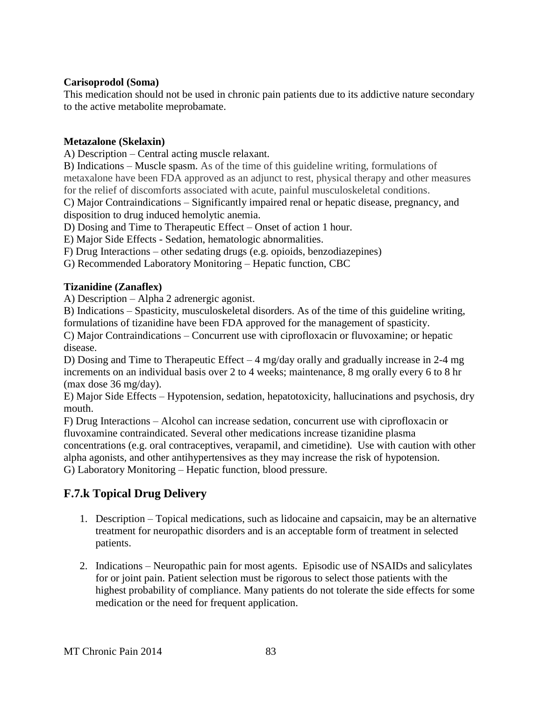#### **Carisoprodol (Soma)**

This medication should not be used in chronic pain patients due to its addictive nature secondary to the active metabolite meprobamate.

#### **Metazalone (Skelaxin)**

A) Description – Central acting muscle relaxant.

B) Indications – Muscle spasm. As of the time of this guideline writing, formulations of metaxalone have been FDA approved as an adjunct to rest, physical therapy and other measures for the relief of discomforts associated with acute, painful musculoskeletal conditions.

C) Major Contraindications – Significantly impaired renal or hepatic disease, pregnancy, and disposition to drug induced hemolytic anemia.

D) Dosing and Time to Therapeutic Effect – Onset of action 1 hour.

E) Major Side Effects - Sedation, hematologic abnormalities.

F) Drug Interactions – other sedating drugs (e.g. opioids, benzodiazepines)

G) Recommended Laboratory Monitoring – Hepatic function, CBC

#### **Tizanidine (Zanaflex)**

A) Description – Alpha 2 adrenergic agonist.

B) Indications – Spasticity, musculoskeletal disorders. As of the time of this guideline writing, formulations of tizanidine have been FDA approved for the management of spasticity.

C) Major Contraindications – Concurrent use with ciprofloxacin or fluvoxamine; or hepatic disease.

D) Dosing and Time to Therapeutic Effect – 4 mg/day orally and gradually increase in 2-4 mg increments on an individual basis over 2 to 4 weeks; maintenance, 8 mg orally every 6 to 8 hr (max dose 36 mg/day).

E) Major Side Effects – Hypotension, sedation, hepatotoxicity, hallucinations and psychosis, dry mouth.

F) Drug Interactions – Alcohol can increase sedation, concurrent use with ciprofloxacin or fluvoxamine contraindicated. Several other medications increase tizanidine plasma concentrations (e.g. oral contraceptives, verapamil, and cimetidine). Use with caution with other alpha agonists, and other antihypertensives as they may increase the risk of hypotension. G) Laboratory Monitoring – Hepatic function, blood pressure.

### **F.7.k Topical Drug Delivery**

- 1. Description Topical medications, such as lidocaine and capsaicin, may be an alternative treatment for neuropathic disorders and is an acceptable form of treatment in selected patients.
- 2. Indications Neuropathic pain for most agents. Episodic use of NSAIDs and salicylates for or joint pain. Patient selection must be rigorous to select those patients with the highest probability of compliance. Many patients do not tolerate the side effects for some medication or the need for frequent application.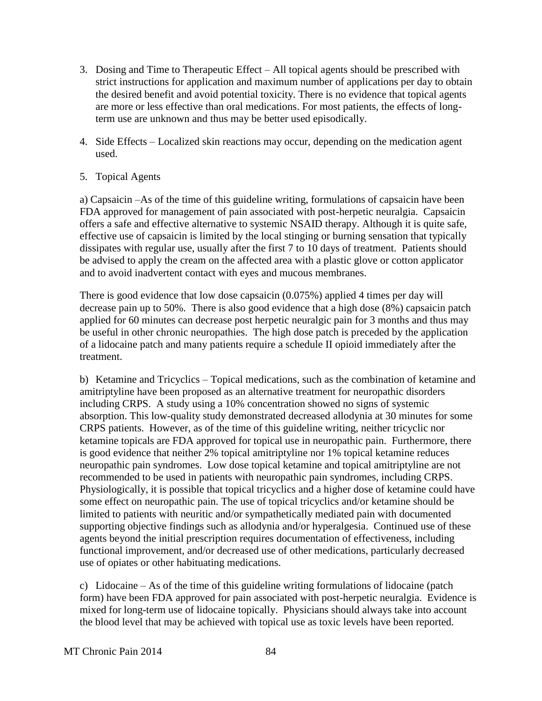- 3. Dosing and Time to Therapeutic Effect All topical agents should be prescribed with strict instructions for application and maximum number of applications per day to obtain the desired benefit and avoid potential toxicity. There is no evidence that topical agents are more or less effective than oral medications. For most patients, the effects of longterm use are unknown and thus may be better used episodically.
- 4. Side Effects Localized skin reactions may occur, depending on the medication agent used.

#### 5. Topical Agents

a) Capsaicin –As of the time of this guideline writing, formulations of capsaicin have been FDA approved for management of pain associated with post-herpetic neuralgia. Capsaicin offers a safe and effective alternative to systemic NSAID therapy. Although it is quite safe, effective use of capsaicin is limited by the local stinging or burning sensation that typically dissipates with regular use, usually after the first 7 to 10 days of treatment. Patients should be advised to apply the cream on the affected area with a plastic glove or cotton applicator and to avoid inadvertent contact with eyes and mucous membranes.

There is good evidence that low dose capsaicin (0.075%) applied 4 times per day will decrease pain up to 50%. There is also good evidence that a high dose (8%) capsaicin patch applied for 60 minutes can decrease post herpetic neuralgic pain for 3 months and thus may be useful in other chronic neuropathies. The high dose patch is preceded by the application of a lidocaine patch and many patients require a schedule II opioid immediately after the treatment.

b) Ketamine and Tricyclics – Topical medications, such as the combination of ketamine and amitriptyline have been proposed as an alternative treatment for neuropathic disorders including CRPS. A study using a 10% concentration showed no signs of systemic absorption. This low-quality study demonstrated decreased allodynia at 30 minutes for some CRPS patients. However, as of the time of this guideline writing, neither tricyclic nor ketamine topicals are FDA approved for topical use in neuropathic pain. Furthermore, there is good evidence that neither 2% topical amitriptyline nor 1% topical ketamine reduces neuropathic pain syndromes. Low dose topical ketamine and topical amitriptyline are not recommended to be used in patients with neuropathic pain syndromes, including CRPS. Physiologically, it is possible that topical tricyclics and a higher dose of ketamine could have some effect on neuropathic pain. The use of topical tricyclics and/or ketamine should be limited to patients with neuritic and/or sympathetically mediated pain with documented supporting objective findings such as allodynia and/or hyperalgesia. Continued use of these agents beyond the initial prescription requires documentation of effectiveness, including functional improvement, and/or decreased use of other medications, particularly decreased use of opiates or other habituating medications.

c) Lidocaine – As of the time of this guideline writing formulations of lidocaine (patch form) have been FDA approved for pain associated with post-herpetic neuralgia. Evidence is mixed for long-term use of lidocaine topically. Physicians should always take into account the blood level that may be achieved with topical use as toxic levels have been reported.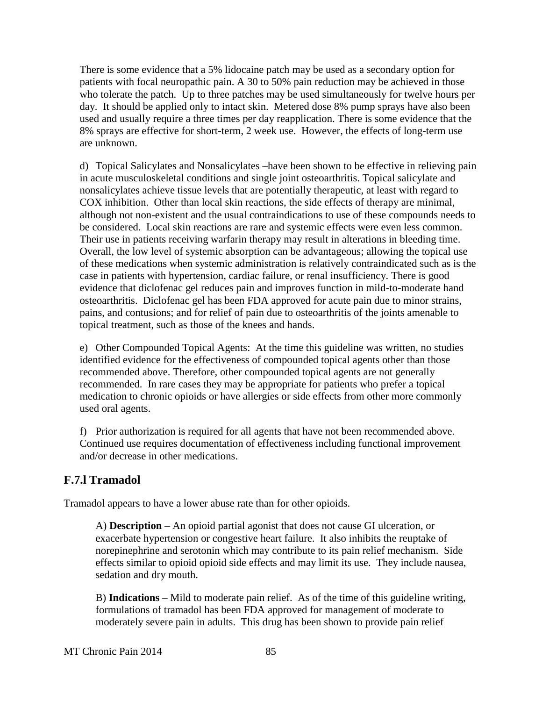There is some evidence that a 5% lidocaine patch may be used as a secondary option for patients with focal neuropathic pain. A 30 to 50% pain reduction may be achieved in those who tolerate the patch. Up to three patches may be used simultaneously for twelve hours per day. It should be applied only to intact skin. Metered dose 8% pump sprays have also been used and usually require a three times per day reapplication. There is some evidence that the 8% sprays are effective for short-term, 2 week use. However, the effects of long-term use are unknown.

d) Topical Salicylates and Nonsalicylates –have been shown to be effective in relieving pain in acute musculoskeletal conditions and single joint osteoarthritis. Topical salicylate and nonsalicylates achieve tissue levels that are potentially therapeutic, at least with regard to COX inhibition. Other than local skin reactions, the side effects of therapy are minimal, although not non-existent and the usual contraindications to use of these compounds needs to be considered. Local skin reactions are rare and systemic effects were even less common. Their use in patients receiving warfarin therapy may result in alterations in bleeding time. Overall, the low level of systemic absorption can be advantageous; allowing the topical use of these medications when systemic administration is relatively contraindicated such as is the case in patients with hypertension, cardiac failure, or renal insufficiency. There is good evidence that diclofenac gel reduces pain and improves function in mild-to-moderate hand osteoarthritis. Diclofenac gel has been FDA approved for acute pain due to minor strains, pains, and contusions; and for relief of pain due to osteoarthritis of the joints amenable to topical treatment, such as those of the knees and hands.

e) Other Compounded Topical Agents: At the time this guideline was written, no studies identified evidence for the effectiveness of compounded topical agents other than those recommended above. Therefore, other compounded topical agents are not generally recommended. In rare cases they may be appropriate for patients who prefer a topical medication to chronic opioids or have allergies or side effects from other more commonly used oral agents.

f) Prior authorization is required for all agents that have not been recommended above. Continued use requires documentation of effectiveness including functional improvement and/or decrease in other medications.

### **F.7.l Tramadol**

Tramadol appears to have a lower abuse rate than for other opioids.

A) **Description** – An opioid partial agonist that does not cause GI ulceration, or exacerbate hypertension or congestive heart failure. It also inhibits the reuptake of norepinephrine and serotonin which may contribute to its pain relief mechanism. Side effects similar to opioid opioid side effects and may limit its use. They include nausea, sedation and dry mouth.

B) **Indications** – Mild to moderate pain relief. As of the time of this guideline writing, formulations of tramadol has been FDA approved for management of moderate to moderately severe pain in adults. This drug has been shown to provide pain relief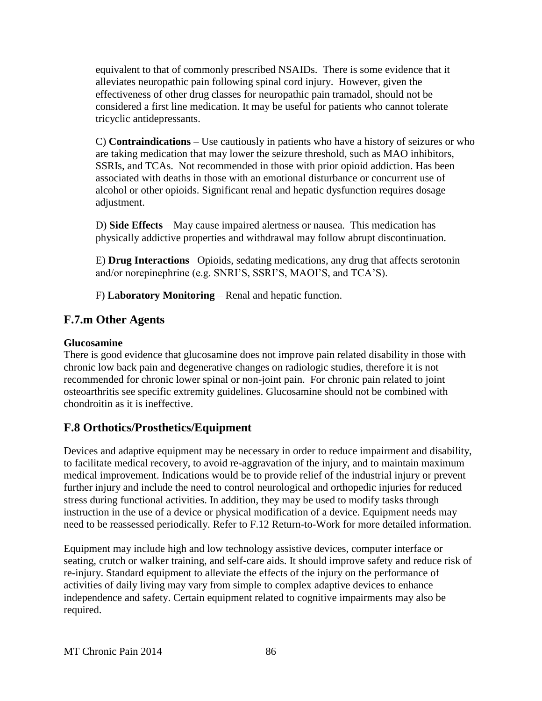equivalent to that of commonly prescribed NSAIDs. There is some evidence that it alleviates neuropathic pain following spinal cord injury. However, given the effectiveness of other drug classes for neuropathic pain tramadol, should not be considered a first line medication. It may be useful for patients who cannot tolerate tricyclic antidepressants.

C) **Contraindications** – Use cautiously in patients who have a history of seizures or who are taking medication that may lower the seizure threshold, such as MAO inhibitors, SSRIs, and TCAs. Not recommended in those with prior opioid addiction. Has been associated with deaths in those with an emotional disturbance or concurrent use of alcohol or other opioids. Significant renal and hepatic dysfunction requires dosage adjustment.

D) **Side Effects** – May cause impaired alertness or nausea. This medication has physically addictive properties and withdrawal may follow abrupt discontinuation.

E) **Drug Interactions** –Opioids, sedating medications, any drug that affects serotonin and/or norepinephrine (e.g. SNRI'S, SSRI'S, MAOI'S, and TCA'S).

F) **Laboratory Monitoring** – Renal and hepatic function.

### **F.7.m Other Agents**

#### **Glucosamine**

There is good evidence that glucosamine does not improve pain related disability in those with chronic low back pain and degenerative changes on radiologic studies, therefore it is not recommended for chronic lower spinal or non-joint pain. For chronic pain related to joint osteoarthritis see specific extremity guidelines. Glucosamine should not be combined with chondroitin as it is ineffective.

# **F.8 Orthotics/Prosthetics/Equipment**

Devices and adaptive equipment may be necessary in order to reduce impairment and disability, to facilitate medical recovery, to avoid re-aggravation of the injury, and to maintain maximum medical improvement. Indications would be to provide relief of the industrial injury or prevent further injury and include the need to control neurological and orthopedic injuries for reduced stress during functional activities. In addition, they may be used to modify tasks through instruction in the use of a device or physical modification of a device. Equipment needs may need to be reassessed periodically. Refer to F.12 Return-to-Work for more detailed information.

Equipment may include high and low technology assistive devices, computer interface or seating, crutch or walker training, and self-care aids. It should improve safety and reduce risk of re-injury. Standard equipment to alleviate the effects of the injury on the performance of activities of daily living may vary from simple to complex adaptive devices to enhance independence and safety. Certain equipment related to cognitive impairments may also be required.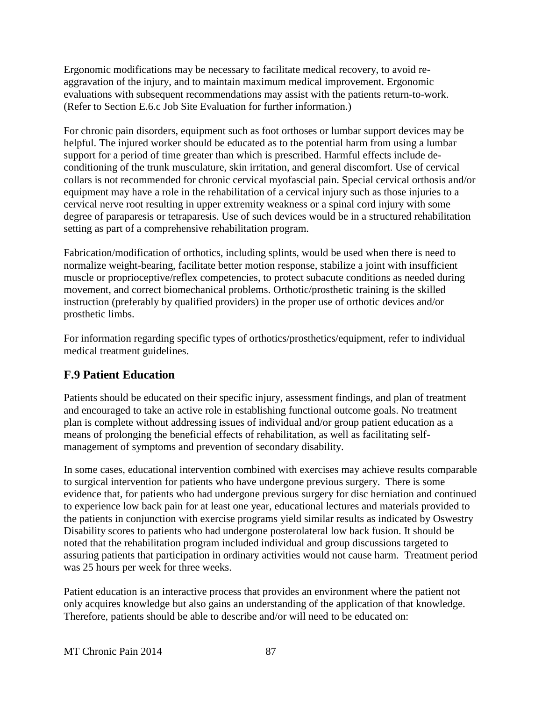Ergonomic modifications may be necessary to facilitate medical recovery, to avoid reaggravation of the injury, and to maintain maximum medical improvement. Ergonomic evaluations with subsequent recommendations may assist with the patients return-to-work. (Refer to Section E.6.c Job Site Evaluation for further information.)

For chronic pain disorders, equipment such as foot orthoses or lumbar support devices may be helpful. The injured worker should be educated as to the potential harm from using a lumbar support for a period of time greater than which is prescribed. Harmful effects include deconditioning of the trunk musculature, skin irritation, and general discomfort. Use of cervical collars is not recommended for chronic cervical myofascial pain. Special cervical orthosis and/or equipment may have a role in the rehabilitation of a cervical injury such as those injuries to a cervical nerve root resulting in upper extremity weakness or a spinal cord injury with some degree of paraparesis or tetraparesis. Use of such devices would be in a structured rehabilitation setting as part of a comprehensive rehabilitation program.

Fabrication/modification of orthotics, including splints, would be used when there is need to normalize weight-bearing, facilitate better motion response, stabilize a joint with insufficient muscle or proprioceptive/reflex competencies, to protect subacute conditions as needed during movement, and correct biomechanical problems. Orthotic/prosthetic training is the skilled instruction (preferably by qualified providers) in the proper use of orthotic devices and/or prosthetic limbs.

For information regarding specific types of orthotics/prosthetics/equipment, refer to individual medical treatment guidelines.

### **F.9 Patient Education**

Patients should be educated on their specific injury, assessment findings, and plan of treatment and encouraged to take an active role in establishing functional outcome goals. No treatment plan is complete without addressing issues of individual and/or group patient education as a means of prolonging the beneficial effects of rehabilitation, as well as facilitating selfmanagement of symptoms and prevention of secondary disability.

In some cases, educational intervention combined with exercises may achieve results comparable to surgical intervention for patients who have undergone previous surgery. There is some evidence that, for patients who had undergone previous surgery for disc herniation and continued to experience low back pain for at least one year, educational lectures and materials provided to the patients in conjunction with exercise programs yield similar results as indicated by Oswestry Disability scores to patients who had undergone posterolateral low back fusion. It should be noted that the rehabilitation program included individual and group discussions targeted to assuring patients that participation in ordinary activities would not cause harm. Treatment period was 25 hours per week for three weeks.

Patient education is an interactive process that provides an environment where the patient not only acquires knowledge but also gains an understanding of the application of that knowledge. Therefore, patients should be able to describe and/or will need to be educated on: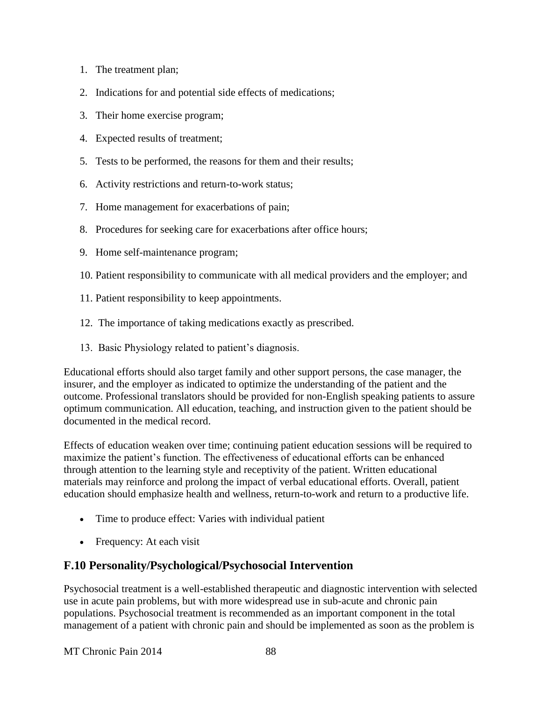- 1. The treatment plan;
- 2. Indications for and potential side effects of medications;
- 3. Their home exercise program;
- 4. Expected results of treatment;
- 5. Tests to be performed, the reasons for them and their results;
- 6. Activity restrictions and return-to-work status;
- 7. Home management for exacerbations of pain;
- 8. Procedures for seeking care for exacerbations after office hours;
- 9. Home self-maintenance program;
- 10. Patient responsibility to communicate with all medical providers and the employer; and
- 11. Patient responsibility to keep appointments.
- 12. The importance of taking medications exactly as prescribed.
- 13. Basic Physiology related to patient's diagnosis.

Educational efforts should also target family and other support persons, the case manager, the insurer, and the employer as indicated to optimize the understanding of the patient and the outcome. Professional translators should be provided for non-English speaking patients to assure optimum communication. All education, teaching, and instruction given to the patient should be documented in the medical record.

Effects of education weaken over time; continuing patient education sessions will be required to maximize the patient's function. The effectiveness of educational efforts can be enhanced through attention to the learning style and receptivity of the patient. Written educational materials may reinforce and prolong the impact of verbal educational efforts. Overall, patient education should emphasize health and wellness, return-to-work and return to a productive life.

- Time to produce effect: Varies with individual patient
- Frequency: At each visit

### **F.10 Personality/Psychological/Psychosocial Intervention**

Psychosocial treatment is a well-established therapeutic and diagnostic intervention with selected use in acute pain problems, but with more widespread use in sub-acute and chronic pain populations. Psychosocial treatment is recommended as an important component in the total management of a patient with chronic pain and should be implemented as soon as the problem is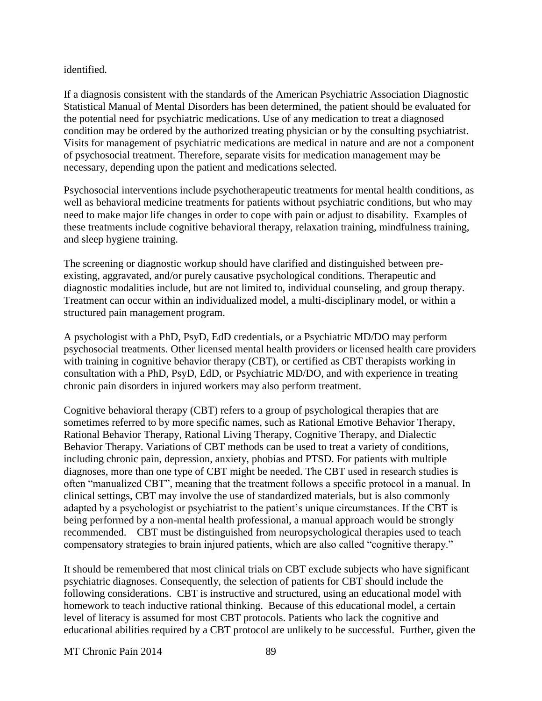#### identified.

If a diagnosis consistent with the standards of the American Psychiatric Association Diagnostic Statistical Manual of Mental Disorders has been determined, the patient should be evaluated for the potential need for psychiatric medications. Use of any medication to treat a diagnosed condition may be ordered by the authorized treating physician or by the consulting psychiatrist. Visits for management of psychiatric medications are medical in nature and are not a component of psychosocial treatment. Therefore, separate visits for medication management may be necessary, depending upon the patient and medications selected.

Psychosocial interventions include psychotherapeutic treatments for mental health conditions, as well as behavioral medicine treatments for patients without psychiatric conditions, but who may need to make major life changes in order to cope with pain or adjust to disability. Examples of these treatments include cognitive behavioral therapy, relaxation training, mindfulness training, and sleep hygiene training.

The screening or diagnostic workup should have clarified and distinguished between preexisting, aggravated, and/or purely causative psychological conditions. Therapeutic and diagnostic modalities include, but are not limited to, individual counseling, and group therapy. Treatment can occur within an individualized model, a multi-disciplinary model, or within a structured pain management program.

A psychologist with a PhD, PsyD, EdD credentials, or a Psychiatric MD/DO may perform psychosocial treatments. Other licensed mental health providers or licensed health care providers with training in cognitive behavior therapy (CBT), or certified as CBT therapists working in consultation with a PhD, PsyD, EdD, or Psychiatric MD/DO, and with experience in treating chronic pain disorders in injured workers may also perform treatment.

Cognitive behavioral therapy (CBT) refers to a group of psychological therapies that are sometimes referred to by more specific names, such as Rational Emotive Behavior Therapy, Rational Behavior Therapy, Rational Living Therapy, Cognitive Therapy, and Dialectic Behavior Therapy. Variations of CBT methods can be used to treat a variety of conditions, including chronic pain, depression, anxiety, phobias and PTSD. For patients with multiple diagnoses, more than one type of CBT might be needed. The CBT used in research studies is often "manualized CBT", meaning that the treatment follows a specific protocol in a manual. In clinical settings, CBT may involve the use of standardized materials, but is also commonly adapted by a psychologist or psychiatrist to the patient's unique circumstances. If the CBT is being performed by a non-mental health professional, a manual approach would be strongly recommended. CBT must be distinguished from neuropsychological therapies used to teach compensatory strategies to brain injured patients, which are also called "cognitive therapy."

It should be remembered that most clinical trials on CBT exclude subjects who have significant psychiatric diagnoses. Consequently, the selection of patients for CBT should include the following considerations. CBT is instructive and structured, using an educational model with homework to teach inductive rational thinking. Because of this educational model, a certain level of literacy is assumed for most CBT protocols. Patients who lack the cognitive and educational abilities required by a CBT protocol are unlikely to be successful. Further, given the

MT Chronic Pain 2014 89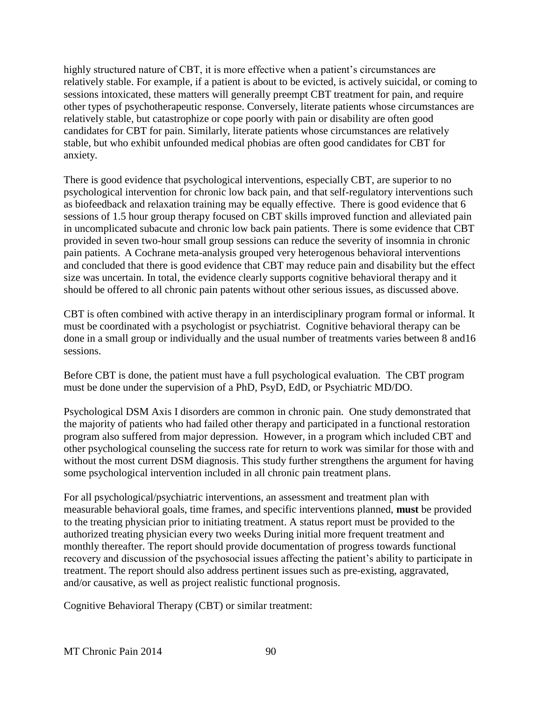highly structured nature of CBT, it is more effective when a patient's circumstances are relatively stable. For example, if a patient is about to be evicted, is actively suicidal, or coming to sessions intoxicated, these matters will generally preempt CBT treatment for pain, and require other types of psychotherapeutic response. Conversely, literate patients whose circumstances are relatively stable, but catastrophize or cope poorly with pain or disability are often good candidates for CBT for pain. Similarly, literate patients whose circumstances are relatively stable, but who exhibit unfounded medical phobias are often good candidates for CBT for anxiety.

There is good evidence that psychological interventions, especially CBT, are superior to no psychological intervention for chronic low back pain, and that self-regulatory interventions such as biofeedback and relaxation training may be equally effective. There is good evidence that 6 sessions of 1.5 hour group therapy focused on CBT skills improved function and alleviated pain in uncomplicated subacute and chronic low back pain patients. There is some evidence that CBT provided in seven two-hour small group sessions can reduce the severity of insomnia in chronic pain patients.A Cochrane meta-analysis grouped very heterogenous behavioral interventions and concluded that there is good evidence that CBT may reduce pain and disability but the effect size was uncertain. In total, the evidence clearly supports cognitive behavioral therapy and it should be offered to all chronic pain patents without other serious issues, as discussed above.

CBT is often combined with active therapy in an interdisciplinary program formal or informal. It must be coordinated with a psychologist or psychiatrist. Cognitive behavioral therapy can be done in a small group or individually and the usual number of treatments varies between 8 and16 sessions.

Before CBT is done, the patient must have a full psychological evaluation. The CBT program must be done under the supervision of a PhD, PsyD, EdD, or Psychiatric MD/DO.

Psychological DSM Axis I disorders are common in chronic pain. One study demonstrated that the majority of patients who had failed other therapy and participated in a functional restoration program also suffered from major depression. However, in a program which included CBT and other psychological counseling the success rate for return to work was similar for those with and without the most current DSM diagnosis. This study further strengthens the argument for having some psychological intervention included in all chronic pain treatment plans.

For all psychological/psychiatric interventions, an assessment and treatment plan with measurable behavioral goals, time frames, and specific interventions planned, **must** be provided to the treating physician prior to initiating treatment. A status report must be provided to the authorized treating physician every two weeks During initial more frequent treatment and monthly thereafter. The report should provide documentation of progress towards functional recovery and discussion of the psychosocial issues affecting the patient's ability to participate in treatment. The report should also address pertinent issues such as pre-existing, aggravated, and/or causative, as well as project realistic functional prognosis.

Cognitive Behavioral Therapy (CBT) or similar treatment: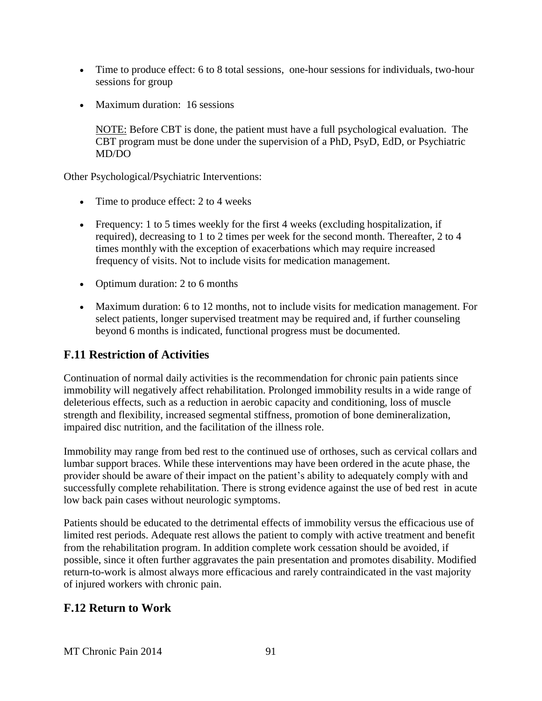- Time to produce effect: 6 to 8 total sessions, one-hour sessions for individuals, two-hour sessions for group
- Maximum duration: 16 sessions

NOTE: Before CBT is done, the patient must have a full psychological evaluation. The CBT program must be done under the supervision of a PhD, PsyD, EdD, or Psychiatric MD/DO

Other Psychological/Psychiatric Interventions:

- Time to produce effect: 2 to 4 weeks
- Frequency: 1 to 5 times weekly for the first 4 weeks (excluding hospitalization, if required), decreasing to 1 to 2 times per week for the second month. Thereafter, 2 to 4 times monthly with the exception of exacerbations which may require increased frequency of visits. Not to include visits for medication management.
- Optimum duration: 2 to 6 months
- Maximum duration: 6 to 12 months, not to include visits for medication management. For select patients, longer supervised treatment may be required and, if further counseling beyond 6 months is indicated, functional progress must be documented.

# **F.11 Restriction of Activities**

Continuation of normal daily activities is the recommendation for chronic pain patients since immobility will negatively affect rehabilitation. Prolonged immobility results in a wide range of deleterious effects, such as a reduction in aerobic capacity and conditioning, loss of muscle strength and flexibility, increased segmental stiffness, promotion of bone demineralization, impaired disc nutrition, and the facilitation of the illness role.

Immobility may range from bed rest to the continued use of orthoses, such as cervical collars and lumbar support braces. While these interventions may have been ordered in the acute phase, the provider should be aware of their impact on the patient's ability to adequately comply with and successfully complete rehabilitation. There is strong evidence against the use of bed rest in acute low back pain cases without neurologic symptoms.

Patients should be educated to the detrimental effects of immobility versus the efficacious use of limited rest periods. Adequate rest allows the patient to comply with active treatment and benefit from the rehabilitation program. In addition complete work cessation should be avoided, if possible, since it often further aggravates the pain presentation and promotes disability. Modified return-to-work is almost always more efficacious and rarely contraindicated in the vast majority of injured workers with chronic pain.

# **F.12 Return to Work**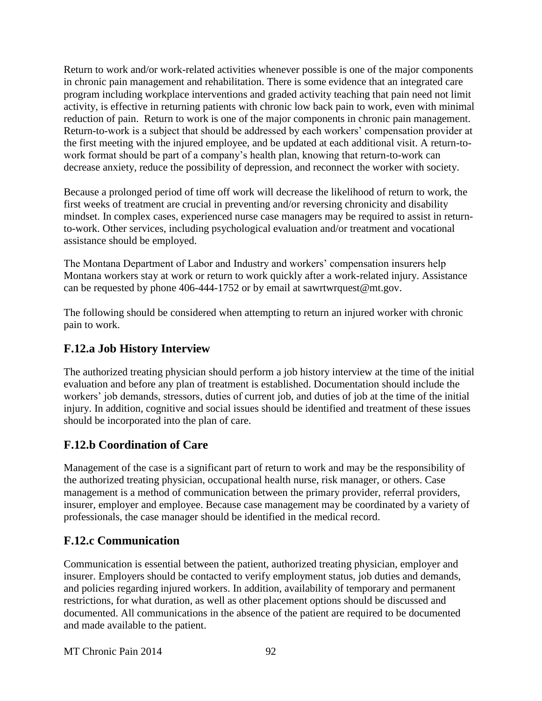Return to work and/or work-related activities whenever possible is one of the major components in chronic pain management and rehabilitation. There is some evidence that an integrated care program including workplace interventions and graded activity teaching that pain need not limit activity, is effective in returning patients with chronic low back pain to work, even with minimal reduction of pain. Return to work is one of the major components in chronic pain management. Return-to-work is a subject that should be addressed by each workers' compensation provider at the first meeting with the injured employee, and be updated at each additional visit. A return-towork format should be part of a company's health plan, knowing that return-to-work can decrease anxiety, reduce the possibility of depression, and reconnect the worker with society.

Because a prolonged period of time off work will decrease the likelihood of return to work, the first weeks of treatment are crucial in preventing and/or reversing chronicity and disability mindset. In complex cases, experienced nurse case managers may be required to assist in returnto-work. Other services, including psychological evaluation and/or treatment and vocational assistance should be employed.

The Montana Department of Labor and Industry and workers' compensation insurers help Montana workers stay at work or return to work quickly after a work-related injury. Assistance can be requested by phone 406-444-1752 or by email at sawrtwrquest@mt.gov.

The following should be considered when attempting to return an injured worker with chronic pain to work.

### **F.12.a Job History Interview**

The authorized treating physician should perform a job history interview at the time of the initial evaluation and before any plan of treatment is established. Documentation should include the workers' job demands, stressors, duties of current job, and duties of job at the time of the initial injury. In addition, cognitive and social issues should be identified and treatment of these issues should be incorporated into the plan of care.

# **F.12.b Coordination of Care**

Management of the case is a significant part of return to work and may be the responsibility of the authorized treating physician, occupational health nurse, risk manager, or others. Case management is a method of communication between the primary provider, referral providers, insurer, employer and employee. Because case management may be coordinated by a variety of professionals, the case manager should be identified in the medical record.

# **F.12.c Communication**

Communication is essential between the patient, authorized treating physician, employer and insurer. Employers should be contacted to verify employment status, job duties and demands, and policies regarding injured workers. In addition, availability of temporary and permanent restrictions, for what duration, as well as other placement options should be discussed and documented. All communications in the absence of the patient are required to be documented and made available to the patient.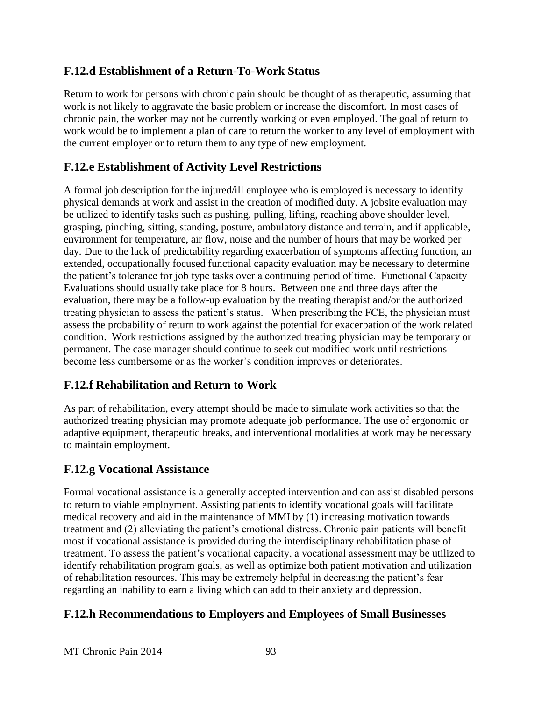### **F.12.d Establishment of a Return-To-Work Status**

Return to work for persons with chronic pain should be thought of as therapeutic, assuming that work is not likely to aggravate the basic problem or increase the discomfort. In most cases of chronic pain, the worker may not be currently working or even employed. The goal of return to work would be to implement a plan of care to return the worker to any level of employment with the current employer or to return them to any type of new employment.

# **F.12.e Establishment of Activity Level Restrictions**

A formal job description for the injured/ill employee who is employed is necessary to identify physical demands at work and assist in the creation of modified duty. A jobsite evaluation may be utilized to identify tasks such as pushing, pulling, lifting, reaching above shoulder level, grasping, pinching, sitting, standing, posture, ambulatory distance and terrain, and if applicable, environment for temperature, air flow, noise and the number of hours that may be worked per day. Due to the lack of predictability regarding exacerbation of symptoms affecting function, an extended, occupationally focused functional capacity evaluation may be necessary to determine the patient's tolerance for job type tasks over a continuing period of time. Functional Capacity Evaluations should usually take place for 8 hours. Between one and three days after the evaluation, there may be a follow-up evaluation by the treating therapist and/or the authorized treating physician to assess the patient's status. When prescribing the FCE, the physician must assess the probability of return to work against the potential for exacerbation of the work related condition. Work restrictions assigned by the authorized treating physician may be temporary or permanent. The case manager should continue to seek out modified work until restrictions become less cumbersome or as the worker's condition improves or deteriorates.

# **F.12.f Rehabilitation and Return to Work**

As part of rehabilitation, every attempt should be made to simulate work activities so that the authorized treating physician may promote adequate job performance. The use of ergonomic or adaptive equipment, therapeutic breaks, and interventional modalities at work may be necessary to maintain employment.

### **F.12.g Vocational Assistance**

Formal vocational assistance is a generally accepted intervention and can assist disabled persons to return to viable employment. Assisting patients to identify vocational goals will facilitate medical recovery and aid in the maintenance of MMI by (1) increasing motivation towards treatment and (2) alleviating the patient's emotional distress. Chronic pain patients will benefit most if vocational assistance is provided during the interdisciplinary rehabilitation phase of treatment. To assess the patient's vocational capacity, a vocational assessment may be utilized to identify rehabilitation program goals, as well as optimize both patient motivation and utilization of rehabilitation resources. This may be extremely helpful in decreasing the patient's fear regarding an inability to earn a living which can add to their anxiety and depression.

#### **F.12.h Recommendations to Employers and Employees of Small Businesses**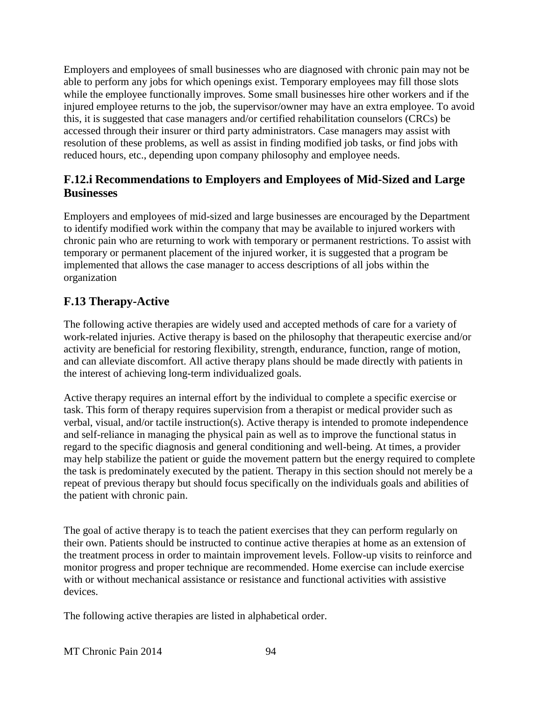Employers and employees of small businesses who are diagnosed with chronic pain may not be able to perform any jobs for which openings exist. Temporary employees may fill those slots while the employee functionally improves. Some small businesses hire other workers and if the injured employee returns to the job, the supervisor/owner may have an extra employee. To avoid this, it is suggested that case managers and/or certified rehabilitation counselors (CRCs) be accessed through their insurer or third party administrators. Case managers may assist with resolution of these problems, as well as assist in finding modified job tasks, or find jobs with reduced hours, etc., depending upon company philosophy and employee needs.

### **F.12.i Recommendations to Employers and Employees of Mid-Sized and Large Businesses**

Employers and employees of mid-sized and large businesses are encouraged by the Department to identify modified work within the company that may be available to injured workers with chronic pain who are returning to work with temporary or permanent restrictions. To assist with temporary or permanent placement of the injured worker, it is suggested that a program be implemented that allows the case manager to access descriptions of all jobs within the organization

# **F.13 Therapy-Active**

The following active therapies are widely used and accepted methods of care for a variety of work-related injuries. Active therapy is based on the philosophy that therapeutic exercise and/or activity are beneficial for restoring flexibility, strength, endurance, function, range of motion, and can alleviate discomfort. All active therapy plans should be made directly with patients in the interest of achieving long-term individualized goals.

Active therapy requires an internal effort by the individual to complete a specific exercise or task. This form of therapy requires supervision from a therapist or medical provider such as verbal, visual, and/or tactile instruction(s). Active therapy is intended to promote independence and self-reliance in managing the physical pain as well as to improve the functional status in regard to the specific diagnosis and general conditioning and well-being. At times, a provider may help stabilize the patient or guide the movement pattern but the energy required to complete the task is predominately executed by the patient. Therapy in this section should not merely be a repeat of previous therapy but should focus specifically on the individuals goals and abilities of the patient with chronic pain.

The goal of active therapy is to teach the patient exercises that they can perform regularly on their own. Patients should be instructed to continue active therapies at home as an extension of the treatment process in order to maintain improvement levels. Follow-up visits to reinforce and monitor progress and proper technique are recommended. Home exercise can include exercise with or without mechanical assistance or resistance and functional activities with assistive devices.

The following active therapies are listed in alphabetical order.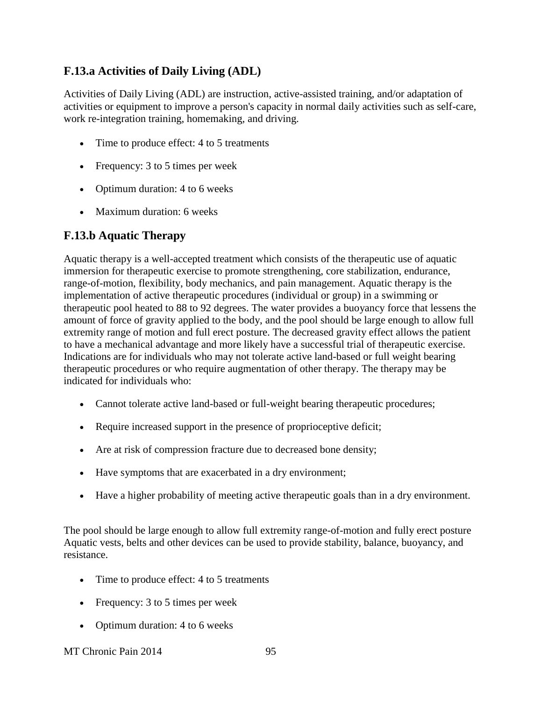# **F.13.a Activities of Daily Living (ADL)**

Activities of Daily Living (ADL) are instruction, active-assisted training, and/or adaptation of activities or equipment to improve a person's capacity in normal daily activities such as self-care, work re-integration training, homemaking, and driving.

- Time to produce effect: 4 to 5 treatments
- Frequency: 3 to 5 times per week
- Optimum duration: 4 to 6 weeks
- Maximum duration: 6 weeks

#### **F.13.b Aquatic Therapy**

Aquatic therapy is a well-accepted treatment which consists of the therapeutic use of aquatic immersion for therapeutic exercise to promote strengthening, core stabilization, endurance, range-of-motion, flexibility, body mechanics, and pain management. Aquatic therapy is the implementation of active therapeutic procedures (individual or group) in a swimming or therapeutic pool heated to 88 to 92 degrees. The water provides a buoyancy force that lessens the amount of force of gravity applied to the body, and the pool should be large enough to allow full extremity range of motion and full erect posture. The decreased gravity effect allows the patient to have a mechanical advantage and more likely have a successful trial of therapeutic exercise. Indications are for individuals who may not tolerate active land-based or full weight bearing therapeutic procedures or who require augmentation of other therapy. The therapy may be indicated for individuals who:

- Cannot tolerate active land-based or full-weight bearing therapeutic procedures;
- Require increased support in the presence of proprioceptive deficit;
- Are at risk of compression fracture due to decreased bone density;
- Have symptoms that are exacerbated in a dry environment;
- Have a higher probability of meeting active therapeutic goals than in a dry environment.

The pool should be large enough to allow full extremity range-of-motion and fully erect posture Aquatic vests, belts and other devices can be used to provide stability, balance, buoyancy, and resistance.

- Time to produce effect: 4 to 5 treatments
- Frequency: 3 to 5 times per week
- Optimum duration: 4 to 6 weeks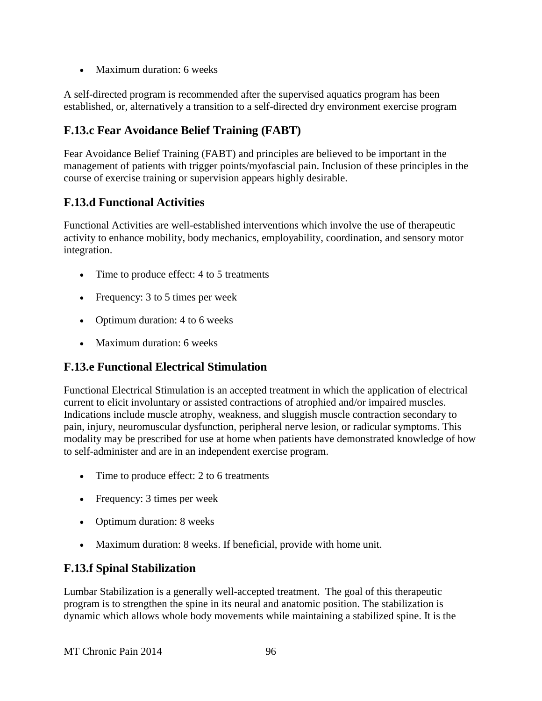• Maximum duration: 6 weeks

A self-directed program is recommended after the supervised aquatics program has been established, or, alternatively a transition to a self-directed dry environment exercise program

# **F.13.c Fear Avoidance Belief Training (FABT)**

Fear Avoidance Belief Training (FABT) and principles are believed to be important in the management of patients with trigger points/myofascial pain. Inclusion of these principles in the course of exercise training or supervision appears highly desirable.

### **F.13.d Functional Activities**

Functional Activities are well-established interventions which involve the use of therapeutic activity to enhance mobility, body mechanics, employability, coordination, and sensory motor integration.

- Time to produce effect: 4 to 5 treatments
- Frequency: 3 to 5 times per week
- Optimum duration: 4 to 6 weeks
- Maximum duration: 6 weeks

### **F.13.e Functional Electrical Stimulation**

Functional Electrical Stimulation is an accepted treatment in which the application of electrical current to elicit involuntary or assisted contractions of atrophied and/or impaired muscles. Indications include muscle atrophy, weakness, and sluggish muscle contraction secondary to pain, injury, neuromuscular dysfunction, peripheral nerve lesion, or radicular symptoms. This modality may be prescribed for use at home when patients have demonstrated knowledge of how to self-administer and are in an independent exercise program.

- Time to produce effect: 2 to 6 treatments
- Frequency: 3 times per week
- Optimum duration: 8 weeks
- Maximum duration: 8 weeks. If beneficial, provide with home unit.

### **F.13.f Spinal Stabilization**

Lumbar Stabilization is a generally well-accepted treatment. The goal of this therapeutic program is to strengthen the spine in its neural and anatomic position. The stabilization is dynamic which allows whole body movements while maintaining a stabilized spine. It is the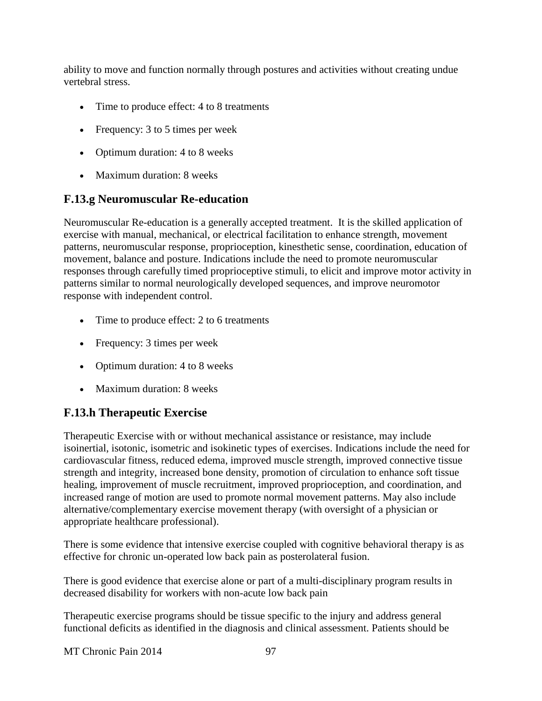ability to move and function normally through postures and activities without creating undue vertebral stress.

- Time to produce effect: 4 to 8 treatments
- Frequency: 3 to 5 times per week
- Optimum duration: 4 to 8 weeks
- Maximum duration: 8 weeks

### **F.13.g Neuromuscular Re-education**

Neuromuscular Re-education is a generally accepted treatment. It is the skilled application of exercise with manual, mechanical, or electrical facilitation to enhance strength, movement patterns, neuromuscular response, proprioception, kinesthetic sense, coordination, education of movement, balance and posture. Indications include the need to promote neuromuscular responses through carefully timed proprioceptive stimuli, to elicit and improve motor activity in patterns similar to normal neurologically developed sequences, and improve neuromotor response with independent control.

- Time to produce effect: 2 to 6 treatments
- Frequency: 3 times per week
- Optimum duration: 4 to 8 weeks
- Maximum duration: 8 weeks

# **F.13.h Therapeutic Exercise**

Therapeutic Exercise with or without mechanical assistance or resistance, may include isoinertial, isotonic, isometric and isokinetic types of exercises. Indications include the need for cardiovascular fitness, reduced edema, improved muscle strength, improved connective tissue strength and integrity, increased bone density, promotion of circulation to enhance soft tissue healing, improvement of muscle recruitment, improved proprioception, and coordination, and increased range of motion are used to promote normal movement patterns. May also include alternative/complementary exercise movement therapy (with oversight of a physician or appropriate healthcare professional).

There is some evidence that intensive exercise coupled with cognitive behavioral therapy is as effective for chronic un-operated low back pain as posterolateral fusion.

There is good evidence that exercise alone or part of a multi-disciplinary program results in decreased disability for workers with non-acute low back pain

Therapeutic exercise programs should be tissue specific to the injury and address general functional deficits as identified in the diagnosis and clinical assessment. Patients should be

MT Chronic Pain 2014 97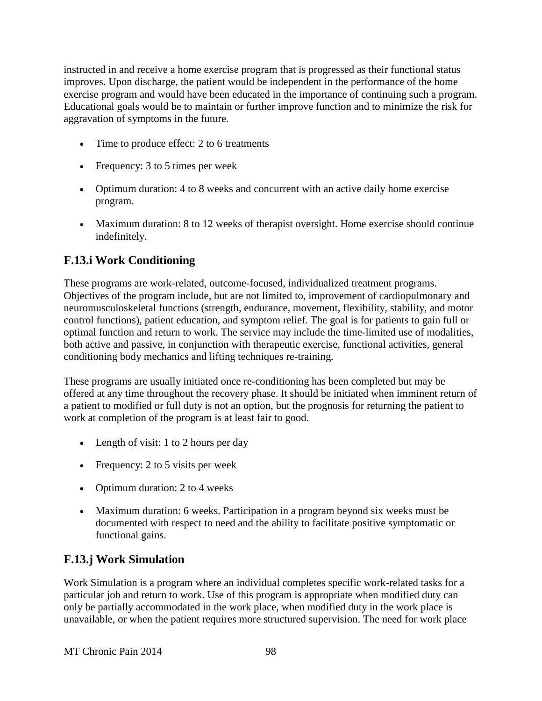instructed in and receive a home exercise program that is progressed as their functional status improves. Upon discharge, the patient would be independent in the performance of the home exercise program and would have been educated in the importance of continuing such a program. Educational goals would be to maintain or further improve function and to minimize the risk for aggravation of symptoms in the future.

- Time to produce effect: 2 to 6 treatments
- Frequency: 3 to 5 times per week
- Optimum duration: 4 to 8 weeks and concurrent with an active daily home exercise program.
- Maximum duration: 8 to 12 weeks of therapist oversight. Home exercise should continue indefinitely.

### **F.13.i Work Conditioning**

These programs are work-related, outcome-focused, individualized treatment programs. Objectives of the program include, but are not limited to, improvement of cardiopulmonary and neuromusculoskeletal functions (strength, endurance, movement, flexibility, stability, and motor control functions), patient education, and symptom relief. The goal is for patients to gain full or optimal function and return to work. The service may include the time-limited use of modalities, both active and passive, in conjunction with therapeutic exercise, functional activities, general conditioning body mechanics and lifting techniques re-training.

These programs are usually initiated once re-conditioning has been completed but may be offered at any time throughout the recovery phase. It should be initiated when imminent return of a patient to modified or full duty is not an option, but the prognosis for returning the patient to work at completion of the program is at least fair to good.

- Length of visit: 1 to 2 hours per day
- Frequency: 2 to 5 visits per week
- Optimum duration: 2 to 4 weeks
- Maximum duration: 6 weeks. Participation in a program beyond six weeks must be documented with respect to need and the ability to facilitate positive symptomatic or functional gains.

### **F.13.j Work Simulation**

Work Simulation is a program where an individual completes specific work-related tasks for a particular job and return to work. Use of this program is appropriate when modified duty can only be partially accommodated in the work place, when modified duty in the work place is unavailable, or when the patient requires more structured supervision. The need for work place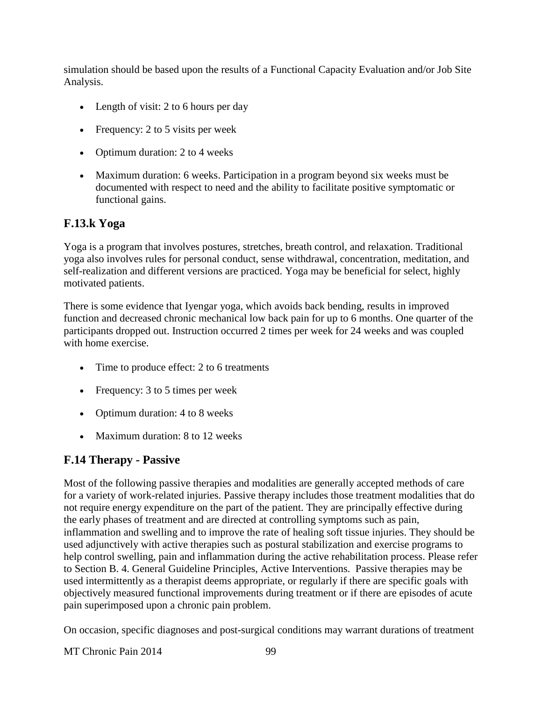simulation should be based upon the results of a Functional Capacity Evaluation and/or Job Site Analysis.

- Length of visit: 2 to 6 hours per day
- Frequency:  $2$  to  $5$  visits per week
- Optimum duration: 2 to 4 weeks
- Maximum duration: 6 weeks. Participation in a program beyond six weeks must be documented with respect to need and the ability to facilitate positive symptomatic or functional gains.

### **F.13.k Yoga**

Yoga is a program that involves postures, stretches, breath control, and relaxation. Traditional yoga also involves rules for personal conduct, sense withdrawal, concentration, meditation, and self-realization and different versions are practiced. Yoga may be beneficial for select, highly motivated patients.

There is some evidence that Iyengar yoga, which avoids back bending, results in improved function and decreased chronic mechanical low back pain for up to 6 months. One quarter of the participants dropped out. Instruction occurred 2 times per week for 24 weeks and was coupled with home exercise.

- Time to produce effect: 2 to 6 treatments
- Frequency: 3 to 5 times per week
- Optimum duration: 4 to 8 weeks
- Maximum duration: 8 to 12 weeks

# **F.14 Therapy - Passive**

Most of the following passive therapies and modalities are generally accepted methods of care for a variety of work-related injuries. Passive therapy includes those treatment modalities that do not require energy expenditure on the part of the patient. They are principally effective during the early phases of treatment and are directed at controlling symptoms such as pain, inflammation and swelling and to improve the rate of healing soft tissue injuries. They should be used adjunctively with active therapies such as postural stabilization and exercise programs to help control swelling, pain and inflammation during the active rehabilitation process. Please refer to Section B. 4. General Guideline Principles, Active Interventions. Passive therapies may be used intermittently as a therapist deems appropriate, or regularly if there are specific goals with objectively measured functional improvements during treatment or if there are episodes of acute pain superimposed upon a chronic pain problem.

On occasion, specific diagnoses and post-surgical conditions may warrant durations of treatment

MT Chronic Pain 2014 99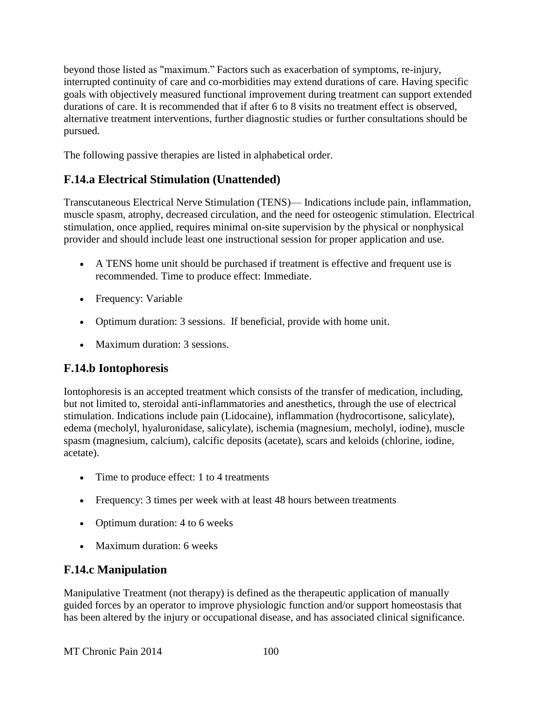beyond those listed as "maximum." Factors such as exacerbation of symptoms, re-injury, interrupted continuity of care and co-morbidities may extend durations of care. Having specific goals with objectively measured functional improvement during treatment can support extended durations of care. It is recommended that if after 6 to 8 visits no treatment effect is observed, alternative treatment interventions, further diagnostic studies or further consultations should be pursued.

The following passive therapies are listed in alphabetical order.

# **F.14.a Electrical Stimulation (Unattended)**

Transcutaneous Electrical Nerve Stimulation (TENS)— Indications include pain, inflammation, muscle spasm, atrophy, decreased circulation, and the need for osteogenic stimulation. Electrical stimulation, once applied, requires minimal on-site supervision by the physical or nonphysical provider and should include least one instructional session for proper application and use.

- A TENS home unit should be purchased if treatment is effective and frequent use is recommended. Time to produce effect: Immediate.
- Frequency: Variable
- Optimum duration: 3 sessions. If beneficial, provide with home unit.
- Maximum duration: 3 sessions.

### **F.14.b Iontophoresis**

Iontophoresis is an accepted treatment which consists of the transfer of medication, including, but not limited to, steroidal anti-inflammatories and anesthetics, through the use of electrical stimulation. Indications include pain (Lidocaine), inflammation (hydrocortisone, salicylate), edema (mecholyl, hyaluronidase, salicylate), ischemia (magnesium, mecholyl, iodine), muscle spasm (magnesium, calcium), calcific deposits (acetate), scars and keloids (chlorine, iodine, acetate).

- Time to produce effect: 1 to 4 treatments
- Frequency: 3 times per week with at least 48 hours between treatments
- Optimum duration: 4 to 6 weeks
- Maximum duration: 6 weeks

### **F.14.c Manipulation**

Manipulative Treatment (not therapy) is defined as the therapeutic application of manually guided forces by an operator to improve physiologic function and/or support homeostasis that has been altered by the injury or occupational disease, and has associated clinical significance.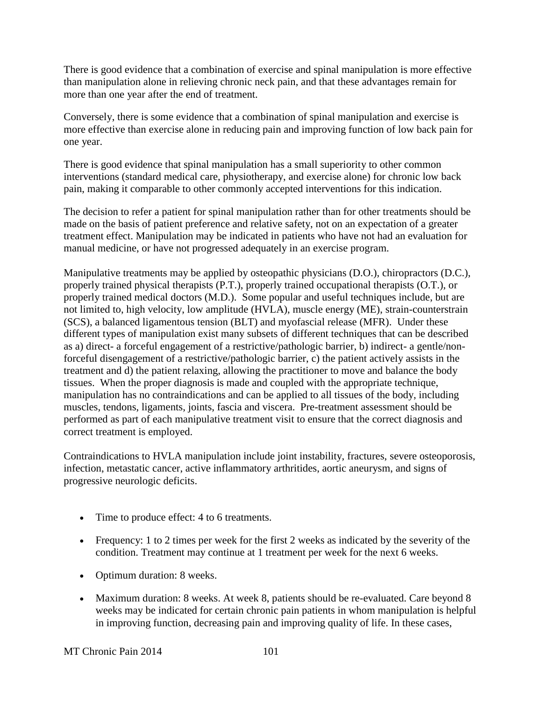There is good evidence that a combination of exercise and spinal manipulation is more effective than manipulation alone in relieving chronic neck pain, and that these advantages remain for more than one year after the end of treatment.

Conversely, there is some evidence that a combination of spinal manipulation and exercise is more effective than exercise alone in reducing pain and improving function of low back pain for one year.

There is good evidence that spinal manipulation has a small superiority to other common interventions (standard medical care, physiotherapy, and exercise alone) for chronic low back pain, making it comparable to other commonly accepted interventions for this indication.

The decision to refer a patient for spinal manipulation rather than for other treatments should be made on the basis of patient preference and relative safety, not on an expectation of a greater treatment effect. Manipulation may be indicated in patients who have not had an evaluation for manual medicine, or have not progressed adequately in an exercise program.

Manipulative treatments may be applied by osteopathic physicians (D.O.), chiropractors (D.C.), properly trained physical therapists (P.T.), properly trained occupational therapists (O.T.), or properly trained medical doctors (M.D.). Some popular and useful techniques include, but are not limited to, high velocity, low amplitude (HVLA), muscle energy (ME), strain-counterstrain (SCS), a balanced ligamentous tension (BLT) and myofascial release (MFR). Under these different types of manipulation exist many subsets of different techniques that can be described as a) direct- a forceful engagement of a restrictive/pathologic barrier, b) indirect- a gentle/nonforceful disengagement of a restrictive/pathologic barrier, c) the patient actively assists in the treatment and d) the patient relaxing, allowing the practitioner to move and balance the body tissues. When the proper diagnosis is made and coupled with the appropriate technique, manipulation has no contraindications and can be applied to all tissues of the body, including muscles, tendons, ligaments, joints, fascia and viscera. Pre-treatment assessment should be performed as part of each manipulative treatment visit to ensure that the correct diagnosis and correct treatment is employed.

Contraindications to HVLA manipulation include joint instability, fractures, severe osteoporosis, infection, metastatic cancer, active inflammatory arthritides, aortic aneurysm, and signs of progressive neurologic deficits.

- Time to produce effect: 4 to 6 treatments.
- Frequency: 1 to 2 times per week for the first 2 weeks as indicated by the severity of the condition. Treatment may continue at 1 treatment per week for the next 6 weeks.
- Optimum duration: 8 weeks.
- Maximum duration: 8 weeks. At week 8, patients should be re-evaluated. Care beyond 8 weeks may be indicated for certain chronic pain patients in whom manipulation is helpful in improving function, decreasing pain and improving quality of life. In these cases,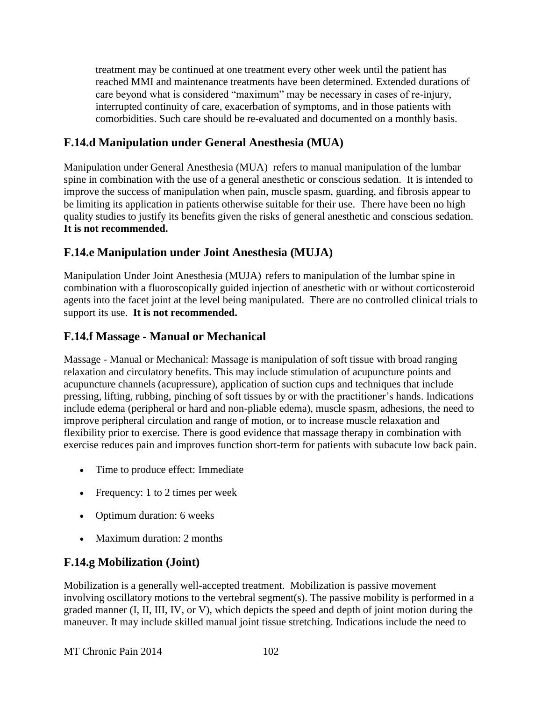treatment may be continued at one treatment every other week until the patient has reached MMI and maintenance treatments have been determined. Extended durations of care beyond what is considered "maximum" may be necessary in cases of re-injury, interrupted continuity of care, exacerbation of symptoms, and in those patients with comorbidities. Such care should be re-evaluated and documented on a monthly basis.

### **F.14.d Manipulation under General Anesthesia (MUA)**

Manipulation under General Anesthesia (MUA) refers to manual manipulation of the lumbar spine in combination with the use of a general anesthetic or conscious sedation. It is intended to improve the success of manipulation when pain, muscle spasm, guarding, and fibrosis appear to be limiting its application in patients otherwise suitable for their use. There have been no high quality studies to justify its benefits given the risks of general anesthetic and conscious sedation. **It is not recommended.**

### **F.14.e Manipulation under Joint Anesthesia (MUJA)**

Manipulation Under Joint Anesthesia (MUJA)refers to manipulation of the lumbar spine in combination with a fluoroscopically guided injection of anesthetic with or without corticosteroid agents into the facet joint at the level being manipulated. There are no controlled clinical trials to support its use. **It is not recommended.**

### **F.14.f Massage - Manual or Mechanical**

Massage - Manual or Mechanical: Massage is manipulation of soft tissue with broad ranging relaxation and circulatory benefits. This may include stimulation of acupuncture points and acupuncture channels (acupressure), application of suction cups and techniques that include pressing, lifting, rubbing, pinching of soft tissues by or with the practitioner's hands. Indications include edema (peripheral or hard and non-pliable edema), muscle spasm, adhesions, the need to improve peripheral circulation and range of motion, or to increase muscle relaxation and flexibility prior to exercise. There is good evidence that massage therapy in combination with exercise reduces pain and improves function short-term for patients with subacute low back pain.

- Time to produce effect: Immediate
- Frequency: 1 to 2 times per week
- Optimum duration: 6 weeks
- Maximum duration: 2 months

### **F.14.g Mobilization (Joint)**

Mobilization is a generally well-accepted treatment. Mobilization is passive movement involving oscillatory motions to the vertebral segment(s). The passive mobility is performed in a graded manner (I, II, III, IV, or V), which depicts the speed and depth of joint motion during the maneuver. It may include skilled manual joint tissue stretching. Indications include the need to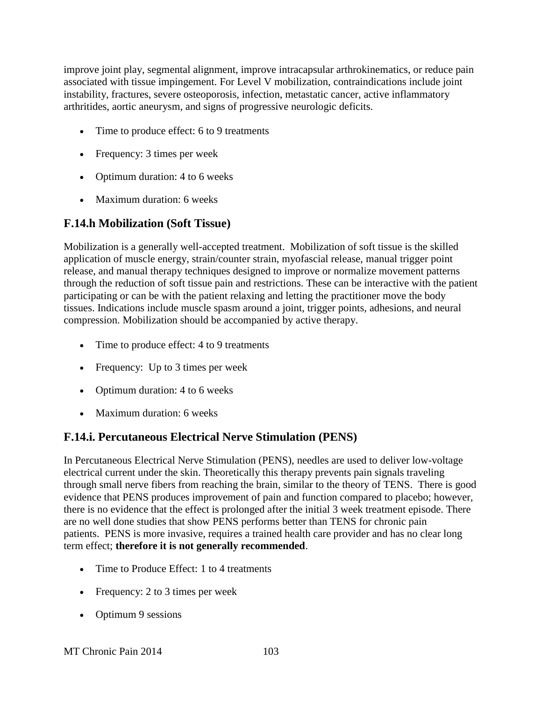improve joint play, segmental alignment, improve intracapsular arthrokinematics, or reduce pain associated with tissue impingement. For Level V mobilization, contraindications include joint instability, fractures, severe osteoporosis, infection, metastatic cancer, active inflammatory arthritides, aortic aneurysm, and signs of progressive neurologic deficits.

- Time to produce effect: 6 to 9 treatments
- Frequency: 3 times per week
- Optimum duration: 4 to 6 weeks
- Maximum duration: 6 weeks

# **F.14.h Mobilization (Soft Tissue)**

Mobilization is a generally well-accepted treatment. Mobilization of soft tissue is the skilled application of muscle energy, strain/counter strain, myofascial release, manual trigger point release, and manual therapy techniques designed to improve or normalize movement patterns through the reduction of soft tissue pain and restrictions. These can be interactive with the patient participating or can be with the patient relaxing and letting the practitioner move the body tissues. Indications include muscle spasm around a joint, trigger points, adhesions, and neural compression. Mobilization should be accompanied by active therapy.

- Time to produce effect: 4 to 9 treatments
- Frequency: Up to 3 times per week
- Optimum duration: 4 to 6 weeks
- Maximum duration: 6 weeks

### **F.14.i. Percutaneous Electrical Nerve Stimulation (PENS)**

In Percutaneous Electrical Nerve Stimulation (PENS), needles are used to deliver low-voltage electrical current under the skin. Theoretically this therapy prevents pain signals traveling through small nerve fibers from reaching the brain, similar to the theory of TENS. There is good evidence that PENS produces improvement of pain and function compared to placebo; however, there is no evidence that the effect is prolonged after the initial 3 week treatment episode. There are no well done studies that show PENS performs better than TENS for chronic pain patients. PENS is more invasive, requires a trained health care provider and has no clear long term effect; **therefore it is not generally recommended**.

- Time to Produce Effect: 1 to 4 treatments
- Frequency: 2 to 3 times per week
- Optimum 9 sessions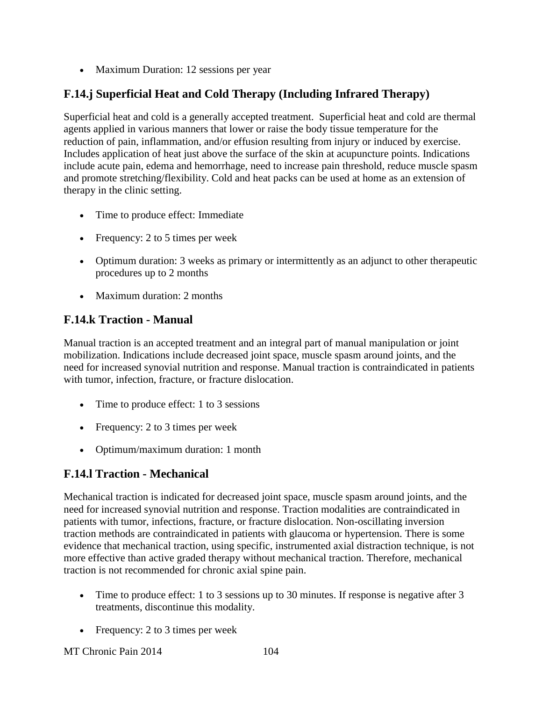• Maximum Duration: 12 sessions per year

# **F.14.j Superficial Heat and Cold Therapy (Including Infrared Therapy)**

Superficial heat and cold is a generally accepted treatment. Superficial heat and cold are thermal agents applied in various manners that lower or raise the body tissue temperature for the reduction of pain, inflammation, and/or effusion resulting from injury or induced by exercise. Includes application of heat just above the surface of the skin at acupuncture points. Indications include acute pain, edema and hemorrhage, need to increase pain threshold, reduce muscle spasm and promote stretching/flexibility. Cold and heat packs can be used at home as an extension of therapy in the clinic setting.

- Time to produce effect: Immediate
- Frequency: 2 to 5 times per week
- Optimum duration: 3 weeks as primary or intermittently as an adjunct to other therapeutic procedures up to 2 months
- Maximum duration: 2 months

### **F.14.k Traction - Manual**

Manual traction is an accepted treatment and an integral part of manual manipulation or joint mobilization. Indications include decreased joint space, muscle spasm around joints, and the need for increased synovial nutrition and response. Manual traction is contraindicated in patients with tumor, infection, fracture, or fracture dislocation.

- Time to produce effect: 1 to 3 sessions
- Frequency: 2 to 3 times per week
- Optimum/maximum duration: 1 month

# **F.14.l Traction - Mechanical**

Mechanical traction is indicated for decreased joint space, muscle spasm around joints, and the need for increased synovial nutrition and response. Traction modalities are contraindicated in patients with tumor, infections, fracture, or fracture dislocation. Non-oscillating inversion traction methods are contraindicated in patients with glaucoma or hypertension. There is some evidence that mechanical traction, using specific, instrumented axial distraction technique, is not more effective than active graded therapy without mechanical traction. Therefore, mechanical traction is not recommended for chronic axial spine pain.

- Time to produce effect: 1 to 3 sessions up to 30 minutes. If response is negative after 3 treatments, discontinue this modality.
- Frequency: 2 to 3 times per week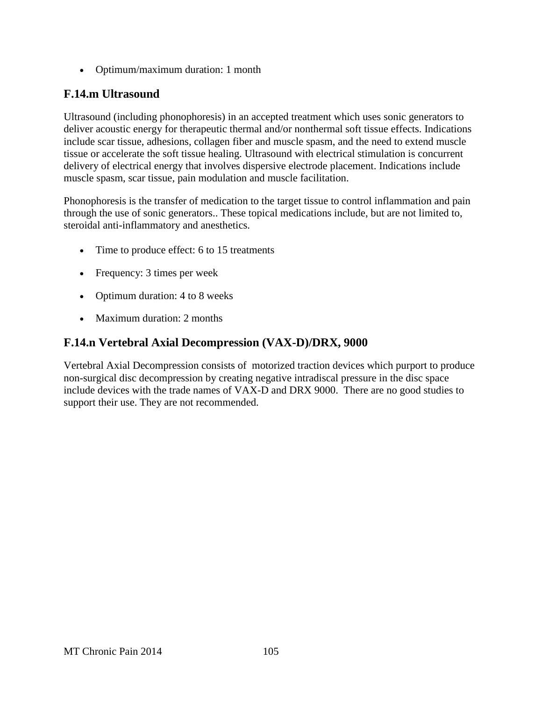Optimum/maximum duration: 1 month

### **F.14.m Ultrasound**

Ultrasound (including phonophoresis) in an accepted treatment which uses sonic generators to deliver acoustic energy for therapeutic thermal and/or nonthermal soft tissue effects. Indications include scar tissue, adhesions, collagen fiber and muscle spasm, and the need to extend muscle tissue or accelerate the soft tissue healing. Ultrasound with electrical stimulation is concurrent delivery of electrical energy that involves dispersive electrode placement. Indications include muscle spasm, scar tissue, pain modulation and muscle facilitation.

Phonophoresis is the transfer of medication to the target tissue to control inflammation and pain through the use of sonic generators.. These topical medications include, but are not limited to, steroidal anti-inflammatory and anesthetics.

- Time to produce effect: 6 to 15 treatments
- Frequency: 3 times per week
- Optimum duration: 4 to 8 weeks
- Maximum duration: 2 months

#### **F.14.n Vertebral Axial Decompression (VAX-D)/DRX, 9000**

Vertebral Axial Decompression consists of motorized traction devices which purport to produce non-surgical disc decompression by creating negative intradiscal pressure in the disc space include devices with the trade names of VAX-D and DRX 9000. There are no good studies to support their use. They are not recommended.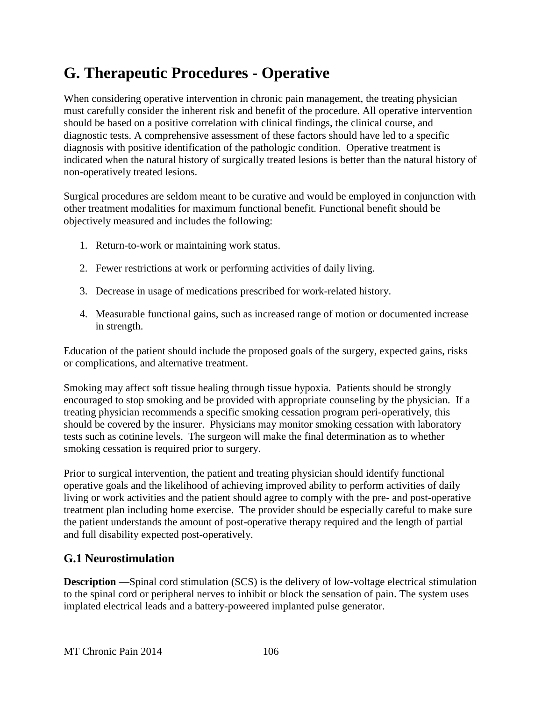# **G. Therapeutic Procedures - Operative**

When considering operative intervention in chronic pain management, the treating physician must carefully consider the inherent risk and benefit of the procedure. All operative intervention should be based on a positive correlation with clinical findings, the clinical course, and diagnostic tests. A comprehensive assessment of these factors should have led to a specific diagnosis with positive identification of the pathologic condition. Operative treatment is indicated when the natural history of surgically treated lesions is better than the natural history of non-operatively treated lesions.

Surgical procedures are seldom meant to be curative and would be employed in conjunction with other treatment modalities for maximum functional benefit. Functional benefit should be objectively measured and includes the following:

- 1. Return-to-work or maintaining work status.
- 2. Fewer restrictions at work or performing activities of daily living.
- 3. Decrease in usage of medications prescribed for work-related history.
- 4. Measurable functional gains, such as increased range of motion or documented increase in strength.

Education of the patient should include the proposed goals of the surgery, expected gains, risks or complications, and alternative treatment.

Smoking may affect soft tissue healing through tissue hypoxia. Patients should be strongly encouraged to stop smoking and be provided with appropriate counseling by the physician. If a treating physician recommends a specific smoking cessation program peri-operatively, this should be covered by the insurer. Physicians may monitor smoking cessation with laboratory tests such as cotinine levels. The surgeon will make the final determination as to whether smoking cessation is required prior to surgery.

Prior to surgical intervention, the patient and treating physician should identify functional operative goals and the likelihood of achieving improved ability to perform activities of daily living or work activities and the patient should agree to comply with the pre- and post-operative treatment plan including home exercise. The provider should be especially careful to make sure the patient understands the amount of post-operative therapy required and the length of partial and full disability expected post-operatively.

### **G.1 Neurostimulation**

**Description** —Spinal cord stimulation (SCS) is the delivery of low-voltage electrical stimulation to the spinal cord or peripheral nerves to inhibit or block the sensation of pain. The system uses implated electrical leads and a battery-poweered implanted pulse generator.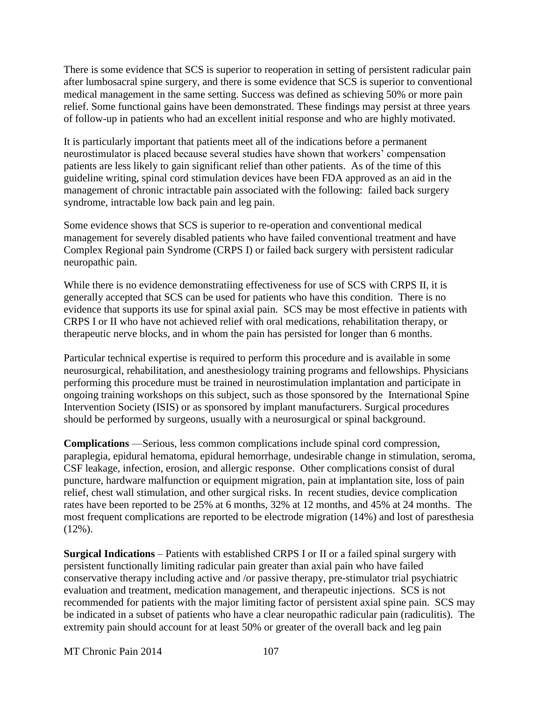There is some evidence that SCS is superior to reoperation in setting of persistent radicular pain after lumbosacral spine surgery, and there is some evidence that SCS is superior to conventional medical management in the same setting. Success was defined as schieving 50% or more pain relief. Some functional gains have been demonstrated. These findings may persist at three years of follow-up in patients who had an excellent initial response and who are highly motivated.

It is particularly important that patients meet all of the indications before a permanent neurostimulator is placed because several studies have shown that workers' compensation patients are less likely to gain significant relief than other patients. As of the time of this guideline writing, spinal cord stimulation devices have been FDA approved as an aid in the management of chronic intractable pain associated with the following: failed back surgery syndrome, intractable low back pain and leg pain.

Some evidence shows that SCS is superior to re-operation and conventional medical management for severely disabled patients who have failed conventional treatment and have Complex Regional pain Syndrome (CRPS I) or failed back surgery with persistent radicular neuropathic pain.

While there is no evidence demonstratiing effectiveness for use of SCS with CRPS II, it is generally accepted that SCS can be used for patients who have this condition. There is no evidence that supports its use for spinal axial pain. SCS may be most effective in patients with CRPS I or II who have not achieved relief with oral medications, rehabilitation therapy, or therapeutic nerve blocks, and in whom the pain has persisted for longer than 6 months.

Particular technical expertise is required to perform this procedure and is available in some neurosurgical, rehabilitation, and anesthesiology training programs and fellowships. Physicians performing this procedure must be trained in neurostimulation implantation and participate in ongoing training workshops on this subject, such as those sponsored by the International Spine Intervention Society (ISIS) or as sponsored by implant manufacturers. Surgical procedures should be performed by surgeons, usually with a neurosurgical or spinal background.

**Complications** —Serious, less common complications include spinal cord compression, paraplegia, epidural hematoma, epidural hemorrhage, undesirable change in stimulation, seroma, CSF leakage, infection, erosion, and allergic response. Other complications consist of dural puncture, hardware malfunction or equipment migration, pain at implantation site, loss of pain relief, chest wall stimulation, and other surgical risks. In recent studies, device complication rates have been reported to be 25% at 6 months, 32% at 12 months, and 45% at 24 months. The most frequent complications are reported to be electrode migration (14%) and lost of paresthesia (12%).

**Surgical Indications** – Patients with established CRPS I or II or a failed spinal surgery with persistent functionally limiting radicular pain greater than axial pain who have failed conservative therapy including active and /or passive therapy, pre-stimulator trial psychiatric evaluation and treatment, medication management, and therapeutic injections. SCS is not recommended for patients with the major limiting factor of persistent axial spine pain. SCS may be indicated in a subset of patients who have a clear neuropathic radicular pain (radiculitis). The extremity pain should account for at least 50% or greater of the overall back and leg pain

MT Chronic Pain 2014 107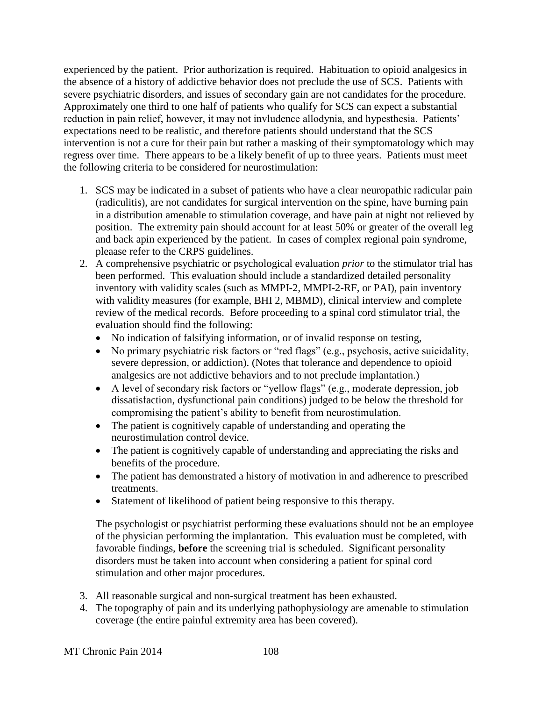experienced by the patient. Prior authorization is required. Habituation to opioid analgesics in the absence of a history of addictive behavior does not preclude the use of SCS. Patients with severe psychiatric disorders, and issues of secondary gain are not candidates for the procedure. Approximately one third to one half of patients who qualify for SCS can expect a substantial reduction in pain relief, however, it may not invludence allodynia, and hypesthesia. Patients' expectations need to be realistic, and therefore patients should understand that the SCS intervention is not a cure for their pain but rather a masking of their symptomatology which may regress over time. There appears to be a likely benefit of up to three years. Patients must meet the following criteria to be considered for neurostimulation:

- 1. SCS may be indicated in a subset of patients who have a clear neuropathic radicular pain (radiculitis), are not candidates for surgical intervention on the spine, have burning pain in a distribution amenable to stimulation coverage, and have pain at night not relieved by position. The extremity pain should account for at least 50% or greater of the overall leg and back apin experienced by the patient. In cases of complex regional pain syndrome, pleaase refer to the CRPS guidelines.
- 2. A comprehensive psychiatric or psychological evaluation *prior* to the stimulator trial has been performed. This evaluation should include a standardized detailed personality inventory with validity scales (such as MMPI-2, MMPI-2-RF, or PAI), pain inventory with validity measures (for example, BHI 2, MBMD), clinical interview and complete review of the medical records. Before proceeding to a spinal cord stimulator trial, the evaluation should find the following:
	- No indication of falsifying information, or of invalid response on testing,
	- No primary psychiatric risk factors or "red flags" (e.g., psychosis, active suicidality, severe depression, or addiction). (Notes that tolerance and dependence to opioid analgesics are not addictive behaviors and to not preclude implantation.)
	- A level of secondary risk factors or "yellow flags" (e.g., moderate depression, job dissatisfaction, dysfunctional pain conditions) judged to be below the threshold for compromising the patient's ability to benefit from neurostimulation.
	- The patient is cognitively capable of understanding and operating the neurostimulation control device.
	- The patient is cognitively capable of understanding and appreciating the risks and benefits of the procedure.
	- The patient has demonstrated a history of motivation in and adherence to prescribed treatments.
	- Statement of likelihood of patient being responsive to this therapy.

The psychologist or psychiatrist performing these evaluations should not be an employee of the physician performing the implantation. This evaluation must be completed, with favorable findings, **before** the screening trial is scheduled. Significant personality disorders must be taken into account when considering a patient for spinal cord stimulation and other major procedures.

- 3. All reasonable surgical and non-surgical treatment has been exhausted.
- 4. The topography of pain and its underlying pathophysiology are amenable to stimulation coverage (the entire painful extremity area has been covered).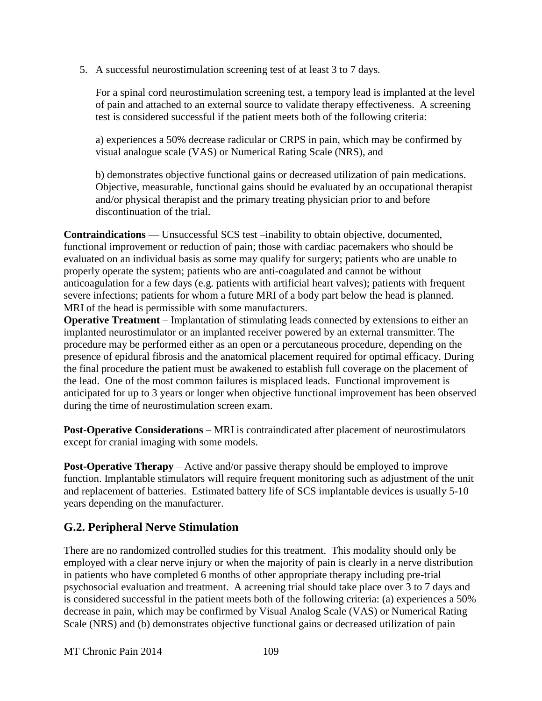5. A successful neurostimulation screening test of at least 3 to 7 days.

For a spinal cord neurostimulation screening test, a tempory lead is implanted at the level of pain and attached to an external source to validate therapy effectiveness. A screening test is considered successful if the patient meets both of the following criteria:

a) experiences a 50% decrease radicular or CRPS in pain, which may be confirmed by visual analogue scale (VAS) or Numerical Rating Scale (NRS), and

b) demonstrates objective functional gains or decreased utilization of pain medications. Objective, measurable, functional gains should be evaluated by an occupational therapist and/or physical therapist and the primary treating physician prior to and before discontinuation of the trial.

**Contraindications** — Unsuccessful SCS test –inability to obtain objective, documented, functional improvement or reduction of pain; those with cardiac pacemakers who should be evaluated on an individual basis as some may qualify for surgery; patients who are unable to properly operate the system; patients who are anti-coagulated and cannot be without anticoagulation for a few days (e.g. patients with artificial heart valves); patients with frequent severe infections; patients for whom a future MRI of a body part below the head is planned. MRI of the head is permissible with some manufacturers.

**Operative Treatment** – Implantation of stimulating leads connected by extensions to either an implanted neurostimulator or an implanted receiver powered by an external transmitter. The procedure may be performed either as an open or a percutaneous procedure, depending on the presence of epidural fibrosis and the anatomical placement required for optimal efficacy. During the final procedure the patient must be awakened to establish full coverage on the placement of the lead. One of the most common failures is misplaced leads. Functional improvement is anticipated for up to 3 years or longer when objective functional improvement has been observed during the time of neurostimulation screen exam.

**Post-Operative Considerations** – MRI is contraindicated after placement of neurostimulators except for cranial imaging with some models.

**Post-Operative Therapy** – Active and/or passive therapy should be employed to improve function. Implantable stimulators will require frequent monitoring such as adjustment of the unit and replacement of batteries. Estimated battery life of SCS implantable devices is usually 5-10 years depending on the manufacturer.

#### **G.2. Peripheral Nerve Stimulation**

There are no randomized controlled studies for this treatment. This modality should only be employed with a clear nerve injury or when the majority of pain is clearly in a nerve distribution in patients who have completed 6 months of other appropriate therapy including pre-trial psychosocial evaluation and treatment. A acreening trial should take place over 3 to 7 days and is considered successful in the patient meets both of the following criteria: (a) experiences a 50% decrease in pain, which may be confirmed by Visual Analog Scale (VAS) or Numerical Rating Scale (NRS) and (b) demonstrates objective functional gains or decreased utilization of pain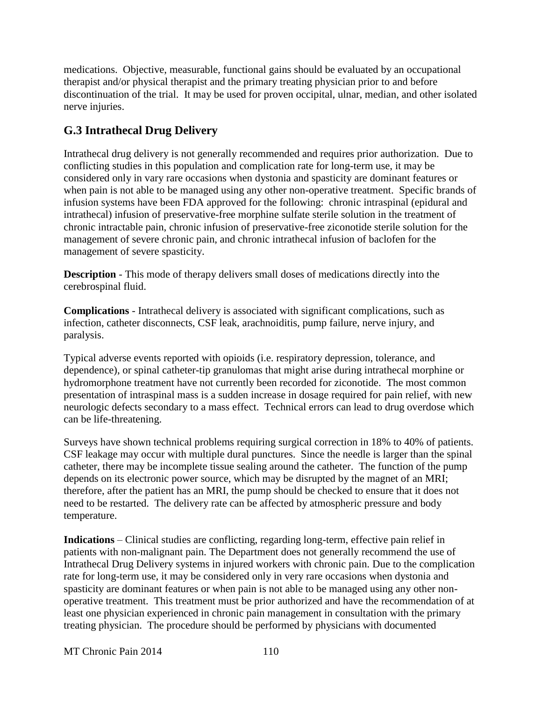medications. Objective, measurable, functional gains should be evaluated by an occupational therapist and/or physical therapist and the primary treating physician prior to and before discontinuation of the trial. It may be used for proven occipital, ulnar, median, and other isolated nerve injuries.

# **G.3 Intrathecal Drug Delivery**

Intrathecal drug delivery is not generally recommended and requires prior authorization. Due to conflicting studies in this population and complication rate for long-term use, it may be considered only in vary rare occasions when dystonia and spasticity are dominant features or when pain is not able to be managed using any other non-operative treatment. Specific brands of infusion systems have been FDA approved for the following: chronic intraspinal (epidural and intrathecal) infusion of preservative-free morphine sulfate sterile solution in the treatment of chronic intractable pain, chronic infusion of preservative-free ziconotide sterile solution for the management of severe chronic pain, and chronic intrathecal infusion of baclofen for the management of severe spasticity.

**Description** - This mode of therapy delivers small doses of medications directly into the cerebrospinal fluid.

**Complications** - Intrathecal delivery is associated with significant complications, such as infection, catheter disconnects, CSF leak, arachnoiditis, pump failure, nerve injury, and paralysis.

Typical adverse events reported with opioids (i.e. respiratory depression, tolerance, and dependence), or spinal catheter-tip granulomas that might arise during intrathecal morphine or hydromorphone treatment have not currently been recorded for ziconotide. The most common presentation of intraspinal mass is a sudden increase in dosage required for pain relief, with new neurologic defects secondary to a mass effect. Technical errors can lead to drug overdose which can be life-threatening.

Surveys have shown technical problems requiring surgical correction in 18% to 40% of patients. CSF leakage may occur with multiple dural punctures. Since the needle is larger than the spinal catheter, there may be incomplete tissue sealing around the catheter. The function of the pump depends on its electronic power source, which may be disrupted by the magnet of an MRI; therefore, after the patient has an MRI, the pump should be checked to ensure that it does not need to be restarted. The delivery rate can be affected by atmospheric pressure and body temperature.

**Indications** – Clinical studies are conflicting, regarding long-term, effective pain relief in patients with non-malignant pain. The Department does not generally recommend the use of Intrathecal Drug Delivery systems in injured workers with chronic pain. Due to the complication rate for long-term use, it may be considered only in very rare occasions when dystonia and spasticity are dominant features or when pain is not able to be managed using any other nonoperative treatment. This treatment must be prior authorized and have the recommendation of at least one physician experienced in chronic pain management in consultation with the primary treating physician. The procedure should be performed by physicians with documented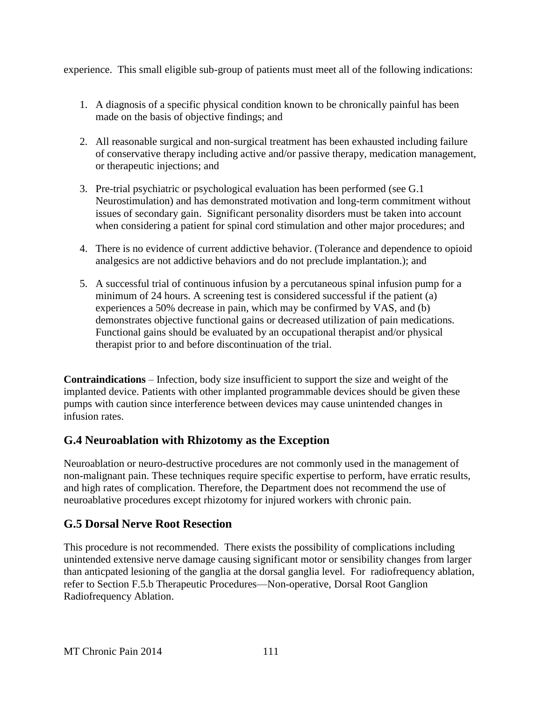experience. This small eligible sub-group of patients must meet all of the following indications:

- 1. A diagnosis of a specific physical condition known to be chronically painful has been made on the basis of objective findings; and
- 2. All reasonable surgical and non-surgical treatment has been exhausted including failure of conservative therapy including active and/or passive therapy, medication management, or therapeutic injections; and
- 3. Pre-trial psychiatric or psychological evaluation has been performed (see G.1 Neurostimulation) and has demonstrated motivation and long-term commitment without issues of secondary gain. Significant personality disorders must be taken into account when considering a patient for spinal cord stimulation and other major procedures; and
- 4. There is no evidence of current addictive behavior. (Tolerance and dependence to opioid analgesics are not addictive behaviors and do not preclude implantation.); and
- 5. A successful trial of continuous infusion by a percutaneous spinal infusion pump for a minimum of 24 hours. A screening test is considered successful if the patient (a) experiences a 50% decrease in pain, which may be confirmed by VAS, and (b) demonstrates objective functional gains or decreased utilization of pain medications. Functional gains should be evaluated by an occupational therapist and/or physical therapist prior to and before discontinuation of the trial.

**Contraindications** – Infection, body size insufficient to support the size and weight of the implanted device. Patients with other implanted programmable devices should be given these pumps with caution since interference between devices may cause unintended changes in infusion rates.

## **G.4 Neuroablation with Rhizotomy as the Exception**

Neuroablation or neuro-destructive procedures are not commonly used in the management of non-malignant pain. These techniques require specific expertise to perform, have erratic results, and high rates of complication. Therefore, the Department does not recommend the use of neuroablative procedures except rhizotomy for injured workers with chronic pain.

## **G.5 Dorsal Nerve Root Resection**

This procedure is not recommended. There exists the possibility of complications including unintended extensive nerve damage causing significant motor or sensibility changes from larger than anticpated lesioning of the ganglia at the dorsal ganglia level. For radiofrequency ablation, refer to Section F.5.b Therapeutic Procedures—Non-operative, Dorsal Root Ganglion Radiofrequency Ablation.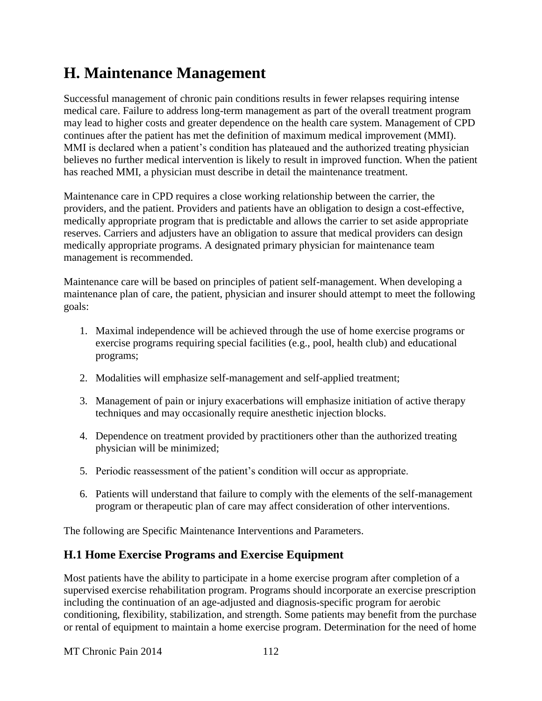# **H. Maintenance Management**

Successful management of chronic pain conditions results in fewer relapses requiring intense medical care. Failure to address long-term management as part of the overall treatment program may lead to higher costs and greater dependence on the health care system. Management of CPD continues after the patient has met the definition of maximum medical improvement (MMI). MMI is declared when a patient's condition has plateaued and the authorized treating physician believes no further medical intervention is likely to result in improved function. When the patient has reached MMI, a physician must describe in detail the maintenance treatment.

Maintenance care in CPD requires a close working relationship between the carrier, the providers, and the patient. Providers and patients have an obligation to design a cost-effective, medically appropriate program that is predictable and allows the carrier to set aside appropriate reserves. Carriers and adjusters have an obligation to assure that medical providers can design medically appropriate programs. A designated primary physician for maintenance team management is recommended.

Maintenance care will be based on principles of patient self-management. When developing a maintenance plan of care, the patient, physician and insurer should attempt to meet the following goals:

- 1. Maximal independence will be achieved through the use of home exercise programs or exercise programs requiring special facilities (e.g., pool, health club) and educational programs;
- 2. Modalities will emphasize self-management and self-applied treatment;
- 3. Management of pain or injury exacerbations will emphasize initiation of active therapy techniques and may occasionally require anesthetic injection blocks.
- 4. Dependence on treatment provided by practitioners other than the authorized treating physician will be minimized;
- 5. Periodic reassessment of the patient's condition will occur as appropriate.
- 6. Patients will understand that failure to comply with the elements of the self-management program or therapeutic plan of care may affect consideration of other interventions.

The following are Specific Maintenance Interventions and Parameters.

## **H.1 Home Exercise Programs and Exercise Equipment**

Most patients have the ability to participate in a home exercise program after completion of a supervised exercise rehabilitation program. Programs should incorporate an exercise prescription including the continuation of an age-adjusted and diagnosis-specific program for aerobic conditioning, flexibility, stabilization, and strength. Some patients may benefit from the purchase or rental of equipment to maintain a home exercise program. Determination for the need of home

MT Chronic Pain 2014 112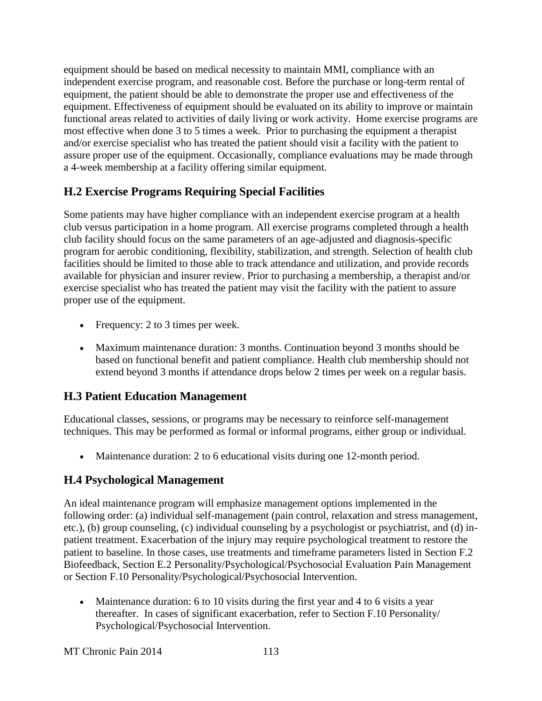equipment should be based on medical necessity to maintain MMI, compliance with an independent exercise program, and reasonable cost. Before the purchase or long-term rental of equipment, the patient should be able to demonstrate the proper use and effectiveness of the equipment. Effectiveness of equipment should be evaluated on its ability to improve or maintain functional areas related to activities of daily living or work activity. Home exercise programs are most effective when done 3 to 5 times a week. Prior to purchasing the equipment a therapist and/or exercise specialist who has treated the patient should visit a facility with the patient to assure proper use of the equipment. Occasionally, compliance evaluations may be made through a 4-week membership at a facility offering similar equipment.

# **H.2 Exercise Programs Requiring Special Facilities**

Some patients may have higher compliance with an independent exercise program at a health club versus participation in a home program. All exercise programs completed through a health club facility should focus on the same parameters of an age-adjusted and diagnosis-specific program for aerobic conditioning, flexibility, stabilization, and strength. Selection of health club facilities should be limited to those able to track attendance and utilization, and provide records available for physician and insurer review. Prior to purchasing a membership, a therapist and/or exercise specialist who has treated the patient may visit the facility with the patient to assure proper use of the equipment.

- Frequency: 2 to 3 times per week.
- Maximum maintenance duration: 3 months. Continuation beyond 3 months should be based on functional benefit and patient compliance. Health club membership should not extend beyond 3 months if attendance drops below 2 times per week on a regular basis.

# **H.3 Patient Education Management**

Educational classes, sessions, or programs may be necessary to reinforce self-management techniques. This may be performed as formal or informal programs, either group or individual.

Maintenance duration: 2 to 6 educational visits during one 12-month period.

# **H.4 Psychological Management**

An ideal maintenance program will emphasize management options implemented in the following order: (a) individual self-management (pain control, relaxation and stress management, etc.), (b) group counseling, (c) individual counseling by a psychologist or psychiatrist, and (d) inpatient treatment. Exacerbation of the injury may require psychological treatment to restore the patient to baseline. In those cases, use treatments and timeframe parameters listed in Section F.2 Biofeedback, Section E.2 Personality/Psychological/Psychosocial Evaluation Pain Management or Section F.10 Personality/Psychological/Psychosocial Intervention.

 Maintenance duration: 6 to 10 visits during the first year and 4 to 6 visits a year thereafter. In cases of significant exacerbation, refer to Section F.10 Personality/ Psychological/Psychosocial Intervention.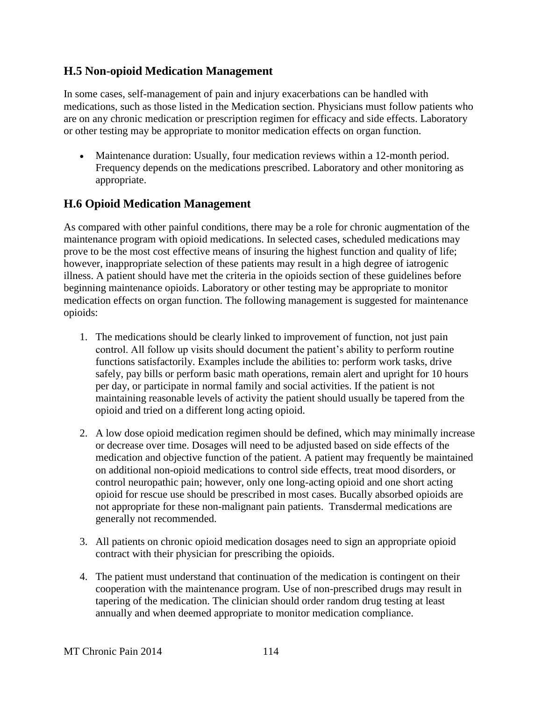#### **H.5 Non-opioid Medication Management**

In some cases, self-management of pain and injury exacerbations can be handled with medications, such as those listed in the Medication section. Physicians must follow patients who are on any chronic medication or prescription regimen for efficacy and side effects. Laboratory or other testing may be appropriate to monitor medication effects on organ function.

 Maintenance duration: Usually, four medication reviews within a 12-month period. Frequency depends on the medications prescribed. Laboratory and other monitoring as appropriate.

# **H.6 Opioid Medication Management**

As compared with other painful conditions, there may be a role for chronic augmentation of the maintenance program with opioid medications. In selected cases, scheduled medications may prove to be the most cost effective means of insuring the highest function and quality of life; however, inappropriate selection of these patients may result in a high degree of iatrogenic illness. A patient should have met the criteria in the opioids section of these guidelines before beginning maintenance opioids. Laboratory or other testing may be appropriate to monitor medication effects on organ function. The following management is suggested for maintenance opioids:

- 1. The medications should be clearly linked to improvement of function, not just pain control. All follow up visits should document the patient's ability to perform routine functions satisfactorily. Examples include the abilities to: perform work tasks, drive safely, pay bills or perform basic math operations, remain alert and upright for 10 hours per day, or participate in normal family and social activities. If the patient is not maintaining reasonable levels of activity the patient should usually be tapered from the opioid and tried on a different long acting opioid.
- 2. A low dose opioid medication regimen should be defined, which may minimally increase or decrease over time. Dosages will need to be adjusted based on side effects of the medication and objective function of the patient. A patient may frequently be maintained on additional non-opioid medications to control side effects, treat mood disorders, or control neuropathic pain; however, only one long-acting opioid and one short acting opioid for rescue use should be prescribed in most cases. Bucally absorbed opioids are not appropriate for these non-malignant pain patients. Transdermal medications are generally not recommended.
- 3. All patients on chronic opioid medication dosages need to sign an appropriate opioid contract with their physician for prescribing the opioids.
- 4. The patient must understand that continuation of the medication is contingent on their cooperation with the maintenance program. Use of non-prescribed drugs may result in tapering of the medication. The clinician should order random drug testing at least annually and when deemed appropriate to monitor medication compliance.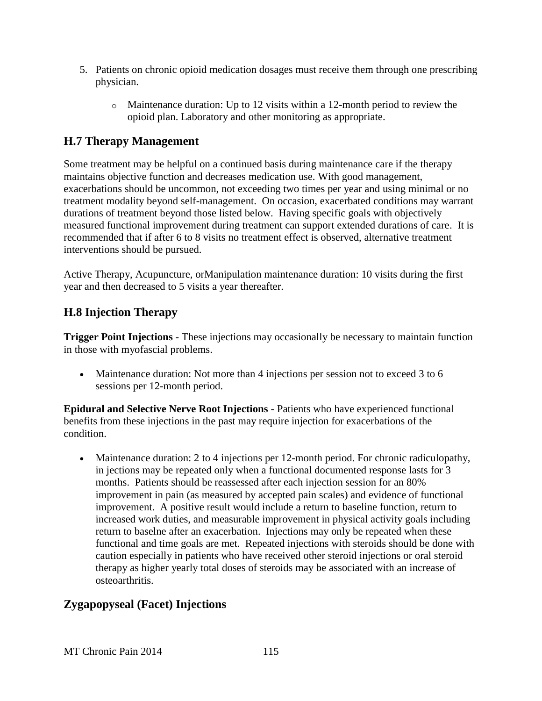- 5. Patients on chronic opioid medication dosages must receive them through one prescribing physician.
	- o Maintenance duration: Up to 12 visits within a 12-month period to review the opioid plan. Laboratory and other monitoring as appropriate.

## **H.7 Therapy Management**

Some treatment may be helpful on a continued basis during maintenance care if the therapy maintains objective function and decreases medication use. With good management, exacerbations should be uncommon, not exceeding two times per year and using minimal or no treatment modality beyond self-management. On occasion, exacerbated conditions may warrant durations of treatment beyond those listed below. Having specific goals with objectively measured functional improvement during treatment can support extended durations of care. It is recommended that if after 6 to 8 visits no treatment effect is observed, alternative treatment interventions should be pursued.

Active Therapy, Acupuncture, orManipulation maintenance duration: 10 visits during the first year and then decreased to 5 visits a year thereafter.

# **H.8 Injection Therapy**

**Trigger Point Injections** - These injections may occasionally be necessary to maintain function in those with myofascial problems.

• Maintenance duration: Not more than 4 injections per session not to exceed 3 to 6 sessions per 12-month period.

**Epidural and Selective Nerve Root Injections** - Patients who have experienced functional benefits from these injections in the past may require injection for exacerbations of the condition.

 Maintenance duration: 2 to 4 injections per 12-month period. For chronic radiculopathy, in jections may be repeated only when a functional documented response lasts for 3 months. Patients should be reassessed after each injection session for an 80% improvement in pain (as measured by accepted pain scales) and evidence of functional improvement. A positive result would include a return to baseline function, return to increased work duties, and measurable improvement in physical activity goals including return to baselne after an exacerbation. Injections may only be repeated when these functional and time goals are met. Repeated injections with steroids should be done with caution especially in patients who have received other steroid injections or oral steroid therapy as higher yearly total doses of steroids may be associated with an increase of osteoarthritis.

# **Zygapopyseal (Facet) Injections**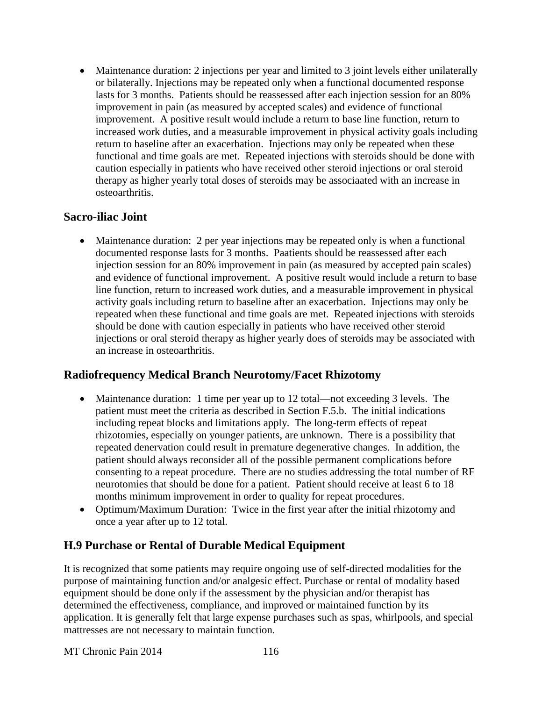• Maintenance duration: 2 injections per year and limited to 3 joint levels either unilaterally or bilaterally. Injections may be repeated only when a functional documented response lasts for 3 months. Patients should be reassessed after each injection session for an 80% improvement in pain (as measured by accepted scales) and evidence of functional improvement. A positive result would include a return to base line function, return to increased work duties, and a measurable improvement in physical activity goals including return to baseline after an exacerbation. Injections may only be repeated when these functional and time goals are met. Repeated injections with steroids should be done with caution especially in patients who have received other steroid injections or oral steroid therapy as higher yearly total doses of steroids may be associaated with an increase in osteoarthritis.

#### **Sacro-iliac Joint**

 Maintenance duration: 2 per year injections may be repeated only is when a functional documented response lasts for 3 months. Paatients should be reassessed after each injection session for an 80% improvement in pain (as measured by accepted pain scales) and evidence of functional improvement. A positive result would include a return to base line function, return to increased work duties, and a measurable improvement in physical activity goals including return to baseline after an exacerbation. Injections may only be repeated when these functional and time goals are met. Repeated injections with steroids should be done with caution especially in patients who have received other steroid injections or oral steroid therapy as higher yearly does of steroids may be associated with an increase in osteoarthritis.

## **Radiofrequency Medical Branch Neurotomy/Facet Rhizotomy**

- Maintenance duration: 1 time per year up to 12 total—not exceeding 3 levels. The patient must meet the criteria as described in Section F.5.b. The initial indications including repeat blocks and limitations apply. The long-term effects of repeat rhizotomies, especially on younger patients, are unknown. There is a possibility that repeated denervation could result in premature degenerative changes. In addition, the patient should always reconsider all of the possible permanent complications before consenting to a repeat procedure. There are no studies addressing the total number of RF neurotomies that should be done for a patient. Patient should receive at least 6 to 18 months minimum improvement in order to quality for repeat procedures.
- Optimum/Maximum Duration: Twice in the first year after the initial rhizotomy and once a year after up to 12 total.

## **H.9 Purchase or Rental of Durable Medical Equipment**

It is recognized that some patients may require ongoing use of self-directed modalities for the purpose of maintaining function and/or analgesic effect. Purchase or rental of modality based equipment should be done only if the assessment by the physician and/or therapist has determined the effectiveness, compliance, and improved or maintained function by its application. It is generally felt that large expense purchases such as spas, whirlpools, and special mattresses are not necessary to maintain function.

MT Chronic Pain 2014 116